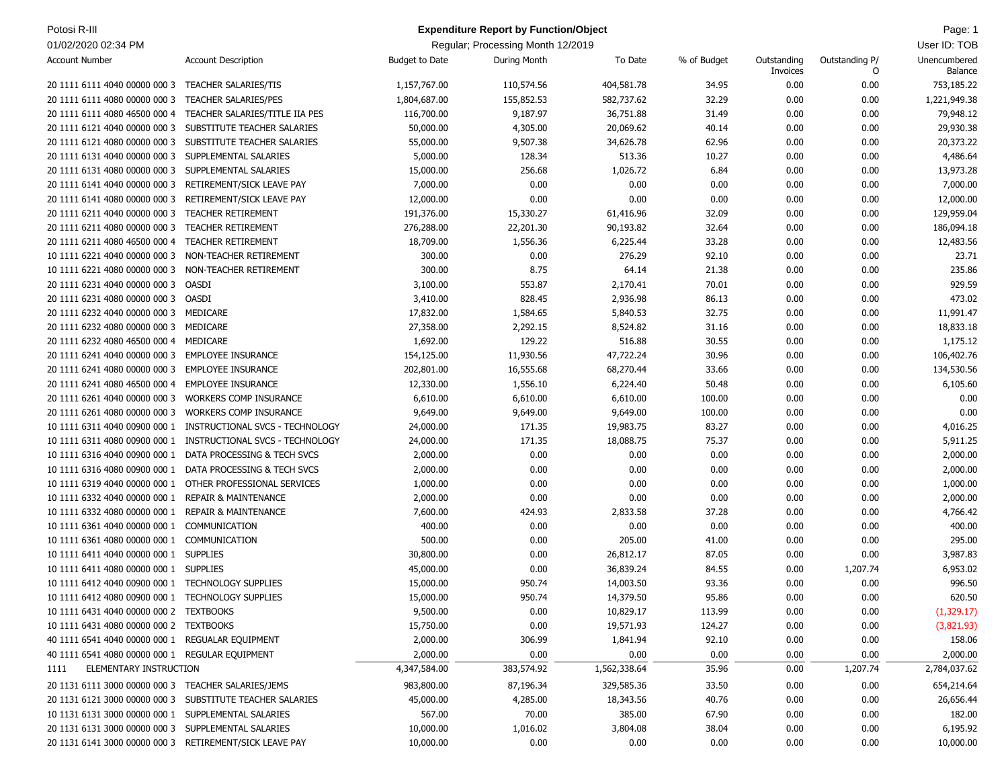| Potosi R-III                                            |                                 |                       | <b>Expenditure Report by Function/Object</b> |              |             |                         |                     | Page: 1                 |
|---------------------------------------------------------|---------------------------------|-----------------------|----------------------------------------------|--------------|-------------|-------------------------|---------------------|-------------------------|
| 01/02/2020 02:34 PM                                     |                                 |                       | Regular; Processing Month 12/2019            |              |             |                         |                     | User ID: TOB            |
| <b>Account Number</b>                                   | <b>Account Description</b>      | <b>Budget to Date</b> | During Month                                 | To Date      | % of Budget | Outstanding<br>Invoices | Outstanding P/<br>0 | Unencumbered<br>Balance |
| 20 1111 6111 4040 00000 000 3                           | <b>TEACHER SALARIES/TIS</b>     | 1,157,767.00          | 110,574.56                                   | 404,581.78   | 34.95       | 0.00                    | 0.00                | 753,185.22              |
| 20 1111 6111 4080 00000 000 3                           | <b>TEACHER SALARIES/PES</b>     | 1,804,687.00          | 155,852.53                                   | 582,737.62   | 32.29       | 0.00                    | 0.00                | 1,221,949.38            |
| 20 1111 6111 4080 46500 000 4                           | TEACHER SALARIES/TITLE IIA PES  | 116,700.00            | 9,187.97                                     | 36,751.88    | 31.49       | 0.00                    | 0.00                | 79,948.12               |
| 20 1111 6121 4040 00000 000 3                           | SUBSTITUTE TEACHER SALARIES     | 50,000.00             | 4,305.00                                     | 20,069.62    | 40.14       | 0.00                    | 0.00                | 29,930.38               |
| 20 1111 6121 4080 00000 000 3                           | SUBSTITUTE TEACHER SALARIES     | 55,000.00             | 9,507.38                                     | 34,626.78    | 62.96       | 0.00                    | 0.00                | 20,373.22               |
| 20 1111 6131 4040 00000 000 3                           | SUPPLEMENTAL SALARIES           | 5,000.00              | 128.34                                       | 513.36       | 10.27       | 0.00                    | 0.00                | 4,486.64                |
| 20 1111 6131 4080 00000 000 3                           | SUPPLEMENTAL SALARIES           | 15,000.00             | 256.68                                       | 1,026.72     | 6.84        | 0.00                    | 0.00                | 13,973.28               |
| 20 1111 6141 4040 00000 000 3                           | RETIREMENT/SICK LEAVE PAY       |                       | 0.00                                         |              |             |                         |                     | 7,000.00                |
|                                                         |                                 | 7,000.00              |                                              | 0.00         | 0.00        | 0.00                    | 0.00                |                         |
| 20 1111 6141 4080 00000 000 3                           | RETIREMENT/SICK LEAVE PAY       | 12,000.00             | 0.00                                         | 0.00         | 0.00        | 0.00                    | 0.00                | 12,000.00               |
| 20 1111 6211 4040 00000 000 3                           | <b>TEACHER RETIREMENT</b>       | 191,376.00            | 15,330.27                                    | 61,416.96    | 32.09       | 0.00                    | 0.00                | 129,959.04              |
| 20 1111 6211 4080 00000 000 3                           | <b>TEACHER RETIREMENT</b>       | 276,288.00            | 22,201.30                                    | 90,193.82    | 32.64       | 0.00                    | 0.00                | 186,094.18              |
| 20 1111 6211 4080 46500 000 4                           | TEACHER RETIREMENT              | 18,709.00             | 1,556.36                                     | 6,225.44     | 33.28       | 0.00                    | 0.00                | 12,483.56               |
| 10 1111 6221 4040 00000 000 3                           | NON-TEACHER RETIREMENT          | 300.00                | 0.00                                         | 276.29       | 92.10       | 0.00                    | 0.00                | 23.71                   |
| 10 1111 6221 4080 00000 000 3                           | NON-TEACHER RETIREMENT          | 300.00                | 8.75                                         | 64.14        | 21.38       | 0.00                    | 0.00                | 235.86                  |
| 20 1111 6231 4040 00000 000 3                           | <b>OASDI</b>                    | 3,100.00              | 553.87                                       | 2,170.41     | 70.01       | 0.00                    | 0.00                | 929.59                  |
| 20 1111 6231 4080 00000 000 3                           | OASDI                           | 3,410.00              | 828.45                                       | 2,936.98     | 86.13       | 0.00                    | 0.00                | 473.02                  |
| 20 1111 6232 4040 00000 000 3                           | MEDICARE                        | 17,832.00             | 1,584.65                                     | 5,840.53     | 32.75       | 0.00                    | 0.00                | 11,991.47               |
| 20 1111 6232 4080 00000 000 3                           | MEDICARE                        | 27,358.00             | 2,292.15                                     | 8,524.82     | 31.16       | 0.00                    | 0.00                | 18,833.18               |
| 20 1111 6232 4080 46500 000 4                           | MEDICARE                        | 1,692.00              | 129.22                                       | 516.88       | 30.55       | 0.00                    | 0.00                | 1,175.12                |
| 20 1111 6241 4040 00000 000 3                           | <b>EMPLOYEE INSURANCE</b>       | 154,125.00            | 11,930.56                                    | 47,722.24    | 30.96       | 0.00                    | 0.00                | 106,402.76              |
| 20 1111 6241 4080 00000 000 3                           | <b>EMPLOYEE INSURANCE</b>       | 202,801.00            | 16,555.68                                    | 68,270.44    | 33.66       | 0.00                    | 0.00                | 134,530.56              |
| 20 1111 6241 4080 46500 000 4                           | <b>EMPLOYEE INSURANCE</b>       | 12,330.00             | 1,556.10                                     | 6,224.40     | 50.48       | 0.00                    | 0.00                | 6,105.60                |
| 20 1111 6261 4040 00000 000 3                           | WORKERS COMP INSURANCE          | 6,610.00              | 6,610.00                                     | 6,610.00     | 100.00      | 0.00                    | 0.00                | 0.00                    |
| 20 1111 6261 4080 00000 000 3                           | <b>WORKERS COMP INSURANCE</b>   | 9,649.00              | 9,649.00                                     | 9,649.00     | 100.00      | 0.00                    | 0.00                | 0.00                    |
| 10 1111 6311 4040 00900 000 1                           | INSTRUCTIONAL SVCS - TECHNOLOGY | 24,000.00             | 171.35                                       | 19,983.75    | 83.27       | 0.00                    | 0.00                | 4,016.25                |
| 10 1111 6311 4080 00900 000 1                           | INSTRUCTIONAL SVCS - TECHNOLOGY | 24,000.00             | 171.35                                       | 18,088.75    | 75.37       | 0.00                    | 0.00                | 5,911.25                |
| 10 1111 6316 4040 00900 000 1                           | DATA PROCESSING & TECH SVCS     | 2,000.00              | 0.00                                         | 0.00         | 0.00        | 0.00                    | 0.00                | 2,000.00                |
| 10 1111 6316 4080 00900 000 1                           | DATA PROCESSING & TECH SVCS     | 2,000.00              | 0.00                                         | 0.00         | 0.00        | 0.00                    | 0.00                | 2,000.00                |
| 10 1111 6319 4040 00000 000 1                           | OTHER PROFESSIONAL SERVICES     | 1,000.00              | 0.00                                         | 0.00         | 0.00        | 0.00                    | 0.00                | 1,000.00                |
| 10 1111 6332 4040 00000 000 1                           | <b>REPAIR &amp; MAINTENANCE</b> | 2,000.00              | 0.00                                         | 0.00         | 0.00        | 0.00                    | 0.00                | 2,000.00                |
| 10 1111 6332 4080 00000 000 1                           | <b>REPAIR &amp; MAINTENANCE</b> | 7,600.00              | 424.93                                       | 2,833.58     | 37.28       | 0.00                    | 0.00                | 4,766.42                |
| 10 1111 6361 4040 00000 000 1                           | COMMUNICATION                   | 400.00                | 0.00                                         | 0.00         | 0.00        | 0.00                    | 0.00                | 400.00                  |
| 10 1111 6361 4080 00000 000 1                           | COMMUNICATION                   | 500.00                | 0.00                                         | 205.00       | 41.00       | 0.00                    | 0.00                | 295.00                  |
| 10 1111 6411 4040 00000 000 1                           | <b>SUPPLIES</b>                 | 30,800.00             | 0.00                                         | 26,812.17    | 87.05       | 0.00                    | 0.00                | 3,987.83                |
| 10 1111 6411 4080 00000 000 1                           | <b>SUPPLIES</b>                 | 45,000.00             | 0.00                                         | 36,839.24    | 84.55       | 0.00                    | 1,207.74            | 6,953.02                |
| 10 1111 6412 4040 00900 000 1 TECHNOLOGY SUPPLIES       |                                 | 15,000.00             | 950.74                                       | 14,003.50    | 93.36       | 0.00                    | 0.00                | 996.50                  |
| 10 1111 6412 4080 00900 000 1 TECHNOLOGY SUPPLIES       |                                 | 15,000.00             | 950.74                                       | 14,379.50    | 95.86       | 0.00                    | 0.00                | 620.50                  |
| 10 1111 6431 4040 00000 000 2 TEXTBOOKS                 |                                 | 9,500.00              | 0.00                                         | 10,829.17    | 113.99      | 0.00                    | 0.00                | (1,329.17)              |
| 10 1111 6431 4080 00000 000 2 TEXTBOOKS                 |                                 | 15,750.00             | 0.00                                         | 19,571.93    | 124.27      | 0.00                    | 0.00                | (3,821.93)              |
| 40 1111 6541 4040 00000 000 1 REGUALAR EQUIPMENT        |                                 | 2,000.00              | 306.99                                       | 1,841.94     | 92.10       | 0.00                    | 0.00                | 158.06                  |
|                                                         |                                 | 2,000.00              | 0.00                                         | 0.00         | 0.00        |                         |                     |                         |
| 40 1111 6541 4080 00000 000 1 REGULAR EQUIPMENT         |                                 |                       |                                              |              |             | 0.00                    | 0.00                | 2,000.00                |
| ELEMENTARY INSTRUCTION<br>1111                          |                                 | 4,347,584.00          | 383,574.92                                   | 1,562,338.64 | 35.96       | 0.00                    | 1,207.74            | 2,784,037.62            |
| 20 1131 6111 3000 00000 000 3 TEACHER SALARIES/JEMS     |                                 | 983,800.00            | 87,196.34                                    | 329,585.36   | 33.50       | 0.00                    | 0.00                | 654,214.64              |
| 20 1131 6121 3000 00000 000 3                           | SUBSTITUTE TEACHER SALARIES     | 45,000.00             | 4,285.00                                     | 18,343.56    | 40.76       | 0.00                    | 0.00                | 26,656.44               |
| 10 1131 6131 3000 00000 000 1 SUPPLEMENTAL SALARIES     |                                 | 567.00                | 70.00                                        | 385.00       | 67.90       | 0.00                    | 0.00                | 182.00                  |
| 20 1131 6131 3000 00000 000 3 SUPPLEMENTAL SALARIES     |                                 | 10,000.00             | 1,016.02                                     | 3,804.08     | 38.04       | 0.00                    | 0.00                | 6,195.92                |
| 20 1131 6141 3000 00000 000 3 RETIREMENT/SICK LEAVE PAY |                                 | 10,000.00             | 0.00                                         | 0.00         | 0.00        | 0.00                    | 0.00                | 10,000.00               |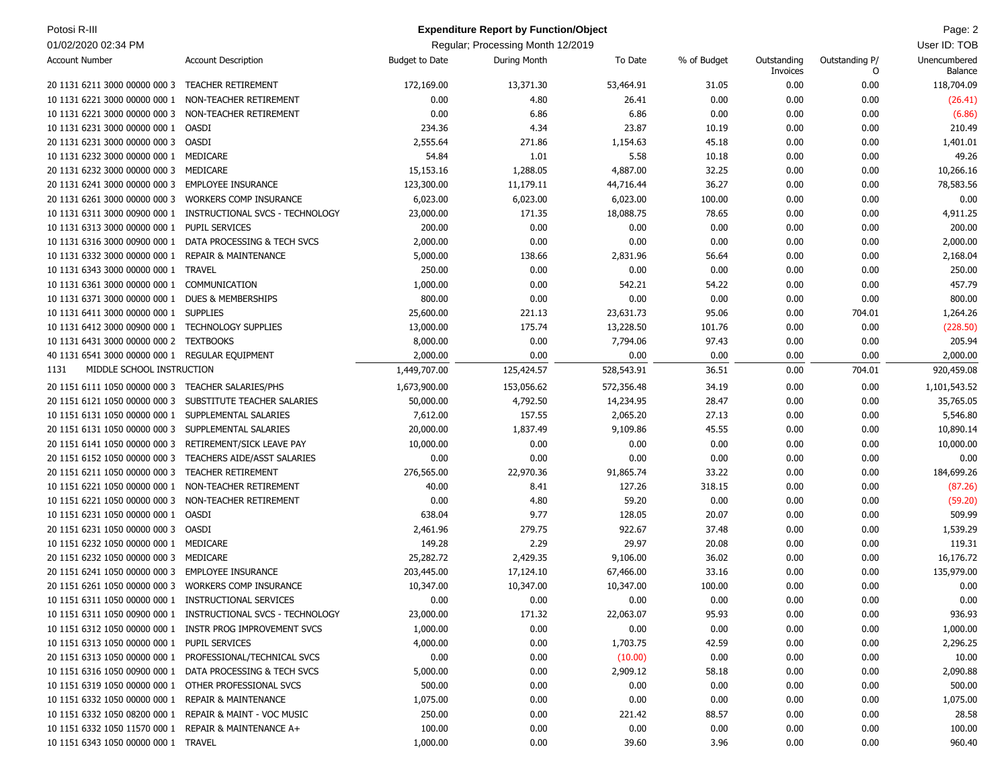| Potosi R-III<br><b>Expenditure Report by Function/Object</b> |                                                               |                       |                                   |            |             |                         | Page: 2             |                         |
|--------------------------------------------------------------|---------------------------------------------------------------|-----------------------|-----------------------------------|------------|-------------|-------------------------|---------------------|-------------------------|
| 01/02/2020 02:34 PM                                          |                                                               |                       | Regular; Processing Month 12/2019 |            |             |                         |                     | User ID: TOB            |
| <b>Account Number</b>                                        | <b>Account Description</b>                                    | <b>Budget to Date</b> | During Month                      | To Date    | % of Budget | Outstanding<br>Invoices | Outstanding P/<br>O | Unencumbered<br>Balance |
| 20 1131 6211 3000 00000 000 3                                | <b>TEACHER RETIREMENT</b>                                     | 172,169.00            | 13,371.30                         | 53,464.91  | 31.05       | 0.00                    | 0.00                | 118,704.09              |
| 10 1131 6221 3000 00000 000 1                                | NON-TEACHER RETIREMENT                                        | 0.00                  | 4.80                              | 26.41      | 0.00        | 0.00                    | 0.00                | (26.41)                 |
| 10 1131 6221 3000 00000 000 3                                | NON-TEACHER RETIREMENT                                        | 0.00                  | 6.86                              | 6.86       | 0.00        | 0.00                    | 0.00                | (6.86)                  |
| 10 1131 6231 3000 00000 000 1                                | OASDI                                                         | 234.36                | 4.34                              | 23.87      | 10.19       | 0.00                    | 0.00                | 210.49                  |
| 20 1131 6231 3000 00000 000 3                                | OASDI                                                         | 2,555.64              | 271.86                            | 1,154.63   | 45.18       | 0.00                    | 0.00                | 1,401.01                |
| 10 1131 6232 3000 00000 000 1 MEDICARE                       |                                                               | 54.84                 | 1.01                              | 5.58       | 10.18       | 0.00                    | 0.00                | 49.26                   |
| 20 1131 6232 3000 00000 000 3                                | MEDICARE                                                      | 15,153.16             | 1,288.05                          | 4,887.00   | 32.25       | 0.00                    | 0.00                | 10,266.16               |
| 20 1131 6241 3000 00000 000 3                                | <b>EMPLOYEE INSURANCE</b>                                     | 123,300.00            | 11,179.11                         | 44,716.44  | 36.27       | 0.00                    | 0.00                | 78,583.56               |
| 20 1131 6261 3000 00000 000 3                                | <b>WORKERS COMP INSURANCE</b>                                 | 6,023.00              | 6,023.00                          | 6,023.00   | 100.00      | 0.00                    | 0.00                | 0.00                    |
| 10 1131 6311 3000 00900 000 1                                | INSTRUCTIONAL SVCS - TECHNOLOGY                               | 23,000.00             | 171.35                            | 18,088.75  | 78.65       | 0.00                    | 0.00                | 4,911.25                |
| 10 1131 6313 3000 00000 000 1                                | PUPIL SERVICES                                                | 200.00                | 0.00                              | 0.00       | 0.00        | 0.00                    | 0.00                | 200.00                  |
| 10 1131 6316 3000 00900 000 1                                | DATA PROCESSING & TECH SVCS                                   | 2,000.00              | 0.00                              | 0.00       | 0.00        | 0.00                    | 0.00                | 2,000.00                |
| 10 1131 6332 3000 00000 000 1                                | <b>REPAIR &amp; MAINTENANCE</b>                               | 5,000.00              | 138.66                            | 2,831.96   | 56.64       | 0.00                    | 0.00                | 2,168.04                |
| 10 1131 6343 3000 00000 000 1                                | <b>TRAVEL</b>                                                 | 250.00                | 0.00                              | 0.00       | 0.00        | 0.00                    | 0.00                | 250.00                  |
| 10 1131 6361 3000 00000 000 1 COMMUNICATION                  |                                                               | 1,000.00              | 0.00                              | 542.21     | 54.22       | 0.00                    | 0.00                | 457.79                  |
| 10 1131 6371 3000 00000 000 1                                | <b>DUES &amp; MEMBERSHIPS</b>                                 | 800.00                | 0.00                              | 0.00       | 0.00        | 0.00                    | 0.00                | 800.00                  |
| 10 1131 6411 3000 00000 000 1                                | <b>SUPPLIES</b>                                               | 25,600.00             | 221.13                            | 23,631.73  | 95.06       | 0.00                    | 704.01              | 1,264.26                |
| 10 1131 6412 3000 00900 000 1                                | <b>TECHNOLOGY SUPPLIES</b>                                    | 13,000.00             | 175.74                            | 13,228.50  | 101.76      | 0.00                    | 0.00                | (228.50)                |
| 10 1131 6431 3000 00000 000 2                                | <b>TEXTBOOKS</b>                                              | 8,000.00              | 0.00                              | 7,794.06   | 97.43       | 0.00                    | 0.00                | 205.94                  |
| 40 1131 6541 3000 00000 000 1                                | REGULAR EQUIPMENT                                             | 2,000.00              | 0.00                              | 0.00       | 0.00        | 0.00                    | 0.00                | 2,000.00                |
| MIDDLE SCHOOL INSTRUCTION<br>1131                            |                                                               | 1,449,707.00          | 125,424.57                        | 528,543.91 | 36.51       | 0.00                    | 704.01              | 920,459.08              |
| 20 1151 6111 1050 00000 000 3                                | <b>TEACHER SALARIES/PHS</b>                                   | 1,673,900.00          | 153,056.62                        | 572,356.48 | 34.19       | 0.00                    | 0.00                | 1,101,543.52            |
| 20 1151 6121 1050 00000 000 3                                | SUBSTITUTE TEACHER SALARIES                                   | 50,000.00             | 4,792.50                          | 14,234.95  | 28.47       | 0.00                    | 0.00                | 35,765.05               |
| 10 1151 6131 1050 00000 000 1                                | SUPPLEMENTAL SALARIES                                         | 7,612.00              | 157.55                            | 2,065.20   | 27.13       | 0.00                    | 0.00                | 5,546.80                |
| 20 1151 6131 1050 00000 000 3                                | SUPPLEMENTAL SALARIES                                         | 20,000.00             | 1,837.49                          | 9,109.86   | 45.55       | 0.00                    | 0.00                | 10,890.14               |
| 20 1151 6141 1050 00000 000 3                                | RETIREMENT/SICK LEAVE PAY                                     | 10,000.00             | 0.00                              | 0.00       | 0.00        | 0.00                    | 0.00                | 10,000.00               |
| 20 1151 6152 1050 00000 000 3                                | <b>TEACHERS AIDE/ASST SALARIES</b>                            | 0.00                  | 0.00                              | 0.00       | 0.00        | 0.00                    | 0.00                | 0.00                    |
| 20 1151 6211 1050 00000 000 3                                | <b>TEACHER RETIREMENT</b>                                     | 276,565.00            | 22,970.36                         | 91,865.74  | 33.22       | 0.00                    | 0.00                | 184,699.26              |
| 10 1151 6221 1050 00000 000 1                                | NON-TEACHER RETIREMENT                                        | 40.00                 | 8.41                              | 127.26     | 318.15      | 0.00                    | 0.00                | (87.26)                 |
| 10 1151 6221 1050 00000 000 3                                | NON-TEACHER RETIREMENT                                        | 0.00                  | 4.80                              | 59.20      | 0.00        | 0.00                    | 0.00                | (59.20)                 |
| 10 1151 6231 1050 00000 000 1                                | <b>OASDI</b>                                                  | 638.04                | 9.77                              | 128.05     | 20.07       | 0.00                    | 0.00                | 509.99                  |
| 20 1151 6231 1050 00000 000 3 OASDI                          |                                                               | 2,461.96              | 279.75                            | 922.67     | 37.48       | 0.00                    | 0.00                | 1,539.29                |
| 10 1151 6232 1050 00000 000 1                                | MEDICARE                                                      | 149.28                | 2.29                              | 29.97      | 20.08       | 0.00                    | 0.00                | 119.31                  |
| 20 1151 6232 1050 00000 000 3                                | MEDICARE                                                      | 25,282.72             | 2,429.35                          | 9,106.00   | 36.02       | 0.00                    | 0.00                | 16,176.72               |
| 20 1151 6241 1050 00000 000 3                                | <b>EMPLOYEE INSURANCE</b>                                     | 203,445.00            | 17,124.10                         | 67,466.00  | 33.16       | 0.00                    | 0.00                | 135,979.00              |
| 20 1151 6261 1050 00000 000 3 WORKERS COMP INSURANCE         |                                                               | 10,347.00             | 10,347.00                         | 10,347.00  | 100.00      | 0.00                    | 0.00                | 0.00                    |
| 10 1151 6311 1050 00000 000 1 INSTRUCTIONAL SERVICES         |                                                               | 0.00                  | 0.00                              | 0.00       | 0.00        | 0.00                    | 0.00                | 0.00                    |
|                                                              | 10 1151 6311 1050 00900 000 1 INSTRUCTIONAL SVCS - TECHNOLOGY | 23,000.00             | 171.32                            | 22,063.07  | 95.93       | 0.00                    | 0.00                | 936.93                  |
|                                                              | 10 1151 6312 1050 00000 000 1 INSTR PROG IMPROVEMENT SVCS     | 1,000.00              | 0.00                              | 0.00       | 0.00        | 0.00                    | 0.00                | 1,000.00                |
| 10 1151 6313 1050 00000 000 1 PUPIL SERVICES                 |                                                               | 4,000.00              | 0.00                              | 1,703.75   | 42.59       | 0.00                    | 0.00                | 2,296.25                |
|                                                              | 20 1151 6313 1050 00000 000 1 PROFESSIONAL/TECHNICAL SVCS     | 0.00                  | 0.00                              | (10.00)    | 0.00        | 0.00                    | 0.00                | 10.00                   |
| 10 1151 6316 1050 00900 000 1                                | DATA PROCESSING & TECH SVCS                                   | 5,000.00              | 0.00                              | 2,909.12   | 58.18       | 0.00                    | 0.00                | 2,090.88                |
| 10 1151 6319 1050 00000 000 1 OTHER PROFESSIONAL SVCS        |                                                               | 500.00                | 0.00                              | 0.00       | 0.00        | 0.00                    | 0.00                | 500.00                  |
| 10 1151 6332 1050 00000 000 1                                | <b>REPAIR &amp; MAINTENANCE</b>                               | 1,075.00              | 0.00                              | 0.00       | 0.00        | 0.00                    | 0.00                | 1,075.00                |
| 10 1151 6332 1050 08200 000 1 REPAIR & MAINT - VOC MUSIC     |                                                               | 250.00                | 0.00                              | 221.42     | 88.57       | 0.00                    | 0.00                | 28.58                   |
| 10 1151 6332 1050 11570 000 1 REPAIR & MAINTENANCE A+        |                                                               | 100.00                | 0.00                              | 0.00       | 0.00        | 0.00                    | 0.00                | 100.00                  |
| 10 1151 6343 1050 00000 000 1 TRAVEL                         |                                                               | 1,000.00              | 0.00                              | 39.60      | 3.96        | 0.00                    | 0.00                | 960.40                  |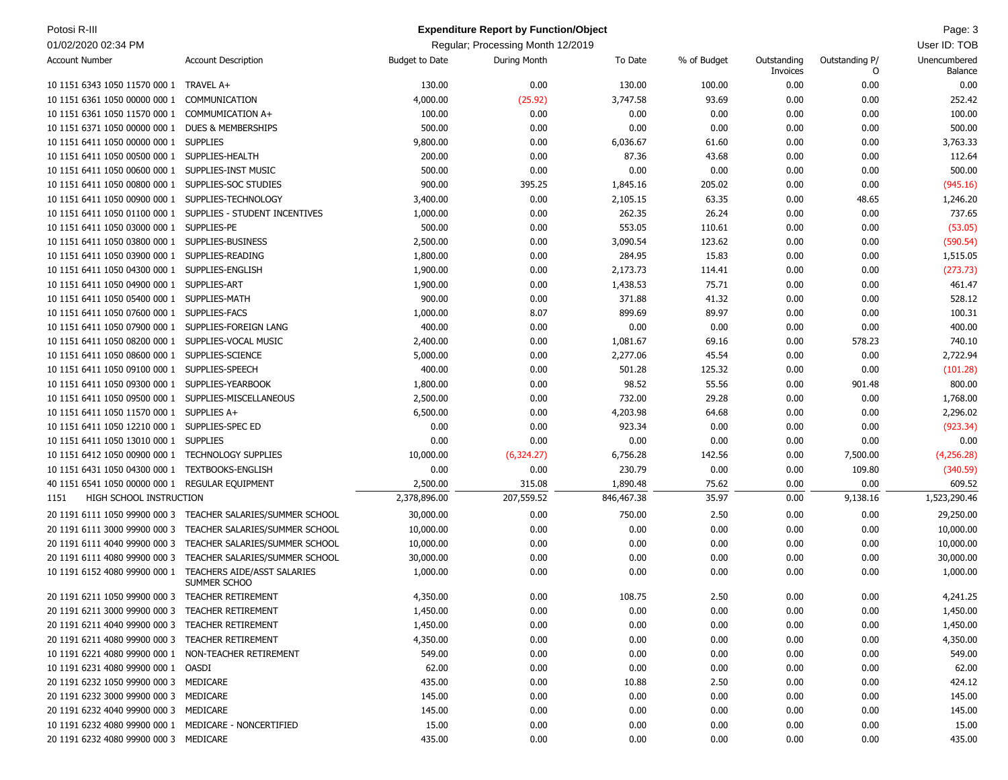| Potosi R-III                                          |                                                    |                       | <b>Expenditure Report by Function/Object</b> |            |             |                         |                     | Page: 3                 |
|-------------------------------------------------------|----------------------------------------------------|-----------------------|----------------------------------------------|------------|-------------|-------------------------|---------------------|-------------------------|
| 01/02/2020 02:34 PM                                   |                                                    |                       | Regular; Processing Month 12/2019            |            |             |                         |                     | User ID: TOB            |
| <b>Account Number</b>                                 | <b>Account Description</b>                         | <b>Budget to Date</b> | During Month                                 | To Date    | % of Budget | Outstanding<br>Invoices | Outstanding P/<br>O | Unencumbered<br>Balance |
| 10 1151 6343 1050 11570 000 1 TRAVEL A+               |                                                    | 130.00                | 0.00                                         | 130.00     | 100.00      | 0.00                    | 0.00                | 0.00                    |
| 10 1151 6361 1050 00000 000 1                         | COMMUNICATION                                      | 4,000.00              | (25.92)                                      | 3,747.58   | 93.69       | 0.00                    | 0.00                | 252.42                  |
| 10 1151 6361 1050 11570 000 1 COMMUMICATION A+        |                                                    | 100.00                | 0.00                                         | 0.00       | 0.00        | 0.00                    | 0.00                | 100.00                  |
| 10 1151 6371 1050 00000 000 1                         | <b>DUES &amp; MEMBERSHIPS</b>                      | 500.00                | 0.00                                         | 0.00       | 0.00        | 0.00                    | 0.00                | 500.00                  |
| 10 1151 6411 1050 00000 000 1 SUPPLIES                |                                                    | 9,800.00              | 0.00                                         | 6,036.67   | 61.60       | 0.00                    | 0.00                | 3,763.33                |
| 10 1151 6411 1050 00500 000 1 SUPPLIES-HEALTH         |                                                    | 200.00                | 0.00                                         | 87.36      | 43.68       | 0.00                    | 0.00                | 112.64                  |
| 10 1151 6411 1050 00600 000 1                         | SUPPLIES-INST MUSIC                                | 500.00                | 0.00                                         | 0.00       | 0.00        | 0.00                    | 0.00                | 500.00                  |
| 10 1151 6411 1050 00800 000 1                         | SUPPLIES-SOC STUDIES                               | 900.00                | 395.25                                       | 1,845.16   | 205.02      | 0.00                    | 0.00                | (945.16)                |
| 10 1151 6411 1050 00900 000 1                         | SUPPLIES-TECHNOLOGY                                | 3,400.00              | 0.00                                         | 2,105.15   | 63.35       | 0.00                    | 48.65               | 1,246.20                |
| 10 1151 6411 1050 01100 000 1                         | SUPPLIES - STUDENT INCENTIVES                      | 1,000.00              | 0.00                                         | 262.35     | 26.24       | 0.00                    | 0.00                | 737.65                  |
| 10 1151 6411 1050 03000 000 1 SUPPLIES-PE             |                                                    | 500.00                | 0.00                                         | 553.05     | 110.61      | 0.00                    | 0.00                | (53.05)                 |
| 10 1151 6411 1050 03800 000 1                         | SUPPLIES-BUSINESS                                  | 2,500.00              | 0.00                                         | 3,090.54   | 123.62      | 0.00                    | 0.00                | (590.54)                |
| 10 1151 6411 1050 03900 000 1 SUPPLIES-READING        |                                                    | 1,800.00              | 0.00                                         | 284.95     | 15.83       | 0.00                    | 0.00                | 1,515.05                |
| 10 1151 6411 1050 04300 000 1 SUPPLIES-ENGLISH        |                                                    | 1,900.00              | 0.00                                         | 2,173.73   | 114.41      | 0.00                    | 0.00                | (273.73)                |
| 10 1151 6411 1050 04900 000 1 SUPPLIES-ART            |                                                    | 1,900.00              | 0.00                                         | 1,438.53   | 75.71       | 0.00                    | 0.00                | 461.47                  |
| 10 1151 6411 1050 05400 000 1 SUPPLIES-MATH           |                                                    | 900.00                | 0.00                                         | 371.88     | 41.32       | 0.00                    | 0.00                | 528.12                  |
| 10 1151 6411 1050 07600 000 1                         | SUPPLIES-FACS                                      | 1,000.00              | 8.07                                         | 899.69     | 89.97       | 0.00                    | 0.00                | 100.31                  |
| 10 1151 6411 1050 07900 000 1 SUPPLIES-FOREIGN LANG   |                                                    | 400.00                | 0.00                                         | 0.00       | 0.00        | 0.00                    | 0.00                | 400.00                  |
| 10 1151 6411 1050 08200 000 1                         | SUPPLIES-VOCAL MUSIC                               | 2,400.00              | 0.00                                         | 1,081.67   | 69.16       | 0.00                    | 578.23              | 740.10                  |
| 10 1151 6411 1050 08600 000 1                         | SUPPLIES-SCIENCE                                   | 5,000.00              | 0.00                                         | 2,277.06   | 45.54       | 0.00                    | 0.00                | 2,722.94                |
| 10 1151 6411 1050 09100 000 1                         | SUPPLIES-SPEECH                                    | 400.00                | 0.00                                         | 501.28     | 125.32      | 0.00                    | 0.00                | (101.28)                |
| 10 1151 6411 1050 09300 000 1 SUPPLIES-YEARBOOK       |                                                    | 1,800.00              | 0.00                                         | 98.52      | 55.56       | 0.00                    | 901.48              | 800.00                  |
| 10 1151 6411 1050 09500 000 1                         | SUPPLIES-MISCELLANEOUS                             | 2,500.00              | 0.00                                         | 732.00     | 29.28       | 0.00                    | 0.00                | 1,768.00                |
| 10 1151 6411 1050 11570 000 1 SUPPLIES A+             |                                                    | 6,500.00              | 0.00                                         | 4,203.98   | 64.68       | 0.00                    | 0.00                | 2,296.02                |
| 10 1151 6411 1050 12210 000 1 SUPPLIES-SPEC ED        |                                                    | 0.00                  | 0.00                                         | 923.34     | 0.00        | 0.00                    | 0.00                | (923.34)                |
| 10 1151 6411 1050 13010 000 1 SUPPLIES                |                                                    | 0.00                  | 0.00                                         | 0.00       | 0.00        | 0.00                    | 0.00                | 0.00                    |
| 10 1151 6412 1050 00900 000 1 TECHNOLOGY SUPPLIES     |                                                    | 10,000.00             | (6,324.27)                                   | 6,756.28   | 142.56      | 0.00                    | 7,500.00            | (4,256.28)              |
| 10 1151 6431 1050 04300 000 1                         | <b>TEXTBOOKS-ENGLISH</b>                           | 0.00                  | 0.00                                         | 230.79     | 0.00        | 0.00                    | 109.80              | (340.59)                |
| 40 1151 6541 1050 00000 000 1 REGULAR EQUIPMENT       |                                                    | 2,500.00              | 315.08                                       | 1,890.48   | 75.62       | 0.00                    | 0.00                | 609.52                  |
| HIGH SCHOOL INSTRUCTION<br>1151                       |                                                    | 2,378,896.00          | 207,559.52                                   | 846,467.38 | 35.97       | 0.00                    | 9,138.16            | 1,523,290.46            |
| 20 1191 6111 1050 99900 000 3                         | TEACHER SALARIES/SUMMER SCHOOL                     | 30,000.00             | 0.00                                         | 750.00     | 2.50        | 0.00                    | 0.00                | 29,250.00               |
| 20 1191 6111 3000 99900 000 3                         | TEACHER SALARIES/SUMMER SCHOOL                     | 10,000.00             | 0.00                                         | 0.00       | 0.00        | 0.00                    | 0.00                | 10,000.00               |
| 20 1191 6111 4040 99900 000 3                         | TEACHER SALARIES/SUMMER SCHOOL                     | 10,000.00             | 0.00                                         | 0.00       | 0.00        | 0.00                    | 0.00                | 10,000.00               |
| 20 1191 6111 4080 99900 000 3                         | TEACHER SALARIES/SUMMER SCHOOL                     | 30,000.00             | 0.00                                         | 0.00       | 0.00        | 0.00                    | 0.00                | 30,000.00               |
| 10 1191 6152 4080 99900 000 1                         | <b>TEACHERS AIDE/ASST SALARIES</b><br>SUMMER SCHOO | 1,000.00              | 0.00                                         | 0.00       | 0.00        | 0.00                    | 0.00                | 1,000.00                |
| 20 1191 6211 1050 99900 000 3 TEACHER RETIREMENT      |                                                    | 4,350.00              | 0.00                                         | 108.75     | 2.50        | 0.00                    | 0.00                | 4,241.25                |
| 20 1191 6211 3000 99900 000 3                         | TEACHER RETIREMENT                                 | 1,450.00              | 0.00                                         | 0.00       | 0.00        | 0.00                    | 0.00                | 1,450.00                |
| 20 1191 6211 4040 99900 000 3 TEACHER RETIREMENT      |                                                    | 1,450.00              | 0.00                                         | 0.00       | 0.00        | 0.00                    | 0.00                | 1,450.00                |
| 20 1191 6211 4080 99900 000 3 TEACHER RETIREMENT      |                                                    | 4,350.00              | 0.00                                         | 0.00       | 0.00        | 0.00                    | 0.00                | 4,350.00                |
| 10 1191 6221 4080 99900 000 1 NON-TEACHER RETIREMENT  |                                                    | 549.00                | 0.00                                         | 0.00       | 0.00        | 0.00                    | 0.00                | 549.00                  |
| 10 1191 6231 4080 99900 000 1 OASDI                   |                                                    | 62.00                 | 0.00                                         | 0.00       | 0.00        | 0.00                    | 0.00                | 62.00                   |
| 20 1191 6232 1050 99900 000 3 MEDICARE                |                                                    | 435.00                | 0.00                                         | 10.88      | 2.50        | 0.00                    | 0.00                | 424.12                  |
| 20 1191 6232 3000 99900 000 3 MEDICARE                |                                                    | 145.00                | 0.00                                         | 0.00       | 0.00        | 0.00                    | 0.00                | 145.00                  |
| 20 1191 6232 4040 99900 000 3 MEDICARE                |                                                    | 145.00                | 0.00                                         | 0.00       | 0.00        | 0.00                    | 0.00                | 145.00                  |
| 10 1191 6232 4080 99900 000 1 MEDICARE - NONCERTIFIED |                                                    | 15.00                 | 0.00                                         | 0.00       | 0.00        | 0.00                    | 0.00                | 15.00                   |
| 20 1191 6232 4080 99900 000 3 MEDICARE                |                                                    | 435.00                | 0.00                                         | 0.00       | 0.00        | 0.00                    | 0.00                | 435.00                  |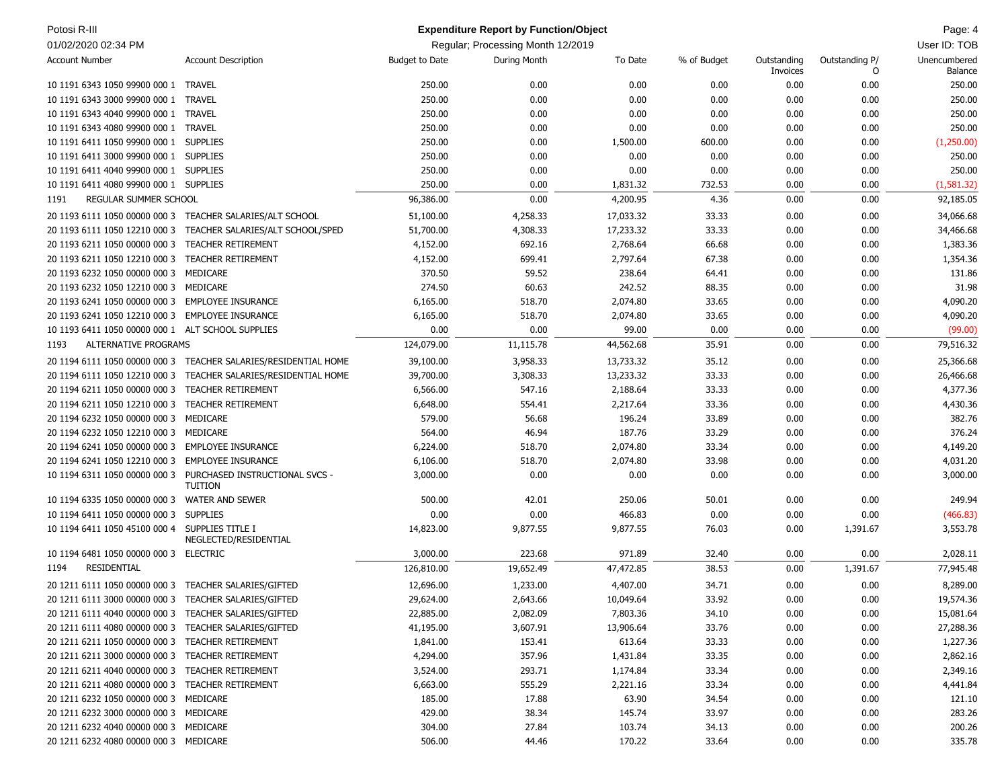| Potosi R-III                                          |                                                                                |                       | <b>Expenditure Report by Function/Object</b> |           |             |                         |                     | Page: 4                        |
|-------------------------------------------------------|--------------------------------------------------------------------------------|-----------------------|----------------------------------------------|-----------|-------------|-------------------------|---------------------|--------------------------------|
| 01/02/2020 02:34 PM                                   |                                                                                |                       | Regular; Processing Month 12/2019            |           |             |                         |                     | User ID: TOB                   |
| <b>Account Number</b>                                 | <b>Account Description</b>                                                     | <b>Budget to Date</b> | During Month                                 | To Date   | % of Budget | Outstanding<br>Invoices | Outstanding P/<br>0 | Unencumbered<br><b>Balance</b> |
| 10 1191 6343 1050 99900 000 1 TRAVEL                  |                                                                                | 250.00                | 0.00                                         | 0.00      | 0.00        | 0.00                    | 0.00                | 250.00                         |
| 10 1191 6343 3000 99900 000 1                         | <b>TRAVEL</b>                                                                  | 250.00                | 0.00                                         | 0.00      | 0.00        | 0.00                    | 0.00                | 250.00                         |
| 10 1191 6343 4040 99900 000 1 TRAVEL                  |                                                                                | 250.00                | 0.00                                         | 0.00      | 0.00        | 0.00                    | 0.00                | 250.00                         |
| 10 1191 6343 4080 99900 000 1                         | <b>TRAVEL</b>                                                                  | 250.00                | 0.00                                         | 0.00      | 0.00        | 0.00                    | 0.00                | 250.00                         |
| 10 1191 6411 1050 99900 000 1 SUPPLIES                |                                                                                | 250.00                | 0.00                                         | 1,500.00  | 600.00      | 0.00                    | 0.00                | (1,250.00)                     |
| 10 1191 6411 3000 99900 000 1 SUPPLIES                |                                                                                | 250.00                | 0.00                                         | 0.00      | 0.00        | 0.00                    | 0.00                | 250.00                         |
| 10 1191 6411 4040 99900 000 1 SUPPLIES                |                                                                                | 250.00                | 0.00                                         | 0.00      | 0.00        | 0.00                    | 0.00                | 250.00                         |
| 10 1191 6411 4080 99900 000 1 SUPPLIES                |                                                                                | 250.00                | 0.00                                         | 1,831.32  | 732.53      | 0.00                    | 0.00                | (1,581.32)                     |
| REGULAR SUMMER SCHOOL<br>1191                         |                                                                                | 96,386.00             | 0.00                                         | 4,200.95  | 4.36        | 0.00                    | 0.00                | 92,185.05                      |
|                                                       | 20 1193 6111 1050 00000 000 3 TEACHER SALARIES/ALT SCHOOL                      | 51,100.00             | 4,258.33                                     | 17,033.32 | 33.33       | 0.00                    | 0.00                | 34,066.68                      |
| 20 1193 6111 1050 12210 000 3                         | TEACHER SALARIES/ALT SCHOOL/SPED                                               | 51,700.00             | 4,308.33                                     | 17,233.32 | 33.33       | 0.00                    | 0.00                | 34,466.68                      |
| 20 1193 6211 1050 00000 000 3                         | <b>TEACHER RETIREMENT</b>                                                      | 4,152.00              | 692.16                                       | 2,768.64  | 66.68       | 0.00                    | 0.00                | 1,383.36                       |
| 20 1193 6211 1050 12210 000 3                         | <b>TEACHER RETIREMENT</b>                                                      | 4,152.00              | 699.41                                       | 2,797.64  | 67.38       | 0.00                    | 0.00                | 1,354.36                       |
| 20 1193 6232 1050 00000 000 3                         | MEDICARE                                                                       | 370.50                | 59.52                                        | 238.64    | 64.41       | 0.00                    | 0.00                | 131.86                         |
| 20 1193 6232 1050 12210 000 3 MEDICARE                |                                                                                | 274.50                | 60.63                                        | 242.52    | 88.35       | 0.00                    | 0.00                | 31.98                          |
| 20 1193 6241 1050 00000 000 3 EMPLOYEE INSURANCE      |                                                                                | 6,165.00              | 518.70                                       | 2,074.80  | 33.65       | 0.00                    | 0.00                | 4,090.20                       |
| 20 1193 6241 1050 12210 000 3 EMPLOYEE INSURANCE      |                                                                                | 6,165.00              | 518.70                                       | 2,074.80  | 33.65       | 0.00                    | 0.00                | 4,090.20                       |
| 10 1193 6411 1050 00000 000 1 ALT SCHOOL SUPPLIES     |                                                                                | 0.00                  | 0.00                                         | 99.00     | 0.00        | 0.00                    | 0.00                | (99.00)                        |
| <b>ALTERNATIVE PROGRAMS</b><br>1193                   |                                                                                | 124,079.00            | 11,115.78                                    | 44,562.68 | 35.91       | 0.00                    | 0.00                | 79,516.32                      |
|                                                       | 20 1194 6111 1050 00000 000 3 TEACHER SALARIES/RESIDENTIAL HOME                | 39,100.00             | 3,958.33                                     | 13,733.32 | 35.12       | 0.00                    | 0.00                | 25,366.68                      |
| 20 1194 6111 1050 12210 000 3                         | TEACHER SALARIES/RESIDENTIAL HOME                                              | 39,700.00             | 3,308.33                                     | 13,233.32 | 33.33       | 0.00                    | 0.00                | 26,466.68                      |
| 20 1194 6211 1050 00000 000 3                         | <b>TEACHER RETIREMENT</b>                                                      | 6,566.00              | 547.16                                       | 2,188.64  | 33.33       | 0.00                    | 0.00                | 4,377.36                       |
| 20 1194 6211 1050 12210 000 3 TEACHER RETIREMENT      |                                                                                | 6,648.00              | 554.41                                       | 2,217.64  | 33.36       | 0.00                    | 0.00                | 4,430.36                       |
| 20 1194 6232 1050 00000 000 3                         | MEDICARE                                                                       | 579.00                | 56.68                                        | 196.24    | 33.89       | 0.00                    | 0.00                | 382.76                         |
| 20 1194 6232 1050 12210 000 3                         | MEDICARE                                                                       | 564.00                | 46.94                                        | 187.76    | 33.29       | 0.00                    | 0.00                | 376.24                         |
| 20 1194 6241 1050 00000 000 3 EMPLOYEE INSURANCE      |                                                                                | 6,224.00              | 518.70                                       | 2,074.80  | 33.34       | 0.00                    | 0.00                | 4,149.20                       |
| 20 1194 6241 1050 12210 000 3 EMPLOYEE INSURANCE      |                                                                                | 6,106.00              | 518.70                                       | 2,074.80  | 33.98       | 0.00                    | 0.00                | 4,031.20                       |
|                                                       | 10 1194 6311 1050 00000 000 3 PURCHASED INSTRUCTIONAL SVCS -<br><b>TUITION</b> | 3,000.00              | 0.00                                         | 0.00      | 0.00        | 0.00                    | 0.00                | 3,000.00                       |
| 10 1194 6335 1050 00000 000 3                         | <b>WATER AND SEWER</b>                                                         | 500.00                | 42.01                                        | 250.06    | 50.01       | 0.00                    | 0.00                | 249.94                         |
| 10 1194 6411 1050 00000 000 3                         | <b>SUPPLIES</b>                                                                | 0.00                  | 0.00                                         | 466.83    | 0.00        | 0.00                    | 0.00                | (466.83)                       |
| 10 1194 6411 1050 45100 000 4 SUPPLIES TITLE I        | NEGLECTED/RESIDENTIAL                                                          | 14,823.00             | 9,877.55                                     | 9,877.55  | 76.03       | 0.00                    | 1,391.67            | 3,553.78                       |
| 10 1194 6481 1050 00000 000 3 ELECTRIC                |                                                                                | 3,000.00              | 223.68                                       | 971.89    | 32.40       | 0.00                    | 0.00                | 2,028.11                       |
| RESIDENTIAL<br>1194                                   |                                                                                | 126,810.00            | 19,652.49                                    | 47,472.85 | 38.53       | 0.00                    | 1,391.67            | 77,945.48                      |
| 20 1211 6111 1050 00000 000 3 TEACHER SALARIES/GIFTED |                                                                                | 12,696.00             | 1,233,00                                     | 4,407.00  | 34.71       | 0.00                    | 0.00                | 8,289.00                       |
| 20 1211 6111 3000 00000 000 3 TEACHER SALARIES/GIFTED |                                                                                | 29,624.00             | 2,643.66                                     | 10,049.64 | 33.92       | 0.00                    | 0.00                | 19,574.36                      |
| 20 1211 6111 4040 00000 000 3 TEACHER SALARIES/GIFTED |                                                                                | 22,885.00             | 2,082.09                                     | 7,803.36  | 34.10       | 0.00                    | 0.00                | 15,081.64                      |
| 20 1211 6111 4080 00000 000 3 TEACHER SALARIES/GIFTED |                                                                                | 41,195.00             | 3,607.91                                     | 13,906.64 | 33.76       | 0.00                    | 0.00                | 27,288.36                      |
| 20 1211 6211 1050 00000 000 3 TEACHER RETIREMENT      |                                                                                | 1,841.00              | 153.41                                       | 613.64    | 33.33       | 0.00                    | 0.00                | 1,227.36                       |
| 20 1211 6211 3000 00000 000 3 TEACHER RETIREMENT      |                                                                                | 4,294.00              | 357.96                                       | 1,431.84  | 33.35       | 0.00                    | 0.00                | 2,862.16                       |
| 20 1211 6211 4040 00000 000 3 TEACHER RETIREMENT      |                                                                                | 3,524.00              | 293.71                                       | 1,174.84  | 33.34       | 0.00                    | 0.00                | 2,349.16                       |
| 20 1211 6211 4080 00000 000 3 TEACHER RETIREMENT      |                                                                                | 6,663.00              | 555.29                                       | 2,221.16  | 33.34       | 0.00                    | 0.00                | 4,441.84                       |
| 20 1211 6232 1050 00000 000 3 MEDICARE                |                                                                                | 185.00                | 17.88                                        | 63.90     | 34.54       | 0.00                    | 0.00                | 121.10                         |
| 20 1211 6232 3000 00000 000 3 MEDICARE                |                                                                                | 429.00                | 38.34                                        | 145.74    | 33.97       | 0.00                    | 0.00                | 283.26                         |
| 20 1211 6232 4040 00000 000 3 MEDICARE                |                                                                                | 304.00                | 27.84                                        | 103.74    | 34.13       | 0.00                    | 0.00                | 200.26                         |
| 20 1211 6232 4080 00000 000 3 MEDICARE                |                                                                                | 506.00                | 44.46                                        | 170.22    | 33.64       | 0.00                    | 0.00                | 335.78                         |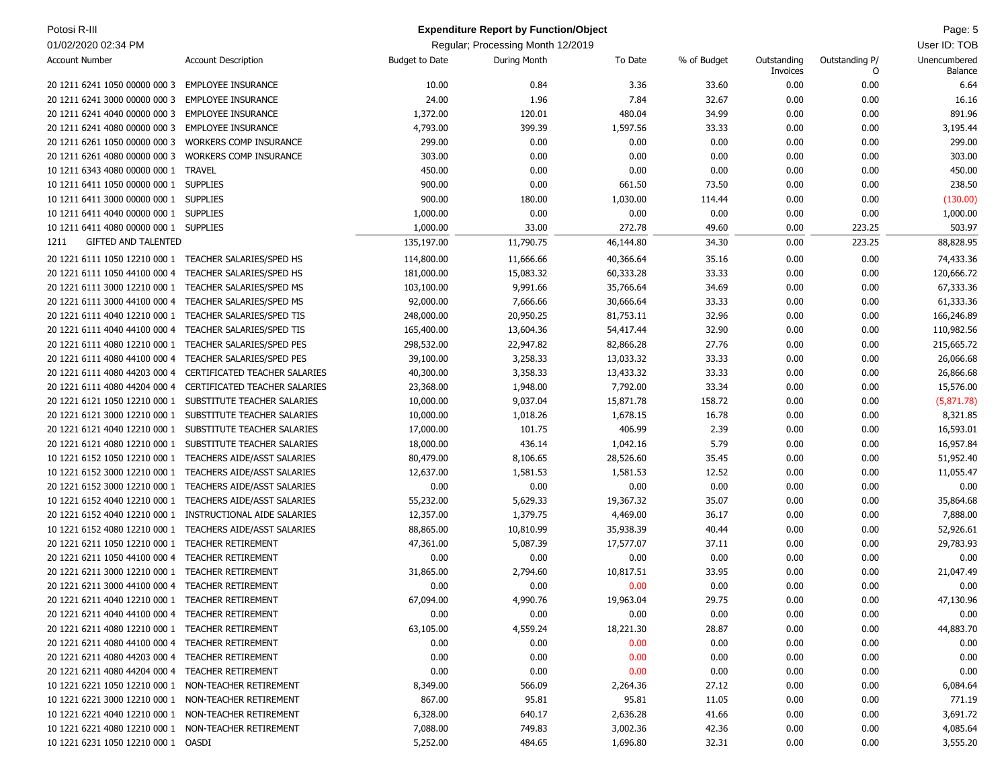| Potosi R-III                                         |                               |                       | <b>Expenditure Report by Function/Object</b> |           |             |                         |                     | Page: 5                 |
|------------------------------------------------------|-------------------------------|-----------------------|----------------------------------------------|-----------|-------------|-------------------------|---------------------|-------------------------|
| 01/02/2020 02:34 PM                                  |                               |                       | Regular; Processing Month 12/2019            |           |             |                         |                     | User ID: TOB            |
| <b>Account Number</b>                                | <b>Account Description</b>    | <b>Budget to Date</b> | During Month                                 | To Date   | % of Budget | Outstanding<br>Invoices | Outstanding P/<br>O | Unencumbered<br>Balance |
| 20 1211 6241 1050 00000 000 3 EMPLOYEE INSURANCE     |                               | 10.00                 | 0.84                                         | 3.36      | 33.60       | 0.00                    | 0.00                | 6.64                    |
| 20 1211 6241 3000 00000 000 3                        | <b>EMPLOYEE INSURANCE</b>     | 24.00                 | 1.96                                         | 7.84      | 32.67       | 0.00                    | 0.00                | 16.16                   |
| 20 1211 6241 4040 00000 000 3 EMPLOYEE INSURANCE     |                               | 1,372.00              | 120.01                                       | 480.04    | 34.99       | 0.00                    | 0.00                | 891.96                  |
| 20 1211 6241 4080 00000 000 3                        | <b>EMPLOYEE INSURANCE</b>     | 4,793.00              | 399.39                                       | 1,597.56  | 33.33       | 0.00                    | 0.00                | 3,195.44                |
| 20 1211 6261 1050 00000 000 3                        | <b>WORKERS COMP INSURANCE</b> | 299.00                | 0.00                                         | 0.00      | 0.00        | 0.00                    | 0.00                | 299.00                  |
| 20 1211 6261 4080 00000 000 3                        | <b>WORKERS COMP INSURANCE</b> | 303.00                | 0.00                                         | 0.00      | 0.00        | 0.00                    | 0.00                | 303.00                  |
| 10 1211 6343 4080 00000 000 1                        | <b>TRAVEL</b>                 | 450.00                | 0.00                                         | 0.00      | 0.00        | 0.00                    | 0.00                | 450.00                  |
| 10 1211 6411 1050 00000 000 1 SUPPLIES               |                               | 900.00                | 0.00                                         | 661.50    | 73.50       | 0.00                    | 0.00                | 238.50                  |
| 10 1211 6411 3000 00000 000 1                        | <b>SUPPLIES</b>               | 900.00                | 180.00                                       | 1,030.00  | 114.44      | 0.00                    | 0.00                | (130.00)                |
| 10 1211 6411 4040 00000 000 1 SUPPLIES               |                               | 1,000.00              | 0.00                                         | 0.00      | 0.00        | 0.00                    | 0.00                | 1,000.00                |
| 10 1211 6411 4080 00000 000 1 SUPPLIES               |                               | 1,000.00              | 33.00                                        | 272.78    | 49.60       | 0.00                    | 223.25              | 503.97                  |
| <b>GIFTED AND TALENTED</b><br>1211                   |                               | 135,197.00            | 11,790.75                                    | 46,144.80 | 34.30       | 0.00                    | 223.25              | 88,828.95               |
| 20 1221 6111 1050 12210 000 1                        | TEACHER SALARIES/SPED HS      | 114,800.00            | 11,666.66                                    | 40,366.64 | 35.16       | 0.00                    | 0.00                | 74,433.36               |
| 20 1221 6111 1050 44100 000 4                        | TEACHER SALARIES/SPED HS      | 181,000.00            | 15,083.32                                    | 60,333.28 | 33.33       | 0.00                    | 0.00                | 120,666.72              |
| 20 1221 6111 3000 12210 000 1                        | TEACHER SALARIES/SPED MS      | 103,100.00            | 9,991.66                                     | 35,766.64 | 34.69       | 0.00                    | 0.00                | 67,333.36               |
| 20 1221 6111 3000 44100 000 4                        | TEACHER SALARIES/SPED MS      | 92,000.00             | 7,666.66                                     | 30,666.64 | 33.33       | 0.00                    | 0.00                | 61,333.36               |
| 20 1221 6111 4040 12210 000 1                        | TEACHER SALARIES/SPED TIS     | 248,000.00            | 20,950.25                                    | 81,753.11 | 32.96       | 0.00                    | 0.00                | 166,246.89              |
| 20 1221 6111 4040 44100 000 4                        | TEACHER SALARIES/SPED TIS     | 165,400.00            | 13,604.36                                    | 54,417.44 | 32.90       | 0.00                    | 0.00                | 110,982.56              |
| 20 1221 6111 4080 12210 000 1                        | TEACHER SALARIES/SPED PES     | 298,532.00            | 22,947.82                                    | 82,866.28 | 27.76       | 0.00                    | 0.00                | 215,665.72              |
| 20 1221 6111 4080 44100 000 4                        | TEACHER SALARIES/SPED PES     | 39,100.00             | 3,258.33                                     | 13,033.32 | 33.33       | 0.00                    | 0.00                | 26,066.68               |
| 20 1221 6111 4080 44203 000 4                        | CERTIFICATED TEACHER SALARIES | 40,300.00             | 3,358.33                                     | 13,433.32 | 33.33       | 0.00                    | 0.00                | 26,866.68               |
| 20 1221 6111 4080 44204 000 4                        | CERTIFICATED TEACHER SALARIES | 23,368.00             | 1,948.00                                     | 7,792.00  | 33.34       | 0.00                    | 0.00                | 15,576.00               |
| 20 1221 6121 1050 12210 000 1                        | SUBSTITUTE TEACHER SALARIES   | 10,000.00             | 9,037.04                                     | 15,871.78 | 158.72      | 0.00                    | 0.00                | (5,871.78)              |
| 20 1221 6121 3000 12210 000 1                        | SUBSTITUTE TEACHER SALARIES   | 10,000.00             | 1,018.26                                     | 1,678.15  | 16.78       | 0.00                    | 0.00                | 8,321.85                |
| 20 1221 6121 4040 12210 000 1                        | SUBSTITUTE TEACHER SALARIES   | 17,000.00             | 101.75                                       | 406.99    | 2.39        | 0.00                    | 0.00                | 16,593.01               |
| 20 1221 6121 4080 12210 000 1                        | SUBSTITUTE TEACHER SALARIES   | 18,000.00             | 436.14                                       | 1,042.16  | 5.79        | 0.00                    | 0.00                | 16,957.84               |
| 10 1221 6152 1050 12210 000 1                        | TEACHERS AIDE/ASST SALARIES   | 80,479.00             | 8,106.65                                     | 28,526.60 | 35.45       | 0.00                    | 0.00                | 51,952.40               |
| 10 1221 6152 3000 12210 000 1                        | TEACHERS AIDE/ASST SALARIES   | 12,637.00             | 1,581.53                                     | 1,581.53  | 12.52       | 0.00                    | 0.00                | 11,055.47               |
| 20 1221 6152 3000 12210 000 1                        | TEACHERS AIDE/ASST SALARIES   | 0.00                  | 0.00                                         | 0.00      | 0.00        | 0.00                    | 0.00                | 0.00                    |
| 10 1221 6152 4040 12210 000 1                        | TEACHERS AIDE/ASST SALARIES   | 55,232.00             | 5,629.33                                     | 19,367.32 | 35.07       | 0.00                    | 0.00                | 35,864.68               |
| 20 1221 6152 4040 12210 000 1                        | INSTRUCTIONAL AIDE SALARIES   | 12,357.00             | 1,379.75                                     | 4,469.00  | 36.17       | 0.00                    | 0.00                | 7,888.00                |
| 10 1221 6152 4080 12210 000 1                        | TEACHERS AIDE/ASST SALARIES   | 88,865.00             | 10,810.99                                    | 35,938.39 | 40.44       | 0.00                    | 0.00                | 52,926.61               |
| 20 1221 6211 1050 12210 000 1                        | <b>TEACHER RETIREMENT</b>     | 47,361.00             | 5,087.39                                     | 17,577.07 | 37.11       | 0.00                    | 0.00                | 29,783.93               |
| 20 1221 6211 1050 44100 000 4                        | <b>TEACHER RETIREMENT</b>     | 0.00                  | 0.00                                         | 0.00      | 0.00        | 0.00                    | 0.00                | 0.00                    |
| 20 1221 6211 3000 12210 000 1                        | <b>TEACHER RETIREMENT</b>     | 31,865.00             | 2,794.60                                     | 10,817.51 | 33.95       | 0.00                    | 0.00                | 21,047.49               |
| 20 1221 6211 3000 44100 000 4 TEACHER RETIREMENT     |                               | 0.00                  | 0.00                                         | 0.00      | 0.00        | 0.00                    | 0.00                | 0.00                    |
| 20 1221 6211 4040 12210 000 1 TEACHER RETIREMENT     |                               | 67,094.00             | 4,990.76                                     | 19,963.04 | 29.75       | 0.00                    | 0.00                | 47,130.96               |
| 20 1221 6211 4040 44100 000 4 TEACHER RETIREMENT     |                               | 0.00                  | 0.00                                         | 0.00      | 0.00        | 0.00                    | 0.00                | 0.00                    |
| 20 1221 6211 4080 12210 000 1 TEACHER RETIREMENT     |                               | 63,105.00             | 4,559.24                                     | 18,221.30 | 28.87       | 0.00                    | 0.00                | 44,883.70               |
| 20 1221 6211 4080 44100 000 4 TEACHER RETIREMENT     |                               | 0.00                  | 0.00                                         | 0.00      | 0.00        | 0.00                    | 0.00                | 0.00                    |
| 20 1221 6211 4080 44203 000 4 TEACHER RETIREMENT     |                               | 0.00                  | 0.00                                         | 0.00      | 0.00        | 0.00                    | 0.00                | 0.00                    |
| 20 1221 6211 4080 44204 000 4 TEACHER RETIREMENT     |                               | 0.00                  | 0.00                                         | 0.00      | 0.00        | 0.00                    | 0.00                | 0.00                    |
| 10 1221 6221 1050 12210 000 1 NON-TEACHER RETIREMENT |                               | 8,349.00              | 566.09                                       | 2,264.36  | 27.12       | 0.00                    | 0.00                | 6,084.64                |
| 10 1221 6221 3000 12210 000 1 NON-TEACHER RETIREMENT |                               | 867.00                | 95.81                                        | 95.81     | 11.05       | 0.00                    | 0.00                | 771.19                  |
| 10 1221 6221 4040 12210 000 1 NON-TEACHER RETIREMENT |                               | 6,328.00              | 640.17                                       | 2,636.28  | 41.66       | 0.00                    | 0.00                | 3,691.72                |
| 10 1221 6221 4080 12210 000 1 NON-TEACHER RETIREMENT |                               | 7,088.00              | 749.83                                       | 3,002.36  | 42.36       | 0.00                    | 0.00                | 4,085.64                |
| 10 1221 6231 1050 12210 000 1 OASDI                  |                               | 5,252.00              | 484.65                                       | 1,696.80  | 32.31       | 0.00                    | 0.00                | 3,555.20                |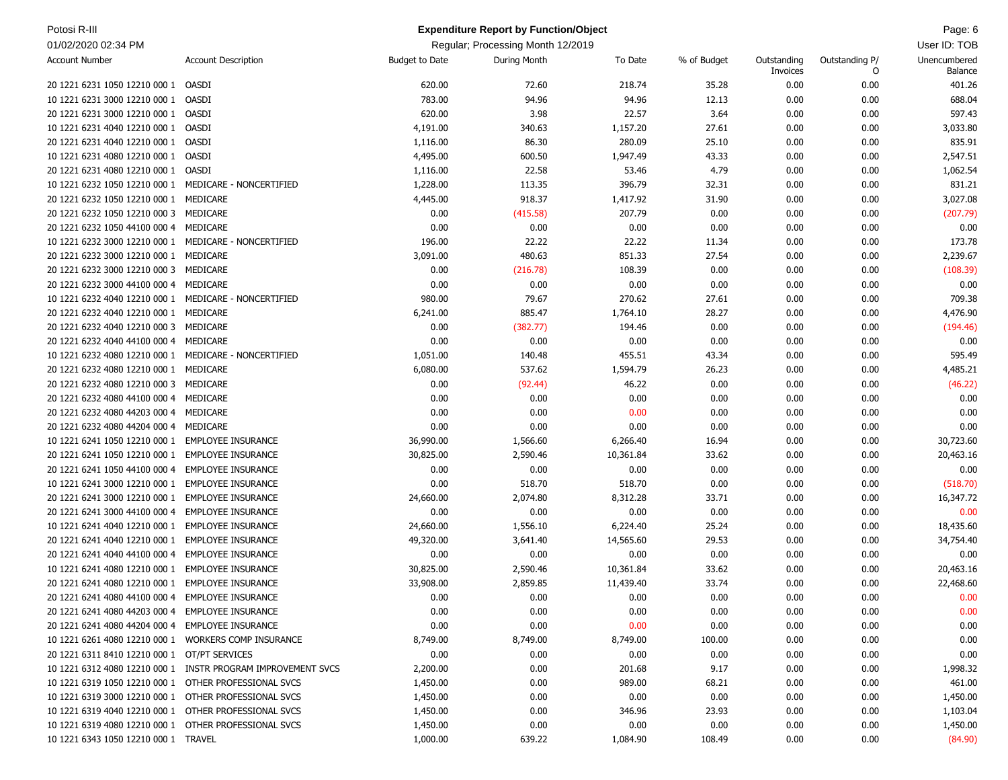| Potosi R-III                                          |                                                              |                       | <b>Expenditure Report by Function/Object</b> |           |             |                         |                     | Page: 6                 |
|-------------------------------------------------------|--------------------------------------------------------------|-----------------------|----------------------------------------------|-----------|-------------|-------------------------|---------------------|-------------------------|
| 01/02/2020 02:34 PM                                   |                                                              |                       | Regular; Processing Month 12/2019            |           |             |                         |                     | User ID: TOB            |
| <b>Account Number</b>                                 | <b>Account Description</b>                                   | <b>Budget to Date</b> | <b>During Month</b>                          | To Date   | % of Budget | Outstanding<br>Invoices | Outstanding P/<br>O | Unencumbered<br>Balance |
| 20 1221 6231 1050 12210 000 1                         | OASDI                                                        | 620.00                | 72.60                                        | 218.74    | 35.28       | 0.00                    | 0.00                | 401.26                  |
| 10 1221 6231 3000 12210 000 1                         | OASDI                                                        | 783.00                | 94.96                                        | 94.96     | 12.13       | 0.00                    | 0.00                | 688.04                  |
| 20 1221 6231 3000 12210 000 1 OASDI                   |                                                              | 620.00                | 3.98                                         | 22.57     | 3.64        | 0.00                    | 0.00                | 597.43                  |
| 10 1221 6231 4040 12210 000 1                         | OASDI                                                        | 4,191.00              | 340.63                                       | 1,157.20  | 27.61       | 0.00                    | 0.00                | 3,033.80                |
| 20 1221 6231 4040 12210 000 1                         | OASDI                                                        | 1,116.00              | 86.30                                        | 280.09    | 25.10       | 0.00                    | 0.00                | 835.91                  |
| 10 1221 6231 4080 12210 000 1                         | OASDI                                                        | 4,495.00              | 600.50                                       | 1,947.49  | 43.33       | 0.00                    | 0.00                | 2,547.51                |
| 20 1221 6231 4080 12210 000 1                         | OASDI                                                        | 1,116.00              | 22.58                                        | 53.46     | 4.79        | 0.00                    | 0.00                | 1,062.54                |
| 10 1221 6232 1050 12210 000 1 MEDICARE - NONCERTIFIED |                                                              | 1,228.00              | 113.35                                       | 396.79    | 32.31       | 0.00                    | 0.00                | 831.21                  |
| 20 1221 6232 1050 12210 000 1                         | MEDICARE                                                     | 4,445.00              | 918.37                                       | 1,417.92  | 31.90       | 0.00                    | 0.00                | 3,027.08                |
| 20 1221 6232 1050 12210 000 3                         | MEDICARE                                                     | 0.00                  | (415.58)                                     | 207.79    | 0.00        | 0.00                    | 0.00                | (207.79)                |
| 20 1221 6232 1050 44100 000 4                         | MEDICARE                                                     | 0.00                  | 0.00                                         | 0.00      | 0.00        | 0.00                    | 0.00                | 0.00                    |
| 10 1221 6232 3000 12210 000 1 MEDICARE - NONCERTIFIED |                                                              | 196.00                | 22.22                                        | 22.22     | 11.34       | 0.00                    | 0.00                | 173.78                  |
| 20 1221 6232 3000 12210 000 1                         | MEDICARE                                                     | 3,091.00              | 480.63                                       | 851.33    | 27.54       | 0.00                    | 0.00                | 2,239.67                |
| 20 1221 6232 3000 12210 000 3                         | MEDICARE                                                     | 0.00                  | (216.78)                                     | 108.39    | 0.00        | 0.00                    | 0.00                | (108.39)                |
| 20 1221 6232 3000 44100 000 4                         | MEDICARE                                                     | 0.00                  | 0.00                                         | 0.00      | 0.00        | 0.00                    | 0.00                | 0.00                    |
| 10 1221 6232 4040 12210 000 1 MEDICARE - NONCERTIFIED |                                                              | 980.00                | 79.67                                        | 270.62    | 27.61       | 0.00                    | 0.00                | 709.38                  |
| 20 1221 6232 4040 12210 000 1 MEDICARE                |                                                              | 6,241.00              | 885.47                                       | 1,764.10  | 28.27       | 0.00                    | 0.00                | 4,476.90                |
| 20 1221 6232 4040 12210 000 3                         | MEDICARE                                                     | 0.00                  | (382.77)                                     | 194.46    | 0.00        | 0.00                    | 0.00                | (194.46)                |
| 20 1221 6232 4040 44100 000 4                         | MEDICARE                                                     | 0.00                  | 0.00                                         | 0.00      | 0.00        | 0.00                    | 0.00                | 0.00                    |
| 10 1221 6232 4080 12210 000 1 MEDICARE - NONCERTIFIED |                                                              | 1,051.00              | 140.48                                       | 455.51    | 43.34       | 0.00                    | 0.00                | 595.49                  |
| 20 1221 6232 4080 12210 000 1                         | MEDICARE                                                     | 6,080.00              | 537.62                                       | 1,594.79  | 26.23       | 0.00                    | 0.00                | 4,485.21                |
| 20 1221 6232 4080 12210 000 3                         | MEDICARE                                                     | 0.00                  | (92.44)                                      | 46.22     | 0.00        | 0.00                    | 0.00                | (46.22)                 |
| 20 1221 6232 4080 44100 000 4                         | MEDICARE                                                     | 0.00                  | 0.00                                         | 0.00      | 0.00        | 0.00                    | 0.00                | 0.00                    |
| 20 1221 6232 4080 44203 000 4                         | MEDICARE                                                     | 0.00                  | 0.00                                         | 0.00      | 0.00        | 0.00                    | 0.00                | 0.00                    |
| 20 1221 6232 4080 44204 000 4                         | MEDICARE                                                     | 0.00                  | 0.00                                         | 0.00      | 0.00        | 0.00                    | 0.00                | 0.00                    |
| 10 1221 6241 1050 12210 000 1                         | <b>EMPLOYEE INSURANCE</b>                                    | 36,990.00             | 1,566.60                                     | 6,266.40  | 16.94       | 0.00                    | 0.00                | 30,723.60               |
| 20 1221 6241 1050 12210 000 1                         | <b>EMPLOYEE INSURANCE</b>                                    | 30,825.00             | 2,590.46                                     | 10,361.84 | 33.62       | 0.00                    | 0.00                | 20,463.16               |
| 20 1221 6241 1050 44100 000 4                         | <b>EMPLOYEE INSURANCE</b>                                    | 0.00                  | 0.00                                         | 0.00      | 0.00        | 0.00                    | 0.00                | 0.00                    |
| 10 1221 6241 3000 12210 000 1                         | <b>EMPLOYEE INSURANCE</b>                                    | 0.00                  | 518.70                                       | 518.70    | 0.00        | 0.00                    | 0.00                | (518.70)                |
| 20 1221 6241 3000 12210 000 1                         | <b>EMPLOYEE INSURANCE</b>                                    | 24,660.00             | 2,074.80                                     | 8,312.28  | 33.71       | 0.00                    | 0.00                | 16,347.72               |
| 20 1221 6241 3000 44100 000 4                         | <b>EMPLOYEE INSURANCE</b>                                    | 0.00                  | 0.00                                         | 0.00      | 0.00        | 0.00                    | 0.00                | 0.00                    |
| 10 1221 6241 4040 12210 000 1                         | <b>EMPLOYEE INSURANCE</b>                                    | 24,660.00             | 1,556.10                                     | 6,224.40  | 25.24       | 0.00                    | 0.00                | 18,435.60               |
| 20 1221 6241 4040 12210 000 1                         | <b>EMPLOYEE INSURANCE</b>                                    | 49,320.00             | 3,641.40                                     | 14,565.60 | 29.53       | 0.00                    | 0.00                | 34,754.40               |
| 20 1221 6241 4040 44100 000 4                         | <b>EMPLOYEE INSURANCE</b>                                    | 0.00                  | 0.00                                         | 0.00      | 0.00        | 0.00                    | 0.00                | 0.00                    |
| 10 1221 6241 4080 12210 000 1                         | <b>EMPLOYEE INSURANCE</b>                                    | 30,825.00             | 2,590.46                                     | 10,361.84 | 33.62       | 0.00                    | 0.00                | 20,463.16               |
| 20 1221 6241 4080 12210 000 1                         | <b>EMPLOYEE INSURANCE</b>                                    | 33,908.00             | 2,859.85                                     | 11,439.40 | 33.74       | 0.00                    | 0.00                | 22,468.60               |
| 20 1221 6241 4080 44100 000 4 EMPLOYEE INSURANCE      |                                                              | 0.00                  | 0.00                                         | 0.00      | 0.00        | 0.00                    | 0.00                | 0.00                    |
| 20 1221 6241 4080 44203 000 4 EMPLOYEE INSURANCE      |                                                              | 0.00                  | 0.00                                         | 0.00      | 0.00        | 0.00                    | 0.00                | 0.00                    |
| 20 1221 6241 4080 44204 000 4 EMPLOYEE INSURANCE      |                                                              | 0.00                  | 0.00                                         | 0.00      | 0.00        | 0.00                    | 0.00                | 0.00                    |
| 10 1221 6261 4080 12210 000 1 WORKERS COMP INSURANCE  |                                                              | 8,749.00              | 8,749.00                                     | 8,749.00  | 100.00      | 0.00                    | 0.00                | 0.00                    |
| 20 1221 6311 8410 12210 000 1 OT/PT SERVICES          |                                                              | 0.00                  | 0.00                                         | 0.00      | 0.00        | 0.00                    | 0.00                | 0.00                    |
|                                                       | 10 1221 6312 4080 12210 000 1 INSTR PROGRAM IMPROVEMENT SVCS | 2,200.00              | 0.00                                         | 201.68    | 9.17        | 0.00                    | 0.00                | 1,998.32                |
| 10 1221 6319 1050 12210 000 1 OTHER PROFESSIONAL SVCS |                                                              | 1,450.00              | 0.00                                         | 989.00    | 68.21       | 0.00                    | 0.00                | 461.00                  |
| 10 1221 6319 3000 12210 000 1 OTHER PROFESSIONAL SVCS |                                                              | 1,450.00              | 0.00                                         | 0.00      | 0.00        | 0.00                    | 0.00                | 1,450.00                |
| 10 1221 6319 4040 12210 000 1 OTHER PROFESSIONAL SVCS |                                                              | 1,450.00              | 0.00                                         | 346.96    | 23.93       | 0.00                    | 0.00                | 1,103.04                |
| 10 1221 6319 4080 12210 000 1 OTHER PROFESSIONAL SVCS |                                                              | 1,450.00              | 0.00                                         | 0.00      | 0.00        | 0.00                    | 0.00                | 1,450.00                |
| 10 1221 6343 1050 12210 000 1 TRAVEL                  |                                                              | 1,000.00              | 639.22                                       | 1,084.90  | 108.49      | 0.00                    | 0.00                | (84.90)                 |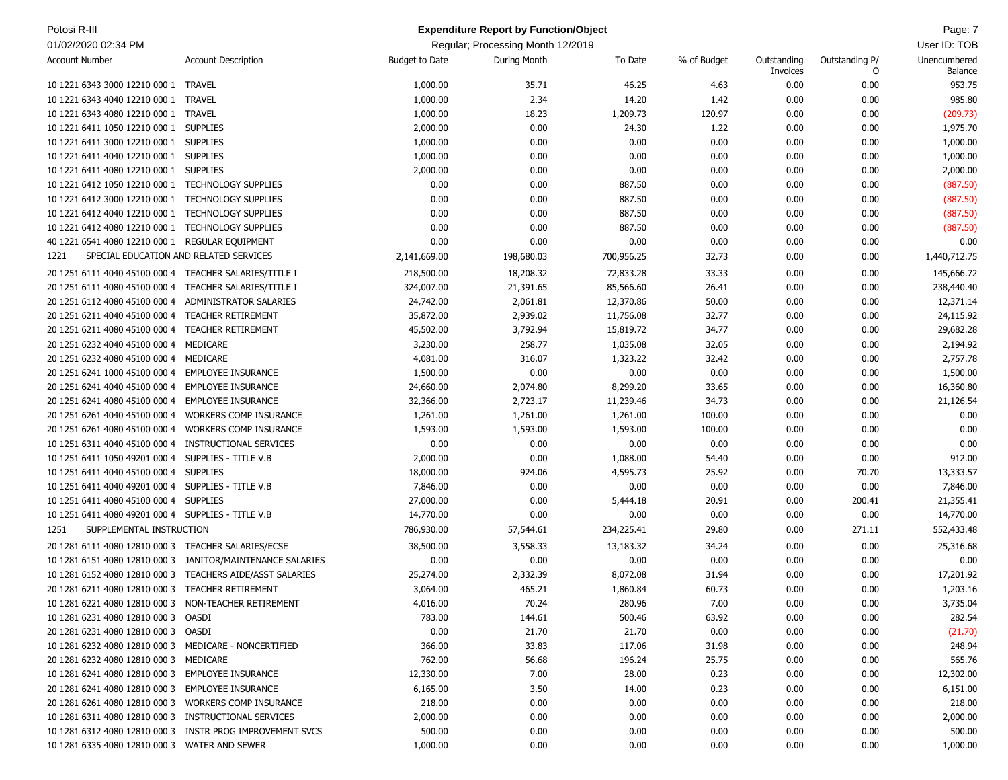| Potosi R-III                                                   |                                                           |                | <b>Expenditure Report by Function/Object</b> |            |             |             |                | Page: 7      |
|----------------------------------------------------------------|-----------------------------------------------------------|----------------|----------------------------------------------|------------|-------------|-------------|----------------|--------------|
| 01/02/2020 02:34 PM                                            |                                                           |                | Regular; Processing Month 12/2019            |            |             |             |                | User ID: TOB |
| <b>Account Number</b>                                          | <b>Account Description</b>                                | Budget to Date | During Month                                 | To Date    | % of Budget | Outstanding | Outstanding P/ | Unencumbered |
|                                                                |                                                           |                |                                              |            |             | Invoices    | 0              | Balance      |
| 10 1221 6343 3000 12210 000 1 TRAVEL                           |                                                           | 1,000.00       | 35.71                                        | 46.25      | 4.63        | 0.00        | 0.00           | 953.75       |
| 10 1221 6343 4040 12210 000 1                                  | <b>TRAVEL</b>                                             | 1,000.00       | 2.34                                         | 14.20      | 1.42        | 0.00        | 0.00           | 985.80       |
| 10 1221 6343 4080 12210 000 1                                  | <b>TRAVEL</b>                                             | 1,000.00       | 18.23                                        | 1,209.73   | 120.97      | 0.00        | 0.00           | (209.73)     |
| 10 1221 6411 1050 12210 000 1 SUPPLIES                         |                                                           | 2,000.00       | 0.00                                         | 24.30      | 1.22        | 0.00        | 0.00           | 1,975.70     |
| 10 1221 6411 3000 12210 000 1 SUPPLIES                         |                                                           | 1,000.00       | 0.00                                         | 0.00       | 0.00        | 0.00        | 0.00           | 1,000.00     |
| 10 1221 6411 4040 12210 000 1 SUPPLIES                         |                                                           | 1,000.00       | 0.00                                         | 0.00       | 0.00        | 0.00        | 0.00           | 1,000.00     |
| 10 1221 6411 4080 12210 000 1 SUPPLIES                         |                                                           | 2,000.00       | 0.00                                         | 0.00       | 0.00        | 0.00        | 0.00           | 2,000.00     |
| 10 1221 6412 1050 12210 000 1 TECHNOLOGY SUPPLIES              |                                                           | 0.00           | 0.00                                         | 887.50     | 0.00        | 0.00        | 0.00           | (887.50)     |
| 10 1221 6412 3000 12210 000 1                                  | <b>TECHNOLOGY SUPPLIES</b>                                | 0.00           | 0.00                                         | 887.50     | 0.00        | 0.00        | 0.00           | (887.50)     |
| 10 1221 6412 4040 12210 000 1                                  | <b>TECHNOLOGY SUPPLIES</b>                                | 0.00           | 0.00                                         | 887.50     | 0.00        | 0.00        | 0.00           | (887.50)     |
| 10 1221 6412 4080 12210 000 1 TECHNOLOGY SUPPLIES              |                                                           | 0.00           | 0.00                                         | 887.50     | 0.00        | 0.00        | 0.00           | (887.50)     |
| 40 1221 6541 4080 12210 000 1 REGULAR EQUIPMENT                |                                                           | 0.00           | 0.00                                         | 0.00       | 0.00        | 0.00        | 0.00           | 0.00         |
| SPECIAL EDUCATION AND RELATED SERVICES<br>1221                 |                                                           | 2,141,669.00   | 198,680.03                                   | 700,956.25 | 32.73       | 0.00        | 0.00           | 1,440,712.75 |
| 20 1251 6111 4040 45100 000 4 TEACHER SALARIES/TITLE I         |                                                           | 218,500.00     | 18,208.32                                    | 72,833.28  | 33.33       | 0.00        | 0.00           | 145,666.72   |
| 20 1251 6111 4080 45100 000 4                                  | TEACHER SALARIES/TITLE I                                  | 324,007.00     | 21,391.65                                    | 85,566.60  | 26.41       | 0.00        | 0.00           | 238,440.40   |
|                                                                | ADMINISTRATOR SALARIES                                    |                | 2,061.81                                     | 12,370.86  | 50.00       | 0.00        | 0.00           | 12,371.14    |
| 20 1251 6112 4080 45100 000 4                                  |                                                           | 24,742.00      | 2,939.02                                     | 11,756.08  | 32.77       |             |                |              |
| 20 1251 6211 4040 45100 000 4<br>20 1251 6211 4080 45100 000 4 | <b>TEACHER RETIREMENT</b>                                 | 35,872.00      |                                              |            |             | 0.00        | 0.00           | 24,115.92    |
|                                                                | <b>TEACHER RETIREMENT</b>                                 | 45,502.00      | 3,792.94                                     | 15,819.72  | 34.77       | 0.00        | 0.00           | 29,682.28    |
| 20 1251 6232 4040 45100 000 4                                  | MEDICARE                                                  | 3,230.00       | 258.77                                       | 1,035.08   | 32.05       | 0.00        | 0.00           | 2,194.92     |
| 20 1251 6232 4080 45100 000 4                                  | MEDICARE                                                  | 4,081.00       | 316.07                                       | 1,323.22   | 32.42       | 0.00        | 0.00           | 2,757.78     |
| 20 1251 6241 1000 45100 000 4                                  | <b>EMPLOYEE INSURANCE</b>                                 | 1,500.00       | 0.00                                         | 0.00       | 0.00        | 0.00        | 0.00           | 1,500.00     |
| 20 1251 6241 4040 45100 000 4                                  | <b>EMPLOYEE INSURANCE</b>                                 | 24,660.00      | 2,074.80                                     | 8,299.20   | 33.65       | 0.00        | 0.00           | 16,360.80    |
| 20 1251 6241 4080 45100 000 4                                  | <b>EMPLOYEE INSURANCE</b>                                 | 32,366.00      | 2,723.17                                     | 11,239.46  | 34.73       | 0.00        | 0.00           | 21,126.54    |
| 20 1251 6261 4040 45100 000 4                                  | <b>WORKERS COMP INSURANCE</b>                             | 1,261.00       | 1,261.00                                     | 1,261.00   | 100.00      | 0.00        | 0.00           | 0.00         |
| 20 1251 6261 4080 45100 000 4                                  | <b>WORKERS COMP INSURANCE</b>                             | 1,593.00       | 1,593.00                                     | 1,593.00   | 100.00      | 0.00        | 0.00           | 0.00         |
| 10 1251 6311 4040 45100 000 4                                  | INSTRUCTIONAL SERVICES                                    | 0.00           | 0.00                                         | 0.00       | 0.00        | 0.00        | 0.00           | 0.00         |
| 10 1251 6411 1050 49201 000 4                                  | SUPPLIES - TITLE V.B                                      | 2,000.00       | 0.00                                         | 1,088.00   | 54.40       | 0.00        | 0.00           | 912.00       |
| 10 1251 6411 4040 45100 000 4                                  | <b>SUPPLIES</b>                                           | 18,000.00      | 924.06                                       | 4,595.73   | 25.92       | 0.00        | 70.70          | 13,333.57    |
| 10 1251 6411 4040 49201 000 4                                  | SUPPLIES - TITLE V.B                                      | 7,846.00       | 0.00                                         | 0.00       | 0.00        | 0.00        | 0.00           | 7,846.00     |
| 10 1251 6411 4080 45100 000 4                                  | <b>SUPPLIES</b>                                           | 27,000.00      | 0.00                                         | 5,444.18   | 20.91       | 0.00        | 200.41         | 21,355.41    |
| 10 1251 6411 4080 49201 000 4 SUPPLIES - TITLE V.B             |                                                           | 14,770.00      | 0.00                                         | 0.00       | 0.00        | 0.00        | 0.00           | 14,770.00    |
| SUPPLEMENTAL INSTRUCTION<br>1251                               |                                                           | 786,930.00     | 57,544.61                                    | 234,225.41 | 29.80       | 0.00        | 271.11         | 552,433.48   |
| 20 1281 6111 4080 12810 000 3                                  | <b>TEACHER SALARIES/ECSE</b>                              | 38,500.00      | 3,558.33                                     | 13,183.32  | 34.24       | 0.00        | 0.00           | 25,316.68    |
| 10 1281 6151 4080 12810 000 3                                  | JANITOR/MAINTENANCE SALARIES                              | 0.00           | 0.00                                         | 0.00       | 0.00        | 0.00        | 0.00           | 0.00         |
| 10 1281 6152 4080 12810 000 3                                  | <b>TEACHERS AIDE/ASST SALARIES</b>                        | 25,274.00      | 2,332.39                                     | 8,072.08   | 31.94       | 0.00        | 0.00           | 17,201.92    |
| 20 1281 6211 4080 12810 000 3 TEACHER RETIREMENT               |                                                           | 3,064.00       | 465.21                                       | 1,860.84   | 60.73       | 0.00        | 0.00           | 1,203.16     |
| 10 1281 6221 4080 12810 000 3 NON-TEACHER RETIREMENT           |                                                           | 4,016.00       | 70.24                                        | 280.96     | 7.00        | 0.00        | 0.00           | 3,735.04     |
| 10 1281 6231 4080 12810 000 3                                  | OASDI                                                     | 783.00         | 144.61                                       | 500.46     | 63.92       | 0.00        | 0.00           | 282.54       |
| 20 1281 6231 4080 12810 000 3 OASDI                            |                                                           | 0.00           | 21.70                                        | 21.70      | 0.00        | 0.00        | 0.00           | (21.70)      |
| 10 1281 6232 4080 12810 000 3 MEDICARE - NONCERTIFIED          |                                                           | 366.00         | 33.83                                        | 117.06     | 31.98       | 0.00        | 0.00           | 248.94       |
| 20 1281 6232 4080 12810 000 3 MEDICARE                         |                                                           | 762.00         | 56.68                                        | 196.24     | 25.75       | 0.00        | 0.00           | 565.76       |
| 10 1281 6241 4080 12810 000 3 EMPLOYEE INSURANCE               |                                                           | 12,330.00      | 7.00                                         | 28.00      | 0.23        | 0.00        | 0.00           | 12,302.00    |
| 20 1281 6241 4080 12810 000 3 EMPLOYEE INSURANCE               |                                                           | 6,165.00       | 3.50                                         | 14.00      | 0.23        | 0.00        | 0.00           | 6,151.00     |
| 20 1281 6261 4080 12810 000 3 WORKERS COMP INSURANCE           |                                                           | 218.00         | 0.00                                         | 0.00       | 0.00        | 0.00        | 0.00           | 218.00       |
| 10 1281 6311 4080 12810 000 3 INSTRUCTIONAL SERVICES           |                                                           | 2,000.00       | 0.00                                         | 0.00       | 0.00        | 0.00        | 0.00           | 2,000.00     |
|                                                                | 10 1281 6312 4080 12810 000 3 INSTR PROG IMPROVEMENT SVCS | 500.00         | 0.00                                         | 0.00       | 0.00        | 0.00        | 0.00           | 500.00       |
| 10 1281 6335 4080 12810 000 3 WATER AND SEWER                  |                                                           | 1,000.00       | 0.00                                         | 0.00       | 0.00        | 0.00        | 0.00           | 1,000.00     |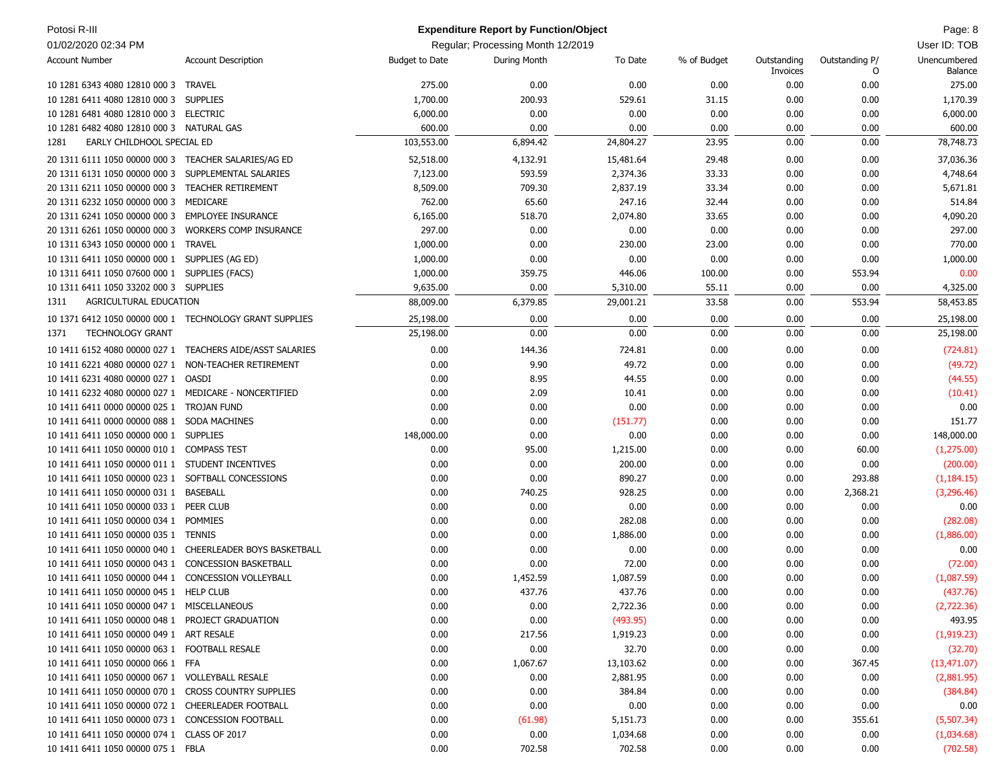| Potosi R-III                                          |                                                           |                       | <b>Expenditure Report by Function/Object</b> |           |             |                         |                     | Page: 8                 |
|-------------------------------------------------------|-----------------------------------------------------------|-----------------------|----------------------------------------------|-----------|-------------|-------------------------|---------------------|-------------------------|
| 01/02/2020 02:34 PM                                   |                                                           |                       | Regular; Processing Month 12/2019            |           |             |                         |                     | User ID: TOB            |
| <b>Account Number</b>                                 | <b>Account Description</b>                                | <b>Budget to Date</b> | During Month                                 | To Date   | % of Budget | Outstanding<br>Invoices | Outstanding P/<br>0 | Unencumbered<br>Balance |
| 10 1281 6343 4080 12810 000 3                         | <b>TRAVEL</b>                                             | 275.00                | 0.00                                         | 0.00      | 0.00        | 0.00                    | 0.00                | 275.00                  |
| 10 1281 6411 4080 12810 000 3                         | <b>SUPPLIES</b>                                           | 1,700.00              | 200.93                                       | 529.61    | 31.15       | 0.00                    | 0.00                | 1,170.39                |
| 10 1281 6481 4080 12810 000 3 ELECTRIC                |                                                           | 6,000.00              | 0.00                                         | 0.00      | 0.00        | 0.00                    | 0.00                | 6,000.00                |
| 10 1281 6482 4080 12810 000 3 NATURAL GAS             |                                                           | 600.00                | 0.00                                         | 0.00      | 0.00        | 0.00                    | 0.00                | 600.00                  |
| EARLY CHILDHOOL SPECIAL ED<br>1281                    |                                                           | 103,553.00            | 6,894.42                                     | 24,804.27 | 23.95       | 0.00                    | 0.00                | 78,748.73               |
| 20 1311 6111 1050 00000 000 3                         | TEACHER SALARIES/AG ED                                    | 52,518.00             | 4,132.91                                     | 15,481.64 | 29.48       | 0.00                    | 0.00                | 37,036.36               |
| 20 1311 6131 1050 00000 000 3                         | SUPPLEMENTAL SALARIES                                     | 7,123.00              | 593.59                                       | 2,374.36  | 33.33       | 0.00                    | 0.00                | 4,748.64                |
| 20 1311 6211 1050 00000 000 3                         | <b>TEACHER RETIREMENT</b>                                 | 8,509.00              | 709.30                                       | 2,837.19  | 33.34       | 0.00                    | 0.00                | 5,671.81                |
| 20 1311 6232 1050 00000 000 3                         | MEDICARE                                                  | 762.00                | 65.60                                        | 247.16    | 32.44       | 0.00                    | 0.00                | 514.84                  |
| 20 1311 6241 1050 00000 000 3                         | <b>EMPLOYEE INSURANCE</b>                                 | 6,165.00              | 518.70                                       | 2,074.80  | 33.65       | 0.00                    | 0.00                | 4,090.20                |
| 20 1311 6261 1050 00000 000 3                         | <b>WORKERS COMP INSURANCE</b>                             | 297.00                | 0.00                                         | 0.00      | 0.00        | 0.00                    | 0.00                | 297.00                  |
| 10 1311 6343 1050 00000 000 1                         | <b>TRAVEL</b>                                             | 1,000.00              | 0.00                                         | 230.00    | 23.00       | 0.00                    | 0.00                | 770.00                  |
| 10 1311 6411 1050 00000 000 1 SUPPLIES (AG ED)        |                                                           | 1,000.00              | 0.00                                         | 0.00      | 0.00        | 0.00                    | 0.00                | 1,000.00                |
| 10 1311 6411 1050 07600 000 1 SUPPLIES (FACS)         |                                                           | 1,000.00              | 359.75                                       | 446.06    | 100.00      | 0.00                    | 553.94              | 0.00                    |
| 10 1311 6411 1050 33202 000 3 SUPPLIES                |                                                           | 9,635.00              | 0.00                                         | 5,310.00  | 55.11       | 0.00                    | 0.00                | 4,325.00                |
| AGRICULTURAL EDUCATION<br>1311                        |                                                           | 88,009.00             | 6,379.85                                     | 29,001.21 | 33.58       | 0.00                    | 553.94              | 58,453.85               |
|                                                       | 10 1371 6412 1050 00000 000 1 TECHNOLOGY GRANT SUPPLIES   | 25,198.00             | 0.00                                         | 0.00      | 0.00        | 0.00                    | 0.00                | 25,198.00               |
| 1371<br><b>TECHNOLOGY GRANT</b>                       |                                                           | 25,198.00             | 0.00                                         | 0.00      | 0.00        | 0.00                    | 0.00                | 25,198.00               |
|                                                       | 10 1411 6152 4080 00000 027 1 TEACHERS AIDE/ASST SALARIES | 0.00                  | 144.36                                       | 724.81    | 0.00        | 0.00                    | 0.00                | (724.81)                |
| 10 1411 6221 4080 00000 027 1 NON-TEACHER RETIREMENT  |                                                           | 0.00                  | 9.90                                         | 49.72     | 0.00        | 0.00                    | 0.00                | (49.72)                 |
| 10 1411 6231 4080 00000 027 1 OASDI                   |                                                           | 0.00                  | 8.95                                         | 44.55     | 0.00        | 0.00                    | 0.00                | (44.55)                 |
| 10 1411 6232 4080 00000 027 1 MEDICARE - NONCERTIFIED |                                                           | 0.00                  | 2.09                                         | 10.41     | 0.00        | 0.00                    | 0.00                | (10.41)                 |
| 10 1411 6411 0000 00000 025 1                         | TROJAN FUND                                               | 0.00                  | 0.00                                         | 0.00      | 0.00        | 0.00                    | 0.00                | 0.00                    |
| 10 1411 6411 0000 00000 088 1                         | <b>SODA MACHINES</b>                                      | 0.00                  | 0.00                                         | (151.77)  | 0.00        | 0.00                    | 0.00                | 151.77                  |
| 10 1411 6411 1050 00000 000 1 SUPPLIES                |                                                           | 148,000.00            | 0.00                                         | 0.00      | 0.00        | 0.00                    | 0.00                | 148,000.00              |
| 10 1411 6411 1050 00000 010 1                         | <b>COMPASS TEST</b>                                       | 0.00                  | 95.00                                        | 1,215.00  | 0.00        | 0.00                    | 60.00               | (1,275.00)              |
| 10 1411 6411 1050 00000 011 1 STUDENT INCENTIVES      |                                                           | 0.00                  | 0.00                                         | 200.00    | 0.00        | 0.00                    | 0.00                | (200.00)                |
| 10 1411 6411 1050 00000 023 1                         | SOFTBALL CONCESSIONS                                      | 0.00                  | 0.00                                         | 890.27    | 0.00        | 0.00                    | 293.88              | (1, 184.15)             |
| 10 1411 6411 1050 00000 031 1                         | BASEBALL                                                  | 0.00                  | 740.25                                       | 928.25    | 0.00        | 0.00                    | 2,368.21            | (3,296.46)              |
| 10 1411 6411 1050 00000 033 1                         | PEER CLUB                                                 | 0.00                  | 0.00                                         | 0.00      | 0.00        | 0.00                    | 0.00                | 0.00                    |
| 10 1411 6411 1050 00000 034 1                         | POMMIES                                                   | 0.00                  | 0.00                                         | 282.08    | 0.00        | 0.00                    | 0.00                | (282.08)                |
| 10 1411 6411 1050 00000 035 1                         | <b>TENNIS</b>                                             | 0.00                  | 0.00                                         | 1,886.00  | 0.00        | 0.00                    | 0.00                | (1,886.00)              |
| 10 1411 6411 1050 00000 040 1                         | <b>CHEERLEADER BOYS BASKETBALL</b>                        | 0.00                  | 0.00                                         | 0.00      | 0.00        | 0.00                    | 0.00                | 0.00                    |
| 10 1411 6411 1050 00000 043 1                         | <b>CONCESSION BASKETBALL</b>                              | 0.00                  | 0.00                                         | 72.00     | 0.00        | 0.00                    | 0.00                | (72.00)                 |
| 10 1411 6411 1050 00000 044 1 CONCESSION VOLLEYBALL   |                                                           | 0.00                  | 1,452.59                                     | 1,087.59  | 0.00        | 0.00                    | 0.00                | (1,087.59)              |
| 10 1411 6411 1050 00000 045 1 HELP CLUB               |                                                           | 0.00                  | 437.76                                       | 437.76    | 0.00        | 0.00                    | 0.00                | (437.76)                |
| 10 1411 6411 1050 00000 047 1 MISCELLANEOUS           |                                                           | 0.00                  | 0.00                                         | 2,722.36  | 0.00        | 0.00                    | 0.00                | (2,722.36)              |
| 10 1411 6411 1050 00000 048 1 PROJECT GRADUATION      |                                                           | 0.00                  | 0.00                                         | (493.95)  | 0.00        | 0.00                    | 0.00                | 493.95                  |
| 10 1411 6411 1050 00000 049 1 ART RESALE              |                                                           | 0.00                  | 217.56                                       | 1,919.23  | 0.00        | 0.00                    | 0.00                | (1,919.23)              |
| 10 1411 6411 1050 00000 063 1 FOOTBALL RESALE         |                                                           | 0.00                  | 0.00                                         | 32.70     | 0.00        | 0.00                    | 0.00                | (32.70)                 |
| 10 1411 6411 1050 00000 066 1 FFA                     |                                                           | 0.00                  | 1,067.67                                     | 13,103.62 | 0.00        | 0.00                    | 367.45              | (13, 471.07)            |
| 10 1411 6411 1050 00000 067 1 VOLLEYBALL RESALE       |                                                           | 0.00                  | 0.00                                         | 2,881.95  | 0.00        | 0.00                    | 0.00                | (2,881.95)              |
| 10 1411 6411 1050 00000 070 1 CROSS COUNTRY SUPPLIES  |                                                           | 0.00                  | 0.00                                         | 384.84    | 0.00        | 0.00                    | 0.00                | (384.84)                |
| 10 1411 6411 1050 00000 072 1 CHEERLEADER FOOTBALL    |                                                           | 0.00                  | 0.00                                         | 0.00      | 0.00        | 0.00                    | 0.00                | 0.00                    |
| 10 1411 6411 1050 00000 073 1 CONCESSION FOOTBALL     |                                                           | 0.00                  | (61.98)                                      | 5,151.73  | 0.00        | 0.00                    | 355.61              | (5,507.34)              |
| 10 1411 6411 1050 00000 074 1 CLASS OF 2017           |                                                           | 0.00                  | 0.00                                         | 1,034.68  | 0.00        | 0.00                    | 0.00                | (1,034.68)              |
| 10 1411 6411 1050 00000 075 1 FBLA                    |                                                           | 0.00                  | 702.58                                       | 702.58    | 0.00        | 0.00                    | 0.00                | (702.58)                |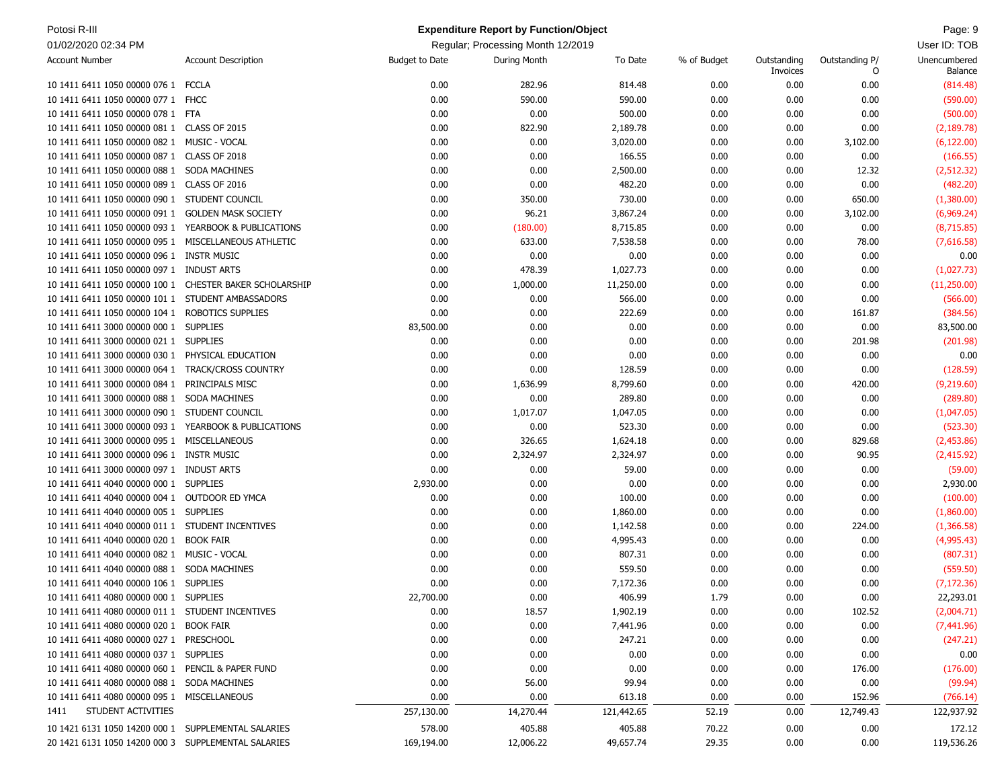| Potosi R-III                                            |                            |                       | <b>Expenditure Report by Function/Object</b> |            |             |                         |                     | Page: 9                 |
|---------------------------------------------------------|----------------------------|-----------------------|----------------------------------------------|------------|-------------|-------------------------|---------------------|-------------------------|
| 01/02/2020 02:34 PM                                     |                            |                       | Regular; Processing Month 12/2019            |            |             |                         |                     | User ID: TOB            |
| <b>Account Number</b>                                   | <b>Account Description</b> | <b>Budget to Date</b> | During Month                                 | To Date    | % of Budget | Outstanding<br>Invoices | Outstanding P/<br>0 | Unencumbered<br>Balance |
| 10 1411 6411 1050 00000 076 1 FCCLA                     |                            | 0.00                  | 282.96                                       | 814.48     | 0.00        | 0.00                    | 0.00                | (814.48)                |
| 10 1411 6411 1050 00000 077 1 FHCC                      |                            | 0.00                  | 590.00                                       | 590.00     | 0.00        | 0.00                    | 0.00                | (590.00)                |
| 10 1411 6411 1050 00000 078 1 FTA                       |                            | 0.00                  | 0.00                                         | 500.00     | 0.00        | 0.00                    | 0.00                | (500.00)                |
| 10 1411 6411 1050 00000 081 1 CLASS OF 2015             |                            | 0.00                  | 822.90                                       | 2,189.78   | 0.00        | 0.00                    | 0.00                | (2, 189.78)             |
| 10 1411 6411 1050 00000 082 1                           | MUSIC - VOCAL              | 0.00                  | 0.00                                         | 3,020.00   | 0.00        | 0.00                    | 3,102.00            | (6, 122.00)             |
| 10 1411 6411 1050 00000 087 1 CLASS OF 2018             |                            | 0.00                  | 0.00                                         | 166.55     | 0.00        | 0.00                    | 0.00                | (166.55)                |
| 10 1411 6411 1050 00000 088 1 SODA MACHINES             |                            | 0.00                  | 0.00                                         | 2,500.00   | 0.00        | 0.00                    | 12.32               | (2, 512.32)             |
| 10 1411 6411 1050 00000 089 1 CLASS OF 2016             |                            | 0.00                  | 0.00                                         | 482.20     | 0.00        | 0.00                    | 0.00                | (482.20)                |
| 10 1411 6411 1050 00000 090 1 STUDENT COUNCIL           |                            | 0.00                  | 350.00                                       | 730.00     | 0.00        | 0.00                    | 650.00              | (1,380.00)              |
| 10 1411 6411 1050 00000 091 1                           | <b>GOLDEN MASK SOCIETY</b> | 0.00                  | 96.21                                        | 3,867.24   | 0.00        | 0.00                    | 3,102.00            | (6,969.24)              |
| 10 1411 6411 1050 00000 093 1 YEARBOOK & PUBLICATIONS   |                            | 0.00                  | (180.00)                                     | 8,715.85   | 0.00        | 0.00                    | 0.00                | (8,715.85)              |
| 10 1411 6411 1050 00000 095 1 MISCELLANEOUS ATHLETIC    |                            | 0.00                  | 633.00                                       | 7,538.58   | 0.00        | 0.00                    | 78.00               | (7,616.58)              |
| 10 1411 6411 1050 00000 096 1 INSTR MUSIC               |                            | 0.00                  | 0.00                                         | 0.00       | 0.00        | 0.00                    | 0.00                | 0.00                    |
| 10 1411 6411 1050 00000 097 1 INDUST ARTS               |                            | 0.00                  | 478.39                                       | 1,027.73   | 0.00        | 0.00                    | 0.00                | (1,027.73)              |
| 10 1411 6411 1050 00000 100 1 CHESTER BAKER SCHOLARSHIP |                            | 0.00                  | 1,000.00                                     | 11,250.00  | 0.00        | 0.00                    | 0.00                | (11,250.00)             |
| 10 1411 6411 1050 00000 101 1 STUDENT AMBASSADORS       |                            | 0.00                  | 0.00                                         | 566.00     | 0.00        | 0.00                    | 0.00                | (566.00)                |
| 10 1411 6411 1050 00000 104 1                           | ROBOTICS SUPPLIES          | 0.00                  | 0.00                                         | 222.69     | 0.00        | 0.00                    | 161.87              | (384.56)                |
| 10 1411 6411 3000 00000 000 1                           | <b>SUPPLIES</b>            | 83,500.00             | 0.00                                         | 0.00       | 0.00        | 0.00                    | 0.00                | 83,500.00               |
| 10 1411 6411 3000 00000 021 1                           | <b>SUPPLIES</b>            | 0.00                  | 0.00                                         | 0.00       | 0.00        | 0.00                    | 201.98              | (201.98)                |
| 10 1411 6411 3000 00000 030 1 PHYSICAL EDUCATION        |                            | 0.00                  | 0.00                                         | 0.00       | 0.00        | 0.00                    | 0.00                | 0.00                    |
| 10 1411 6411 3000 00000 064 1                           | <b>TRACK/CROSS COUNTRY</b> | 0.00                  | 0.00                                         | 128.59     | 0.00        | 0.00                    | 0.00                | (128.59)                |
| 10 1411 6411 3000 00000 084 1 PRINCIPALS MISC           |                            | 0.00                  | 1,636.99                                     | 8,799.60   | 0.00        | 0.00                    | 420.00              | (9,219.60)              |
| 10 1411 6411 3000 00000 088 1                           | <b>SODA MACHINES</b>       | 0.00                  | 0.00                                         | 289.80     | 0.00        | 0.00                    | 0.00                | (289.80)                |
| 10 1411 6411 3000 00000 090 1 STUDENT COUNCIL           |                            | 0.00                  | 1,017.07                                     | 1,047.05   | 0.00        | 0.00                    | 0.00                | (1,047.05)              |
| 10 1411 6411 3000 00000 093 1                           | YEARBOOK & PUBLICATIONS    | 0.00                  | 0.00                                         | 523.30     | 0.00        | 0.00                    | 0.00                | (523.30)                |
| 10 1411 6411 3000 00000 095 1                           | MISCELLANEOUS              | 0.00                  | 326.65                                       | 1,624.18   | 0.00        | 0.00                    | 829.68              | (2,453.86)              |
| 10 1411 6411 3000 00000 096 1 INSTR MUSIC               |                            | 0.00                  | 2,324.97                                     | 2,324.97   | 0.00        | 0.00                    | 90.95               | (2,415.92)              |
| 10 1411 6411 3000 00000 097 1 INDUST ARTS               |                            | 0.00                  | 0.00                                         | 59.00      | 0.00        | 0.00                    | 0.00                | (59.00)                 |
| 10 1411 6411 4040 00000 000 1 SUPPLIES                  |                            | 2,930.00              | 0.00                                         | 0.00       | 0.00        | 0.00                    | 0.00                | 2,930.00                |
| 10 1411 6411 4040 00000 004 1 OUTDOOR ED YMCA           |                            | 0.00                  | 0.00                                         | 100.00     | 0.00        | 0.00                    | 0.00                | (100.00)                |
| 10 1411 6411 4040 00000 005 1 SUPPLIES                  |                            | 0.00                  | 0.00                                         | 1,860.00   | 0.00        | 0.00                    | 0.00                | (1,860.00)              |
| 10 1411 6411 4040 00000 011 1 STUDENT INCENTIVES        |                            | 0.00                  | 0.00                                         | 1,142.58   | 0.00        | 0.00                    | 224.00              | (1,366.58)              |
| 10 1411 6411 4040 00000 020 1                           | <b>BOOK FAIR</b>           | 0.00                  | 0.00                                         | 4,995.43   | 0.00        | 0.00                    | 0.00                | (4,995.43)              |
| 10 1411 6411 4040 00000 082 1 MUSIC - VOCAL             |                            | 0.00                  | 0.00                                         | 807.31     | 0.00        | 0.00                    | 0.00                | (807.31)                |
| 10 1411 6411 4040 00000 088 1 SODA MACHINES             |                            | 0.00                  | 0.00                                         | 559.50     | 0.00        | 0.00                    | 0.00                | (559.50)                |
| 10 1411 6411 4040 00000 106 1 SUPPLIES                  |                            | 0.00                  | 0.00                                         | 7,172.36   | 0.00        | 0.00                    | 0.00                | (7, 172.36)             |
| 10 1411 6411 4080 00000 000 1 SUPPLIES                  |                            | 22,700.00             | 0.00                                         | 406.99     | 1.79        | 0.00                    | 0.00                | 22,293.01               |
| 10 1411 6411 4080 00000 011 1 STUDENT INCENTIVES        |                            | 0.00                  | 18.57                                        | 1,902.19   | 0.00        | 0.00                    | 102.52              | (2,004.71)              |
| 10 1411 6411 4080 00000 020 1 BOOK FAIR                 |                            | 0.00                  | 0.00                                         | 7,441.96   | 0.00        | 0.00                    | 0.00                | (7,441.96)              |
| 10 1411 6411 4080 00000 027 1 PRESCHOOL                 |                            | 0.00                  | 0.00                                         | 247.21     | 0.00        | 0.00                    | 0.00                | (247.21)                |
| 10 1411 6411 4080 00000 037 1 SUPPLIES                  |                            | 0.00                  | 0.00                                         | 0.00       | 0.00        | 0.00                    | 0.00                | 0.00                    |
| 10 1411 6411 4080 00000 060 1 PENCIL & PAPER FUND       |                            | 0.00                  | 0.00                                         | 0.00       | 0.00        | 0.00                    | 176.00              | (176.00)                |
| 10 1411 6411 4080 00000 088 1 SODA MACHINES             |                            | 0.00                  | 56.00                                        | 99.94      | 0.00        | 0.00                    | 0.00                | (99.94)                 |
| 10 1411 6411 4080 00000 095 1 MISCELLANEOUS             |                            | 0.00                  | 0.00                                         | 613.18     | 0.00        | 0.00                    | 152.96              | (766.14)                |
| STUDENT ACTIVITIES<br>1411                              |                            | 257,130.00            | 14,270.44                                    | 121,442.65 | 52.19       | 0.00                    | 12,749.43           | 122,937.92              |
| 10 1421 6131 1050 14200 000 1 SUPPLEMENTAL SALARIES     |                            | 578.00                | 405.88                                       | 405.88     | 70.22       | 0.00                    | 0.00                | 172.12                  |
| 20 1421 6131 1050 14200 000 3 SUPPLEMENTAL SALARIES     |                            | 169,194.00            | 12,006.22                                    | 49,657.74  | 29.35       | 0.00                    | 0.00                | 119,536.26              |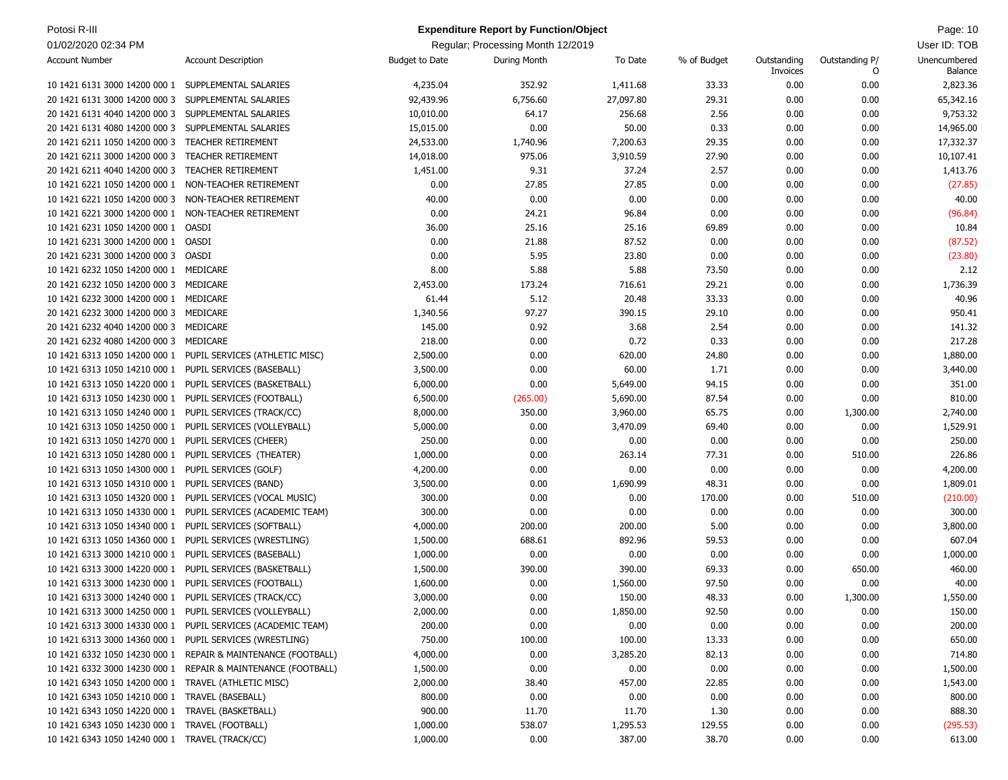| Potosi R-III<br><b>Expenditure Report by Function/Object</b> |                                                               |                       |                                   |           |             |                         | Page: 10            |                         |
|--------------------------------------------------------------|---------------------------------------------------------------|-----------------------|-----------------------------------|-----------|-------------|-------------------------|---------------------|-------------------------|
| 01/02/2020 02:34 PM                                          |                                                               |                       | Regular; Processing Month 12/2019 |           |             |                         |                     | User ID: TOB            |
| <b>Account Number</b>                                        | <b>Account Description</b>                                    | <b>Budget to Date</b> | During Month                      | To Date   | % of Budget | Outstanding<br>Invoices | Outstanding P/<br>O | Unencumbered<br>Balance |
| 10 1421 6131 3000 14200 000 1                                | SUPPLEMENTAL SALARIES                                         | 4,235.04              | 352.92                            | 1,411.68  | 33.33       | 0.00                    | 0.00                | 2,823.36                |
| 20 1421 6131 3000 14200 000 3                                | SUPPLEMENTAL SALARIES                                         | 92,439.96             | 6,756.60                          | 27,097.80 | 29.31       | 0.00                    | 0.00                | 65,342.16               |
| 20 1421 6131 4040 14200 000 3                                | SUPPLEMENTAL SALARIES                                         | 10,010.00             | 64.17                             | 256.68    | 2.56        | 0.00                    | 0.00                | 9,753.32                |
| 20 1421 6131 4080 14200 000 3                                | SUPPLEMENTAL SALARIES                                         | 15,015.00             | 0.00                              | 50.00     | 0.33        | 0.00                    | 0.00                | 14,965.00               |
| 20 1421 6211 1050 14200 000 3                                | <b>TEACHER RETIREMENT</b>                                     | 24,533.00             | 1,740.96                          | 7,200.63  | 29.35       | 0.00                    | 0.00                | 17,332.37               |
| 20 1421 6211 3000 14200 000 3                                | TEACHER RETIREMENT                                            | 14,018.00             | 975.06                            | 3,910.59  | 27.90       | 0.00                    | 0.00                | 10,107.41               |
| 20 1421 6211 4040 14200 000 3                                | <b>TEACHER RETIREMENT</b>                                     | 1,451.00              | 9.31                              | 37.24     | 2.57        | 0.00                    | 0.00                | 1,413.76                |
| 10 1421 6221 1050 14200 000 1                                | NON-TEACHER RETIREMENT                                        | 0.00                  | 27.85                             | 27.85     | 0.00        | 0.00                    | 0.00                | (27.85)                 |
| 10 1421 6221 1050 14200 000 3                                | NON-TEACHER RETIREMENT                                        | 40.00                 | 0.00                              | 0.00      | 0.00        | 0.00                    | 0.00                | 40.00                   |
| 10 1421 6221 3000 14200 000 1                                | NON-TEACHER RETIREMENT                                        | 0.00                  | 24.21                             | 96.84     | 0.00        | 0.00                    | 0.00                | (96.84)                 |
| 10 1421 6231 1050 14200 000 1                                | OASDI                                                         | 36.00                 | 25.16                             | 25.16     | 69.89       | 0.00                    | 0.00                | 10.84                   |
| 10 1421 6231 3000 14200 000 1                                | OASDI                                                         | 0.00                  | 21.88                             | 87.52     | 0.00        | 0.00                    | 0.00                | (87.52)                 |
| 20 1421 6231 3000 14200 000 3                                | OASDI                                                         | 0.00                  | 5.95                              | 23.80     | 0.00        | 0.00                    | 0.00                | (23.80)                 |
| 10 1421 6232 1050 14200 000 1                                | MEDICARE                                                      | 8.00                  | 5.88                              | 5.88      | 73.50       | 0.00                    | 0.00                | 2.12                    |
| 20 1421 6232 1050 14200 000 3                                | MEDICARE                                                      | 2,453.00              | 173.24                            | 716.61    | 29.21       | 0.00                    | 0.00                | 1,736.39                |
| 10 1421 6232 3000 14200 000 1                                | MEDICARE                                                      | 61.44                 | 5.12                              | 20.48     | 33.33       | 0.00                    | 0.00                | 40.96                   |
| 20 1421 6232 3000 14200 000 3                                | MEDICARE                                                      | 1,340.56              | 97.27                             | 390.15    | 29.10       | 0.00                    | 0.00                | 950.41                  |
| 20 1421 6232 4040 14200 000 3                                | MEDICARE                                                      | 145.00                | 0.92                              | 3.68      | 2.54        | 0.00                    | 0.00                | 141.32                  |
| 20 1421 6232 4080 14200 000 3                                | MEDICARE                                                      | 218.00                | 0.00                              | 0.72      | 0.33        | 0.00                    | 0.00                | 217.28                  |
| 10 1421 6313 1050 14200 000 1                                | PUPIL SERVICES (ATHLETIC MISC)                                | 2,500.00              | 0.00                              | 620.00    | 24.80       | 0.00                    | 0.00                | 1,880.00                |
| 10 1421 6313 1050 14210 000 1                                | PUPIL SERVICES (BASEBALL)                                     | 3,500.00              | 0.00                              | 60.00     | 1.71        | 0.00                    | 0.00                | 3,440.00                |
| 10 1421 6313 1050 14220 000 1                                | PUPIL SERVICES (BASKETBALL)                                   | 6,000.00              | 0.00                              | 5,649.00  | 94.15       | 0.00                    | 0.00                | 351.00                  |
| 10 1421 6313 1050 14230 000 1                                | PUPIL SERVICES (FOOTBALL)                                     | 6,500.00              | (265.00)                          | 5,690.00  | 87.54       | 0.00                    | 0.00                | 810.00                  |
| 10 1421 6313 1050 14240 000 1                                | PUPIL SERVICES (TRACK/CC)                                     | 8,000.00              | 350.00                            | 3,960.00  | 65.75       | 0.00                    | 1,300.00            | 2,740.00                |
| 10 1421 6313 1050 14250 000 1                                | PUPIL SERVICES (VOLLEYBALL)                                   | 5,000.00              | 0.00                              | 3,470.09  | 69.40       | 0.00                    | 0.00                | 1,529.91                |
| 10 1421 6313 1050 14270 000 1                                | PUPIL SERVICES (CHEER)                                        | 250.00                | 0.00                              | 0.00      | 0.00        | 0.00                    | 0.00                | 250.00                  |
| 10 1421 6313 1050 14280 000 1                                | PUPIL SERVICES (THEATER)                                      | 1,000.00              | 0.00                              | 263.14    | 77.31       | 0.00                    | 510.00              | 226.86                  |
| 10 1421 6313 1050 14300 000 1                                | PUPIL SERVICES (GOLF)                                         | 4,200.00              | 0.00                              | 0.00      | 0.00        | 0.00                    | 0.00                | 4,200.00                |
| 10 1421 6313 1050 14310 000 1                                | PUPIL SERVICES (BAND)                                         | 3,500.00              | 0.00                              | 1,690.99  | 48.31       | 0.00                    | 0.00                | 1,809.01                |
| 10 1421 6313 1050 14320 000 1                                | PUPIL SERVICES (VOCAL MUSIC)                                  | 300.00                | 0.00                              | 0.00      | 170.00      | 0.00                    | 510.00              | (210.00)                |
| 10 1421 6313 1050 14330 000 1                                | PUPIL SERVICES (ACADEMIC TEAM)                                | 300.00                | 0.00                              | 0.00      | 0.00        | 0.00                    | 0.00                | 300.00                  |
| 10 1421 6313 1050 14340 000 1                                | PUPIL SERVICES (SOFTBALL)                                     | 4,000.00              | 200.00                            | 200.00    | 5.00        | 0.00                    | 0.00                | 3,800.00                |
| 10 1421 6313 1050 14360 000 1                                | PUPIL SERVICES (WRESTLING)                                    | 1,500.00              | 688.61                            | 892.96    | 59.53       | 0.00                    | 0.00                | 607.04                  |
| 10 1421 6313 3000 14210 000 1                                | PUPIL SERVICES (BASEBALL)                                     | 1,000.00              | 0.00                              | 0.00      | 0.00        | 0.00                    | 0.00                | 1,000.00                |
| 10 1421 6313 3000 14220 000 1                                | PUPIL SERVICES (BASKETBALL)                                   | 1,500.00              | 390.00                            | 390.00    | 69.33       | 0.00                    | 650.00              | 460.00                  |
| 10 1421 6313 3000 14230 000 1 PUPIL SERVICES (FOOTBALL)      |                                                               | 1,600.00              | 0.00                              | 1,560.00  | 97.50       | 0.00                    | 0.00                | 40.00                   |
| 10 1421 6313 3000 14240 000 1 PUPIL SERVICES (TRACK/CC)      |                                                               | 3,000.00              | 0.00                              | 150.00    | 48.33       | 0.00                    | 1,300.00            | 1,550.00                |
| 10 1421 6313 3000 14250 000 1 PUPIL SERVICES (VOLLEYBALL)    |                                                               | 2,000.00              | 0.00                              | 1,850.00  | 92.50       | 0.00                    | 0.00                | 150.00                  |
|                                                              | 10 1421 6313 3000 14330 000 1 PUPIL SERVICES (ACADEMIC TEAM)  | 200.00                | 0.00                              | 0.00      | 0.00        | 0.00                    | 0.00                | 200.00                  |
| 10 1421 6313 3000 14360 000 1 PUPIL SERVICES (WRESTLING)     |                                                               | 750.00                | 100.00                            | 100.00    | 13.33       | 0.00                    | 0.00                | 650.00                  |
|                                                              | 10 1421 6332 1050 14230 000 1 REPAIR & MAINTENANCE (FOOTBALL) | 4,000.00              | 0.00                              | 3,285.20  | 82.13       | 0.00                    | 0.00                | 714.80                  |
|                                                              | 10 1421 6332 3000 14230 000 1 REPAIR & MAINTENANCE (FOOTBALL) | 1,500.00              | 0.00                              | 0.00      | 0.00        | 0.00                    | 0.00                | 1,500.00                |
| 10 1421 6343 1050 14200 000 1 TRAVEL (ATHLETIC MISC)         |                                                               | 2,000.00              | 38.40                             | 457.00    | 22.85       | 0.00                    | 0.00                | 1,543.00                |
| 10 1421 6343 1050 14210 000 1 TRAVEL (BASEBALL)              |                                                               | 800.00                | 0.00                              | 0.00      | 0.00        | 0.00                    | 0.00                | 800.00                  |
| 10 1421 6343 1050 14220 000 1 TRAVEL (BASKETBALL)            |                                                               | 900.00                | 11.70                             | 11.70     | 1.30        | 0.00                    | 0.00                | 888.30                  |
| 10 1421 6343 1050 14230 000 1 TRAVEL (FOOTBALL)              |                                                               | 1,000.00              | 538.07                            | 1,295.53  | 129.55      | 0.00                    | 0.00                | (295.53)                |
| 10 1421 6343 1050 14240 000 1 TRAVEL (TRACK/CC)              |                                                               | 1,000.00              | 0.00                              | 387.00    | 38.70       | 0.00                    | 0.00                | 613.00                  |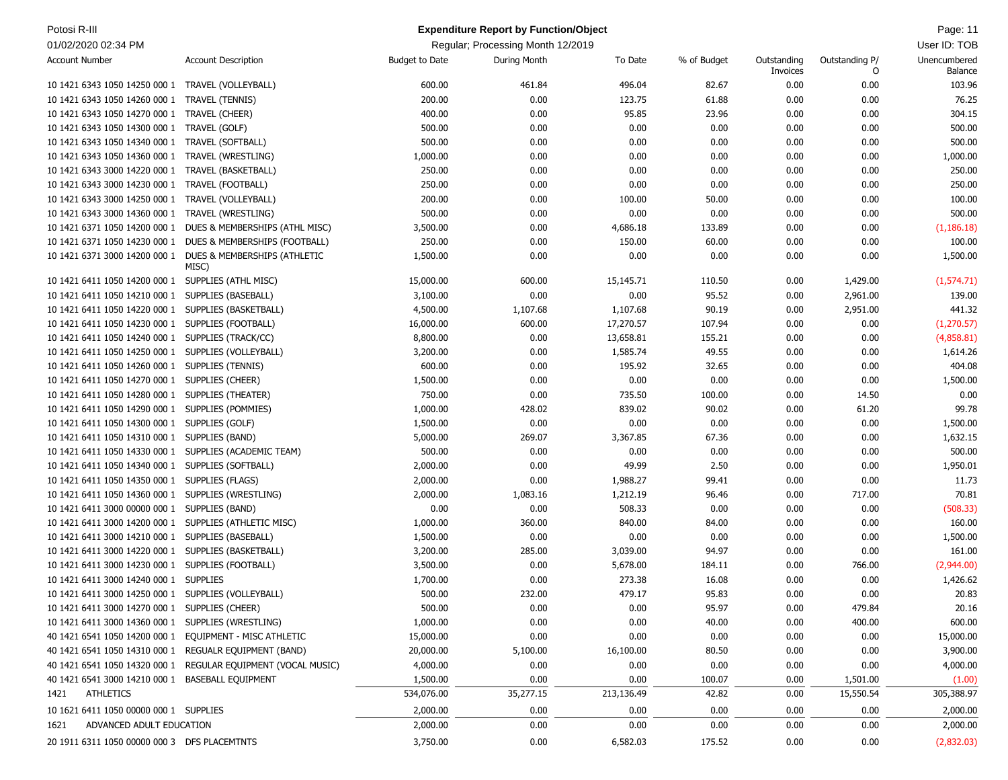| Potosi R-III                                            |                                                               |                       | <b>Expenditure Report by Function/Object</b> |            |             |                         |                     | Page: 11                       |
|---------------------------------------------------------|---------------------------------------------------------------|-----------------------|----------------------------------------------|------------|-------------|-------------------------|---------------------|--------------------------------|
| 01/02/2020 02:34 PM                                     |                                                               |                       | Regular; Processing Month 12/2019            |            |             |                         |                     | User ID: TOB                   |
| <b>Account Number</b>                                   | <b>Account Description</b>                                    | <b>Budget to Date</b> | During Month                                 | To Date    | % of Budget | Outstanding<br>Invoices | Outstanding P/<br>O | Unencumbered<br><b>Balance</b> |
| 10 1421 6343 1050 14250 000 1 TRAVEL (VOLLEYBALL)       |                                                               | 600.00                | 461.84                                       | 496.04     | 82.67       | 0.00                    | 0.00                | 103.96                         |
| 10 1421 6343 1050 14260 000 1                           | <b>TRAVEL (TENNIS)</b>                                        | 200.00                | 0.00                                         | 123.75     | 61.88       | 0.00                    | 0.00                | 76.25                          |
| 10 1421 6343 1050 14270 000 1                           | TRAVEL (CHEER)                                                | 400.00                | 0.00                                         | 95.85      | 23.96       | 0.00                    | 0.00                | 304.15                         |
| 10 1421 6343 1050 14300 000 1                           | TRAVEL (GOLF)                                                 | 500.00                | 0.00                                         | 0.00       | 0.00        | 0.00                    | 0.00                | 500.00                         |
| 10 1421 6343 1050 14340 000 1                           | TRAVEL (SOFTBALL)                                             | 500.00                | 0.00                                         | 0.00       | 0.00        | 0.00                    | 0.00                | 500.00                         |
| 10 1421 6343 1050 14360 000 1                           | TRAVEL (WRESTLING)                                            | 1,000.00              | 0.00                                         | 0.00       | 0.00        | 0.00                    | 0.00                | 1,000.00                       |
| 10 1421 6343 3000 14220 000 1                           | TRAVEL (BASKETBALL)                                           | 250.00                | 0.00                                         | 0.00       | 0.00        | 0.00                    | 0.00                | 250.00                         |
| 10 1421 6343 3000 14230 000 1                           | TRAVEL (FOOTBALL)                                             | 250.00                | 0.00                                         | 0.00       | 0.00        | 0.00                    | 0.00                | 250.00                         |
| 10 1421 6343 3000 14250 000 1                           | TRAVEL (VOLLEYBALL)                                           | 200.00                | 0.00                                         | 100.00     | 50.00       | 0.00                    | 0.00                | 100.00                         |
|                                                         | TRAVEL (WRESTLING)                                            | 500.00                | 0.00                                         | 0.00       | 0.00        | 0.00                    | 0.00                | 500.00                         |
| 10 1421 6343 3000 14360 000 1                           | DUES & MEMBERSHIPS (ATHL MISC)                                | 3,500.00              | 0.00                                         | 4,686.18   | 133.89      | 0.00                    | 0.00                | (1, 186.18)                    |
| 10 1421 6371 1050 14200 000 1                           |                                                               |                       |                                              |            |             |                         |                     |                                |
|                                                         | 10 1421 6371 1050 14230 000 1 DUES & MEMBERSHIPS (FOOTBALL)   | 250.00                | 0.00                                         | 150.00     | 60.00       | 0.00                    | 0.00                | 100.00                         |
| 10 1421 6371 3000 14200 000 1                           | DUES & MEMBERSHIPS (ATHLETIC<br>MISC)                         | 1,500.00              | 0.00                                         | 0.00       | 0.00        | 0.00                    | 0.00                | 1,500.00                       |
| 10 1421 6411 1050 14200 000 1 SUPPLIES (ATHL MISC)      |                                                               | 15,000.00             | 600.00                                       | 15,145.71  | 110.50      | 0.00                    | 1,429.00            | (1, 574.71)                    |
| 10 1421 6411 1050 14210 000 1 SUPPLIES (BASEBALL)       |                                                               | 3,100.00              | 0.00                                         | 0.00       | 95.52       | 0.00                    | 2,961.00            | 139.00                         |
| 10 1421 6411 1050 14220 000 1 SUPPLIES (BASKETBALL)     |                                                               | 4,500.00              | 1,107.68                                     | 1,107.68   | 90.19       | 0.00                    | 2,951.00            | 441.32                         |
| 10 1421 6411 1050 14230 000 1 SUPPLIES (FOOTBALL)       |                                                               | 16,000.00             | 600.00                                       | 17,270.57  | 107.94      | 0.00                    | 0.00                | (1, 270.57)                    |
| 10 1421 6411 1050 14240 000 1 SUPPLIES (TRACK/CC)       |                                                               | 8,800.00              | 0.00                                         | 13,658.81  | 155.21      | 0.00                    | 0.00                | (4,858.81)                     |
| 10 1421 6411 1050 14250 000 1 SUPPLIES (VOLLEYBALL)     |                                                               | 3,200.00              | 0.00                                         | 1,585.74   | 49.55       | 0.00                    | 0.00                | 1,614.26                       |
| 10 1421 6411 1050 14260 000 1 SUPPLIES (TENNIS)         |                                                               | 600.00                | 0.00                                         | 195.92     | 32.65       | 0.00                    | 0.00                | 404.08                         |
| 10 1421 6411 1050 14270 000 1 SUPPLIES (CHEER)          |                                                               | 1,500.00              | 0.00                                         | 0.00       | 0.00        | 0.00                    | 0.00                | 1,500.00                       |
| 10 1421 6411 1050 14280 000 1 SUPPLIES (THEATER)        |                                                               | 750.00                | 0.00                                         | 735.50     | 100.00      | 0.00                    | 14.50               | 0.00                           |
| 10 1421 6411 1050 14290 000 1 SUPPLIES (POMMIES)        |                                                               | 1,000.00              | 428.02                                       | 839.02     | 90.02       | 0.00                    | 61.20               | 99.78                          |
| 10 1421 6411 1050 14300 000 1 SUPPLIES (GOLF)           |                                                               | 1,500.00              | 0.00                                         | 0.00       | 0.00        | 0.00                    | 0.00                | 1,500.00                       |
| 10 1421 6411 1050 14310 000 1 SUPPLIES (BAND)           |                                                               | 5,000.00              | 269.07                                       | 3,367.85   | 67.36       | 0.00                    | 0.00                | 1,632.15                       |
| 10 1421 6411 1050 14330 000 1 SUPPLIES (ACADEMIC TEAM)  |                                                               | 500.00                | 0.00                                         | 0.00       | 0.00        | 0.00                    | 0.00                | 500.00                         |
| 10 1421 6411 1050 14340 000 1 SUPPLIES (SOFTBALL)       |                                                               | 2,000.00              | 0.00                                         | 49.99      | 2.50        | 0.00                    | 0.00                | 1,950.01                       |
| 10 1421 6411 1050 14350 000 1 SUPPLIES (FLAGS)          |                                                               | 2,000.00              | 0.00                                         | 1,988.27   | 99.41       | 0.00                    | 0.00                | 11.73                          |
| 10 1421 6411 1050 14360 000 1 SUPPLIES (WRESTLING)      |                                                               | 2,000.00              | 1,083.16                                     | 1,212.19   | 96.46       | 0.00                    | 717.00              | 70.81                          |
| 10 1421 6411 3000 00000 000 1 SUPPLIES (BAND)           |                                                               | 0.00                  | 0.00                                         | 508.33     | 0.00        | 0.00                    | 0.00                | (508.33)                       |
| 10 1421 6411 3000 14200 000 1 SUPPLIES (ATHLETIC MISC)  |                                                               | 1,000.00              | 360.00                                       | 840.00     | 84.00       | 0.00                    | 0.00                | 160.00                         |
| 10 1421 6411 3000 14210 000 1 SUPPLIES (BASEBALL)       |                                                               | 1,500.00              | 0.00                                         | 0.00       | 0.00        | 0.00                    | 0.00                | 1,500.00                       |
| 10 1421 6411 3000 14220 000 1 SUPPLIES (BASKETBALL)     |                                                               | 3,200.00              | 285.00                                       | 3,039.00   | 94.97       | 0.00                    | 0.00                | 161.00                         |
| 10 1421 6411 3000 14230 000 1 SUPPLIES (FOOTBALL)       |                                                               | 3,500.00              | 0.00                                         | 5,678.00   | 184.11      | 0.00                    | 766.00              | (2,944.00)                     |
| 10 1421 6411 3000 14240 000 1 SUPPLIES                  |                                                               | 1,700.00              | 0.00                                         | 273.38     | 16.08       | 0.00                    | 0.00                | 1,426.62                       |
| 10 1421 6411 3000 14250 000 1 SUPPLIES (VOLLEYBALL)     |                                                               | 500.00                | 232.00                                       | 479.17     | 95.83       | 0.00                    | 0.00                | 20.83                          |
| 10 1421 6411 3000 14270 000 1 SUPPLIES (CHEER)          |                                                               | 500.00                | 0.00                                         | 0.00       | 95.97       | 0.00                    | 479.84              | 20.16                          |
| 10 1421 6411 3000 14360 000 1 SUPPLIES (WRESTLING)      |                                                               | 1,000.00              | 0.00                                         | 0.00       | 40.00       | 0.00                    | 400.00              | 600.00                         |
| 40 1421 6541 1050 14200 000 1 EQUIPMENT - MISC ATHLETIC |                                                               | 15,000.00             | 0.00                                         | 0.00       | 0.00        | 0.00                    | 0.00                | 15,000.00                      |
| 40 1421 6541 1050 14310 000 1 REGUALR EQUIPMENT (BAND)  |                                                               | 20,000.00             | 5,100.00                                     | 16,100.00  | 80.50       | 0.00                    | 0.00                | 3,900.00                       |
|                                                         |                                                               |                       |                                              |            | 0.00        |                         |                     |                                |
|                                                         | 40 1421 6541 1050 14320 000 1 REGULAR EQUIPMENT (VOCAL MUSIC) | 4,000.00              | 0.00                                         | 0.00       |             | 0.00                    | 0.00                | 4,000.00                       |
| 40 1421 6541 3000 14210 000 1 BASEBALL EQUIPMENT        |                                                               | 1,500.00              | 0.00                                         | 0.00       | 100.07      | 0.00                    | 1,501.00            | (1.00)                         |
| ATHLETICS<br>1421                                       |                                                               | 534,076.00            | 35,277.15                                    | 213,136.49 | 42.82       | 0.00                    | 15,550.54           | 305,388.97                     |
| 10 1621 6411 1050 00000 000 1 SUPPLIES                  |                                                               | 2,000.00              | 0.00                                         | 0.00       | 0.00        | 0.00                    | 0.00                | 2,000.00                       |
| ADVANCED ADULT EDUCATION<br>1621                        |                                                               | 2,000.00              | 0.00                                         | 0.00       | 0.00        | 0.00                    | 0.00                | 2,000.00                       |
| 20 1911 6311 1050 00000 000 3 DFS PLACEMTNTS            |                                                               | 3,750.00              | 0.00                                         | 6,582.03   | 175.52      | 0.00                    | 0.00                | (2,832.03)                     |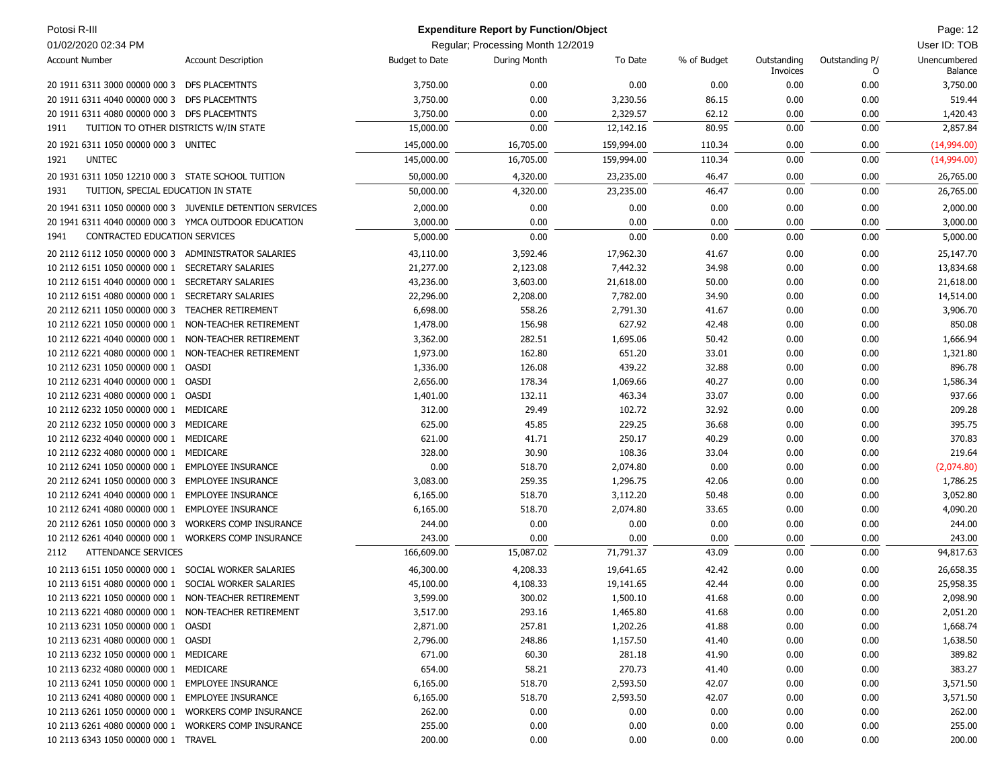| Potosi R-III                                         |                                                           |                       | <b>Expenditure Report by Function/Object</b> |            |             |                         |                     | Page: 12                |
|------------------------------------------------------|-----------------------------------------------------------|-----------------------|----------------------------------------------|------------|-------------|-------------------------|---------------------|-------------------------|
| 01/02/2020 02:34 PM                                  |                                                           |                       | Regular; Processing Month 12/2019            |            |             |                         |                     | User ID: TOB            |
| <b>Account Number</b>                                | <b>Account Description</b>                                | <b>Budget to Date</b> | During Month                                 | To Date    | % of Budget | Outstanding<br>Invoices | Outstanding P/<br>O | Unencumbered<br>Balance |
| 20 1911 6311 3000 00000 000 3 DFS PLACEMTNTS         |                                                           | 3,750.00              | 0.00                                         | 0.00       | 0.00        | 0.00                    | 0.00                | 3,750.00                |
| 20 1911 6311 4040 00000 000 3 DFS PLACEMTNTS         |                                                           | 3,750.00              | 0.00                                         | 3,230.56   | 86.15       | 0.00                    | 0.00                | 519.44                  |
| 20 1911 6311 4080 00000 000 3 DFS PLACEMTNTS         |                                                           | 3,750.00              | 0.00                                         | 2,329.57   | 62.12       | 0.00                    | 0.00                | 1,420.43                |
| TUITION TO OTHER DISTRICTS W/IN STATE<br>1911        |                                                           | 15,000.00             | 0.00                                         | 12,142.16  | 80.95       | 0.00                    | 0.00                | 2,857.84                |
| 20 1921 6311 1050 00000 000 3 UNITEC                 |                                                           | 145,000.00            | 16,705.00                                    | 159,994.00 | 110.34      | 0.00                    | 0.00                | (14,994.00)             |
| 1921<br><b>UNITEC</b>                                |                                                           | 145,000.00            | 16,705.00                                    | 159,994.00 | 110.34      | 0.00                    | 0.00                | (14,994.00)             |
| 20 1931 6311 1050 12210 000 3 STATE SCHOOL TUITION   |                                                           | 50,000.00             | 4,320.00                                     | 23,235.00  | 46.47       | 0.00                    | 0.00                | 26,765.00               |
| 1931<br>TUITION, SPECIAL EDUCATION IN STATE          |                                                           | 50,000.00             | 4,320.00                                     | 23,235.00  | 46.47       | 0.00                    | 0.00                | 26,765.00               |
|                                                      |                                                           |                       |                                              |            |             |                         |                     |                         |
|                                                      | 20 1941 6311 1050 00000 000 3 JUVENILE DETENTION SERVICES | 2,000.00              | 0.00                                         | 0.00       | 0.00        | 0.00                    | 0.00                | 2,000.00                |
| 20 1941 6311 4040 00000 000 3 YMCA OUTDOOR EDUCATION |                                                           | 3,000.00              | 0.00                                         | 0.00       | 0.00        | 0.00                    | 0.00                | 3,000.00                |
| CONTRACTED EDUCATION SERVICES<br>1941                |                                                           | 5,000.00              | 0.00                                         | 0.00       | 0.00        | 0.00                    | 0.00                | 5,000.00                |
| 20 2112 6112 1050 00000 000 3 ADMINISTRATOR SALARIES |                                                           | 43,110.00             | 3,592.46                                     | 17,962.30  | 41.67       | 0.00                    | 0.00                | 25,147.70               |
| 10 2112 6151 1050 00000 000 1                        | SECRETARY SALARIES                                        | 21,277.00             | 2,123.08                                     | 7,442.32   | 34.98       | 0.00                    | 0.00                | 13,834.68               |
| 10 2112 6151 4040 00000 000 1                        | <b>SECRETARY SALARIES</b>                                 | 43,236.00             | 3,603.00                                     | 21,618.00  | 50.00       | 0.00                    | 0.00                | 21,618.00               |
| 10 2112 6151 4080 00000 000 1                        | <b>SECRETARY SALARIES</b>                                 | 22,296.00             | 2,208.00                                     | 7,782.00   | 34.90       | 0.00                    | 0.00                | 14,514.00               |
| 20 2112 6211 1050 00000 000 3                        | <b>TEACHER RETIREMENT</b>                                 | 6,698.00              | 558.26                                       | 2,791.30   | 41.67       | 0.00                    | 0.00                | 3,906.70                |
| 10 2112 6221 1050 00000 000 1                        | NON-TEACHER RETIREMENT                                    | 1,478.00              | 156.98                                       | 627.92     | 42.48       | 0.00                    | 0.00                | 850.08                  |
| 10 2112 6221 4040 00000 000 1                        | NON-TEACHER RETIREMENT                                    | 3,362.00              | 282.51                                       | 1,695.06   | 50.42       | 0.00                    | 0.00                | 1,666.94                |
| 10 2112 6221 4080 00000 000 1                        | NON-TEACHER RETIREMENT                                    | 1,973.00              | 162.80                                       | 651.20     | 33.01       | 0.00                    | 0.00                | 1,321.80                |
| 10 2112 6231 1050 00000 000 1                        | OASDI                                                     | 1,336.00              | 126.08                                       | 439.22     | 32.88       | 0.00                    | 0.00                | 896.78                  |
| 10 2112 6231 4040 00000 000 1                        | OASDI                                                     | 2,656.00              | 178.34                                       | 1,069.66   | 40.27       | 0.00                    | 0.00                | 1,586.34                |
| 10 2112 6231 4080 00000 000 1 OASDI                  |                                                           | 1,401.00              | 132.11                                       | 463.34     | 33.07       | 0.00                    | 0.00                | 937.66                  |
| 10 2112 6232 1050 00000 000 1 MEDICARE               |                                                           | 312.00                | 29.49                                        | 102.72     | 32.92       | 0.00                    | 0.00                | 209.28                  |
| 20 2112 6232 1050 00000 000 3 MEDICARE               |                                                           | 625.00                | 45.85                                        | 229.25     | 36.68       | 0.00                    | 0.00                | 395.75                  |
| 10 2112 6232 4040 00000 000 1 MEDICARE               |                                                           | 621.00                | 41.71                                        | 250.17     | 40.29       | 0.00                    | 0.00                | 370.83                  |
| 10 2112 6232 4080 00000 000 1                        | MEDICARE                                                  | 328.00                | 30.90                                        | 108.36     | 33.04       | 0.00                    | 0.00                | 219.64                  |
| 10 2112 6241 1050 00000 000 1 EMPLOYEE INSURANCE     |                                                           | 0.00                  | 518.70                                       | 2,074.80   | 0.00        | 0.00                    | 0.00                | (2,074.80)              |
| 20 2112 6241 1050 00000 000 3                        | <b>EMPLOYEE INSURANCE</b>                                 | 3,083.00              | 259.35                                       | 1,296.75   | 42.06       | 0.00                    | 0.00                | 1,786.25                |
| 10 2112 6241 4040 00000 000 1 EMPLOYEE INSURANCE     |                                                           | 6,165.00              | 518.70                                       | 3,112.20   | 50.48       | 0.00                    | 0.00                | 3,052.80                |
| 10 2112 6241 4080 00000 000 1                        | <b>EMPLOYEE INSURANCE</b>                                 | 6,165.00              | 518.70                                       | 2,074.80   | 33.65       | 0.00                    | 0.00                | 4,090.20                |
| 20 2112 6261 1050 00000 000 3                        | <b>WORKERS COMP INSURANCE</b>                             | 244.00                | 0.00                                         | 0.00       | 0.00        | 0.00                    | 0.00                | 244.00                  |
| 10 2112 6261 4040 00000 000 1                        | <b>WORKERS COMP INSURANCE</b>                             | 243.00                | 0.00                                         | 0.00       | 0.00        | 0.00                    | 0.00                | 243.00                  |
| <b>ATTENDANCE SERVICES</b><br>2112                   |                                                           | 166,609.00            | 15,087.02                                    | 71,791.37  | 43.09       | 0.00                    | 0.00                | 94,817.63               |
| 10 2113 6151 1050 00000 000 1                        | SOCIAL WORKER SALARIES                                    | 46,300.00             | 4,208.33                                     | 19,641.65  | 42.42       | 0.00                    | 0.00                | 26,658.35               |
| 10 2113 6151 4080 00000 000 1 SOCIAL WORKER SALARIES |                                                           | 45,100.00             | 4,108.33                                     | 19,141.65  | 42.44       | 0.00                    | 0.00                | 25,958.35               |
| 10 2113 6221 1050 00000 000 1 NON-TEACHER RETIREMENT |                                                           | 3,599.00              | 300.02                                       | 1,500.10   | 41.68       | 0.00                    | 0.00                | 2,098.90                |
| 10 2113 6221 4080 00000 000 1 NON-TEACHER RETIREMENT |                                                           | 3,517.00              | 293.16                                       | 1,465.80   | 41.68       | 0.00                    | 0.00                | 2,051.20                |
| 10 2113 6231 1050 00000 000 1 OASDI                  |                                                           | 2,871.00              | 257.81                                       | 1,202.26   | 41.88       | 0.00                    | 0.00                | 1,668.74                |
| 10 2113 6231 4080 00000 000 1 OASDI                  |                                                           | 2,796.00              | 248.86                                       | 1,157.50   | 41.40       | 0.00                    | 0.00                | 1,638.50                |
| 10 2113 6232 1050 00000 000 1 MEDICARE               |                                                           | 671.00                | 60.30                                        | 281.18     | 41.90       | 0.00                    | 0.00                | 389.82                  |
| 10 2113 6232 4080 00000 000 1 MEDICARE               |                                                           | 654.00                | 58.21                                        | 270.73     | 41.40       | 0.00                    | 0.00                | 383.27                  |
| 10 2113 6241 1050 00000 000 1 EMPLOYEE INSURANCE     |                                                           | 6,165.00              | 518.70                                       | 2,593.50   | 42.07       | 0.00                    | 0.00                | 3,571.50                |
| 10 2113 6241 4080 00000 000 1 EMPLOYEE INSURANCE     |                                                           | 6,165.00              | 518.70                                       | 2,593.50   | 42.07       | 0.00                    | 0.00                | 3,571.50                |
| 10 2113 6261 1050 00000 000 1 WORKERS COMP INSURANCE |                                                           | 262.00                | 0.00                                         | 0.00       | 0.00        | 0.00                    | 0.00                | 262.00                  |
| 10 2113 6261 4080 00000 000 1 WORKERS COMP INSURANCE |                                                           | 255.00                | 0.00                                         | 0.00       | 0.00        | 0.00                    | 0.00                | 255.00                  |
| 10 2113 6343 1050 00000 000 1 TRAVEL                 |                                                           | 200.00                | 0.00                                         | 0.00       | 0.00        | 0.00                    | 0.00                | 200.00                  |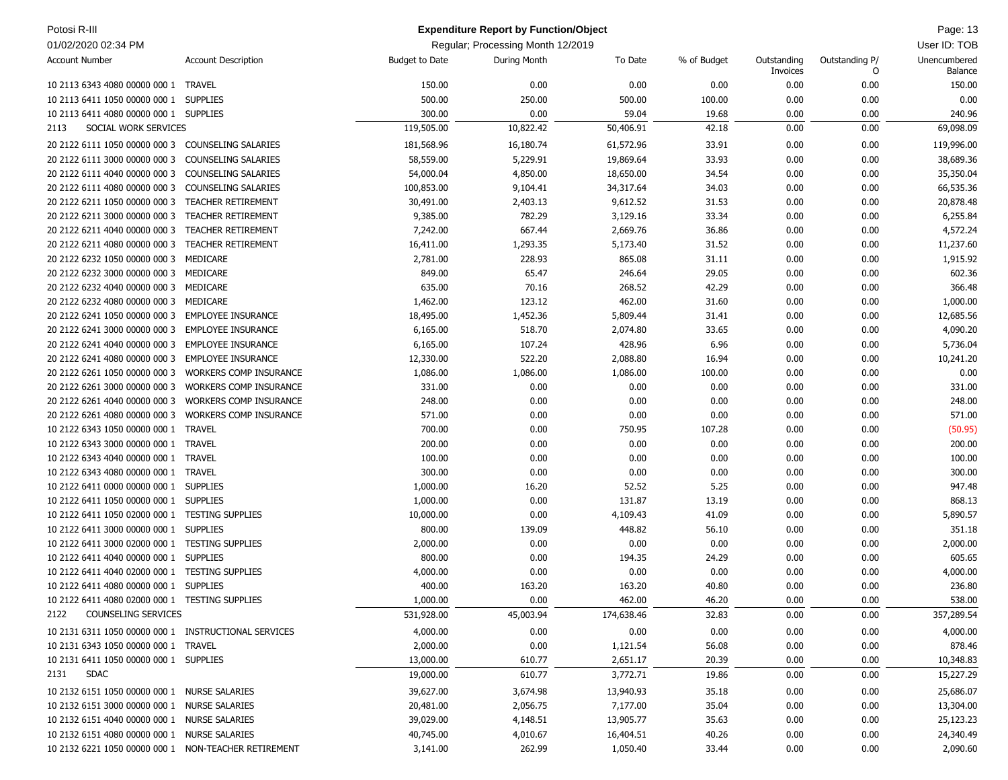| Potosi R-III                                         |                               |                       | <b>Expenditure Report by Function/Object</b> |            |             |                         |                     | Page: 13                |
|------------------------------------------------------|-------------------------------|-----------------------|----------------------------------------------|------------|-------------|-------------------------|---------------------|-------------------------|
| 01/02/2020 02:34 PM                                  |                               |                       | Regular; Processing Month 12/2019            |            |             |                         |                     | User ID: TOB            |
| <b>Account Number</b>                                | <b>Account Description</b>    | <b>Budget to Date</b> | During Month                                 | To Date    | % of Budget | Outstanding<br>Invoices | Outstanding P/<br>O | Unencumbered<br>Balance |
| 10 2113 6343 4080 00000 000 1 TRAVEL                 |                               | 150.00                | 0.00                                         | 0.00       | 0.00        | 0.00                    | 0.00                | 150.00                  |
| 10 2113 6411 1050 00000 000 1                        | <b>SUPPLIES</b>               | 500.00                | 250.00                                       | 500.00     | 100.00      | 0.00                    | 0.00                | 0.00                    |
| 10 2113 6411 4080 00000 000 1 SUPPLIES               |                               | 300.00                | 0.00                                         | 59.04      | 19.68       | 0.00                    | 0.00                | 240.96                  |
| SOCIAL WORK SERVICES<br>2113                         |                               | 119,505.00            | 10,822.42                                    | 50,406.91  | 42.18       | 0.00                    | 0.00                | 69,098.09               |
| 20 2122 6111 1050 00000 000 3                        | COUNSELING SALARIES           | 181,568.96            | 16,180.74                                    | 61,572.96  | 33.91       | 0.00                    | 0.00                | 119,996.00              |
| 20 2122 6111 3000 00000 000 3                        | <b>COUNSELING SALARIES</b>    | 58,559.00             | 5,229.91                                     | 19,869.64  | 33.93       | 0.00                    | 0.00                | 38,689.36               |
| 20 2122 6111 4040 00000 000 3                        | <b>COUNSELING SALARIES</b>    | 54,000.04             | 4,850.00                                     | 18,650.00  | 34.54       | 0.00                    | 0.00                | 35,350.04               |
| 20 2122 6111 4080 00000 000 3                        | <b>COUNSELING SALARIES</b>    | 100,853.00            | 9,104.41                                     | 34,317.64  | 34.03       | 0.00                    | 0.00                | 66,535.36               |
| 20 2122 6211 1050 00000 000 3                        | <b>TEACHER RETIREMENT</b>     | 30,491.00             | 2,403.13                                     | 9,612.52   | 31.53       | 0.00                    | 0.00                | 20,878.48               |
| 20 2122 6211 3000 00000 000 3                        | <b>TEACHER RETIREMENT</b>     | 9,385.00              | 782.29                                       | 3,129.16   | 33.34       | 0.00                    | 0.00                | 6,255.84                |
| 20 2122 6211 4040 00000 000 3                        | <b>TEACHER RETIREMENT</b>     | 7,242.00              | 667.44                                       | 2,669.76   | 36.86       | 0.00                    | 0.00                | 4,572.24                |
| 20 2122 6211 4080 00000 000 3                        | <b>TEACHER RETIREMENT</b>     | 16,411.00             | 1,293.35                                     | 5,173.40   | 31.52       | 0.00                    | 0.00                | 11,237.60               |
| 20 2122 6232 1050 00000 000 3                        | MEDICARE                      | 2,781.00              | 228.93                                       | 865.08     | 31.11       | 0.00                    | 0.00                | 1,915.92                |
| 20 2122 6232 3000 00000 000 3                        | MEDICARE                      | 849.00                | 65.47                                        | 246.64     | 29.05       | 0.00                    | 0.00                | 602.36                  |
| 20 2122 6232 4040 00000 000 3 MEDICARE               |                               | 635.00                | 70.16                                        | 268.52     | 42.29       | 0.00                    | 0.00                | 366.48                  |
| 20 2122 6232 4080 00000 000 3                        | MEDICARE                      | 1,462.00              | 123.12                                       | 462.00     | 31.60       | 0.00                    | 0.00                | 1,000.00                |
| 20 2122 6241 1050 00000 000 3                        | <b>EMPLOYEE INSURANCE</b>     | 18,495.00             | 1,452.36                                     | 5,809.44   | 31.41       | 0.00                    | 0.00                | 12,685.56               |
| 20 2122 6241 3000 00000 000 3                        | <b>EMPLOYEE INSURANCE</b>     | 6,165.00              | 518.70                                       | 2,074.80   | 33.65       | 0.00                    | 0.00                | 4,090.20                |
| 20 2122 6241 4040 00000 000 3                        | <b>EMPLOYEE INSURANCE</b>     | 6,165.00              | 107.24                                       | 428.96     | 6.96        | 0.00                    | 0.00                | 5,736.04                |
| 20 2122 6241 4080 00000 000 3                        | <b>EMPLOYEE INSURANCE</b>     | 12,330.00             | 522.20                                       | 2,088.80   | 16.94       | 0.00                    | 0.00                | 10,241.20               |
| 20 2122 6261 1050 00000 000 3                        | <b>WORKERS COMP INSURANCE</b> | 1,086.00              | 1,086.00                                     | 1,086.00   | 100.00      | 0.00                    | 0.00                | 0.00                    |
| 20 2122 6261 3000 00000 000 3                        | <b>WORKERS COMP INSURANCE</b> | 331.00                | 0.00                                         | 0.00       | 0.00        | 0.00                    | 0.00                | 331.00                  |
| 20 2122 6261 4040 00000 000 3                        | <b>WORKERS COMP INSURANCE</b> | 248.00                | 0.00                                         | 0.00       | 0.00        | 0.00                    | 0.00                | 248.00                  |
| 20 2122 6261 4080 00000 000 3                        | <b>WORKERS COMP INSURANCE</b> | 571.00                | 0.00                                         | 0.00       | 0.00        | 0.00                    | 0.00                | 571.00                  |
| 10 2122 6343 1050 00000 000 1                        | <b>TRAVEL</b>                 | 700.00                | 0.00                                         | 750.95     | 107.28      | 0.00                    | 0.00                | (50.95)                 |
| 10 2122 6343 3000 00000 000 1                        | <b>TRAVEL</b>                 | 200.00                | 0.00                                         | 0.00       | 0.00        | 0.00                    | 0.00                | 200.00                  |
| 10 2122 6343 4040 00000 000 1                        | <b>TRAVEL</b>                 | 100.00                | 0.00                                         | 0.00       | 0.00        | 0.00                    | 0.00                | 100.00                  |
| 10 2122 6343 4080 00000 000 1                        | TRAVEL                        | 300.00                | 0.00                                         | 0.00       | 0.00        | 0.00                    | 0.00                | 300.00                  |
| 10 2122 6411 0000 00000 000 1                        | <b>SUPPLIES</b>               | 1,000.00              | 16.20                                        | 52.52      | 5.25        | 0.00                    | 0.00                | 947.48                  |
| 10 2122 6411 1050 00000 000 1 SUPPLIES               |                               | 1,000.00              | 0.00                                         | 131.87     | 13.19       | 0.00                    | 0.00                | 868.13                  |
| 10 2122 6411 1050 02000 000 1                        | <b>TESTING SUPPLIES</b>       | 10,000.00             | 0.00                                         | 4,109.43   | 41.09       | 0.00                    | 0.00                | 5,890.57                |
| 10 2122 6411 3000 00000 000 1                        | <b>SUPPLIES</b>               | 800.00                | 139.09                                       | 448.82     | 56.10       | 0.00                    | 0.00                | 351.18                  |
| 10 2122 6411 3000 02000 000 1                        | <b>TESTING SUPPLIES</b>       | 2,000.00              | 0.00                                         | 0.00       | 0.00        | 0.00                    | 0.00                | 2,000.00                |
| 10 2122 6411 4040 00000 000 1                        | <b>SUPPLIES</b>               | 800.00                | 0.00                                         | 194.35     | 24.29       | 0.00                    | 0.00                | 605.65                  |
| 10 2122 6411 4040 02000 000 1 TESTING SUPPLIES       |                               | 4,000.00              | 0.00                                         | 0.00       | 0.00        | 0.00                    | 0.00                | 4,000.00                |
| 10 2122 6411 4080 00000 000 1 SUPPLIES               |                               | 400.00                | 163.20                                       | 163.20     | 40.80       | 0.00                    | 0.00                | 236.80                  |
| 10 2122 6411 4080 02000 000 1 TESTING SUPPLIES       |                               | 1,000.00              | 0.00                                         | 462.00     | 46.20       | 0.00                    | 0.00                | 538.00                  |
| COUNSELING SERVICES<br>2122                          |                               | 531,928.00            | 45,003.94                                    | 174,638.46 | 32.83       | 0.00                    | 0.00                | 357,289.54              |
| 10 2131 6311 1050 00000 000 1 INSTRUCTIONAL SERVICES |                               | 4,000.00              | 0.00                                         | 0.00       | 0.00        | 0.00                    | 0.00                | 4,000.00                |
| 10 2131 6343 1050 00000 000 1 TRAVEL                 |                               | 2,000.00              | 0.00                                         | 1,121.54   | 56.08       | 0.00                    | 0.00                | 878.46                  |
| 10 2131 6411 1050 00000 000 1 SUPPLIES               |                               | 13,000.00             | 610.77                                       | 2,651.17   | 20.39       | 0.00                    | 0.00                | 10,348.83               |
| <b>SDAC</b><br>2131                                  |                               |                       |                                              |            |             |                         |                     |                         |
|                                                      |                               | 19,000.00             | 610.77                                       | 3,772.71   | 19.86       | 0.00                    | 0.00                | 15,227.29               |
| 10 2132 6151 1050 00000 000 1 NURSE SALARIES         |                               | 39,627.00             | 3,674.98                                     | 13,940.93  | 35.18       | 0.00                    | 0.00                | 25,686.07               |
| 10 2132 6151 3000 00000 000 1 NURSE SALARIES         |                               | 20,481.00             | 2,056.75                                     | 7,177.00   | 35.04       | 0.00                    | 0.00                | 13,304.00               |
| 10 2132 6151 4040 00000 000 1 NURSE SALARIES         |                               | 39,029.00             | 4,148.51                                     | 13,905.77  | 35.63       | 0.00                    | 0.00                | 25,123.23               |
| 10 2132 6151 4080 00000 000 1 NURSE SALARIES         |                               | 40,745.00             | 4,010.67                                     | 16,404.51  | 40.26       | 0.00                    | 0.00                | 24,340.49               |
| 10 2132 6221 1050 00000 000 1 NON-TEACHER RETIREMENT |                               | 3,141.00              | 262.99                                       | 1,050.40   | 33.44       | 0.00                    | 0.00                | 2,090.60                |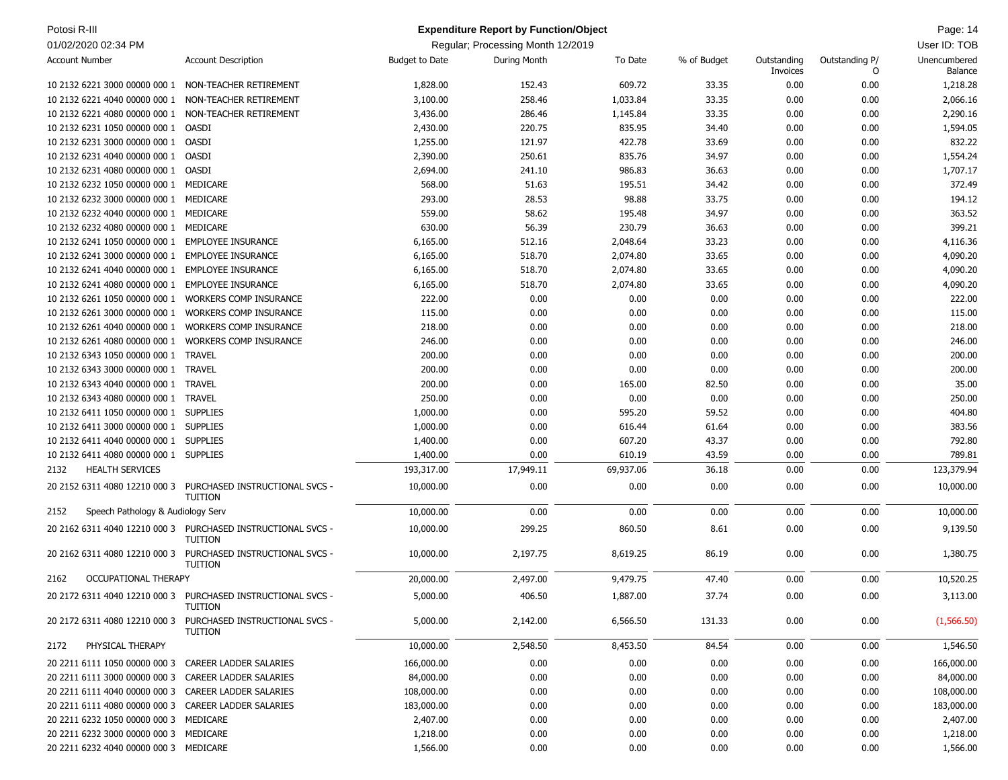| Potosi R-III                                         |                                                                                |                       | <b>Expenditure Report by Function/Object</b> |           |             |                         |                     | Page: 14                |
|------------------------------------------------------|--------------------------------------------------------------------------------|-----------------------|----------------------------------------------|-----------|-------------|-------------------------|---------------------|-------------------------|
| 01/02/2020 02:34 PM                                  |                                                                                |                       | Regular; Processing Month 12/2019            |           |             |                         |                     | User ID: TOB            |
| <b>Account Number</b>                                | <b>Account Description</b>                                                     | <b>Budget to Date</b> | During Month                                 | To Date   | % of Budget | Outstanding<br>Invoices | Outstanding P/<br>0 | Unencumbered<br>Balance |
| 10 2132 6221 3000 00000 000 1                        | NON-TEACHER RETIREMENT                                                         | 1,828.00              | 152.43                                       | 609.72    | 33.35       | 0.00                    | 0.00                | 1,218.28                |
| 10 2132 6221 4040 00000 000 1                        | NON-TEACHER RETIREMENT                                                         | 3,100.00              | 258.46                                       | 1,033.84  | 33.35       | 0.00                    | 0.00                | 2,066.16                |
| 10 2132 6221 4080 00000 000 1                        | NON-TEACHER RETIREMENT                                                         | 3,436.00              | 286.46                                       | 1,145.84  | 33.35       | 0.00                    | 0.00                | 2,290.16                |
| 10 2132 6231 1050 00000 000 1                        | <b>OASDI</b>                                                                   | 2,430.00              | 220.75                                       | 835.95    | 34.40       | 0.00                    | 0.00                | 1,594.05                |
| 10 2132 6231 3000 00000 000 1 OASDI                  |                                                                                | 1,255.00              | 121.97                                       | 422.78    | 33.69       | 0.00                    | 0.00                | 832.22                  |
| 10 2132 6231 4040 00000 000 1                        | OASDI                                                                          | 2,390.00              | 250.61                                       | 835.76    | 34.97       | 0.00                    | 0.00                | 1,554.24                |
| 10 2132 6231 4080 00000 000 1                        | OASDI                                                                          | 2,694.00              | 241.10                                       | 986.83    | 36.63       | 0.00                    | 0.00                | 1,707.17                |
| 10 2132 6232 1050 00000 000 1                        | MEDICARE                                                                       | 568.00                | 51.63                                        | 195.51    | 34.42       | 0.00                    | 0.00                | 372.49                  |
| 10 2132 6232 3000 00000 000 1                        | MEDICARE                                                                       | 293.00                | 28.53                                        | 98.88     | 33.75       | 0.00                    | 0.00                | 194.12                  |
| 10 2132 6232 4040 00000 000 1                        | MEDICARE                                                                       | 559.00                | 58.62                                        | 195.48    | 34.97       | 0.00                    | 0.00                | 363.52                  |
| 10 2132 6232 4080 00000 000 1                        | MEDICARE                                                                       | 630.00                | 56.39                                        | 230.79    | 36.63       | 0.00                    | 0.00                | 399.21                  |
| 10 2132 6241 1050 00000 000 1                        | <b>EMPLOYEE INSURANCE</b>                                                      | 6,165.00              | 512.16                                       | 2,048.64  | 33.23       | 0.00                    | 0.00                | 4,116.36                |
| 10 2132 6241 3000 00000 000 1                        | <b>EMPLOYEE INSURANCE</b>                                                      | 6,165.00              | 518.70                                       | 2,074.80  | 33.65       | 0.00                    | 0.00                | 4,090.20                |
| 10 2132 6241 4040 00000 000 1                        | <b>EMPLOYEE INSURANCE</b>                                                      | 6,165.00              | 518.70                                       | 2,074.80  | 33.65       | 0.00                    | 0.00                | 4,090.20                |
| 10 2132 6241 4080 00000 000 1                        | <b>EMPLOYEE INSURANCE</b>                                                      | 6,165.00              | 518.70                                       | 2,074.80  | 33.65       | 0.00                    | 0.00                | 4,090.20                |
| 10 2132 6261 1050 00000 000 1                        | <b>WORKERS COMP INSURANCE</b>                                                  | 222.00                | 0.00                                         | 0.00      | 0.00        | 0.00                    | 0.00                | 222.00                  |
| 10 2132 6261 3000 00000 000 1                        | <b>WORKERS COMP INSURANCE</b>                                                  | 115.00                | 0.00                                         | 0.00      | 0.00        | 0.00                    | 0.00                | 115.00                  |
| 10 2132 6261 4040 00000 000 1                        | <b>WORKERS COMP INSURANCE</b>                                                  | 218.00                | 0.00                                         | 0.00      | 0.00        | 0.00                    | 0.00                | 218.00                  |
| 10 2132 6261 4080 00000 000 1                        | <b>WORKERS COMP INSURANCE</b>                                                  | 246.00                | 0.00                                         | 0.00      | 0.00        | 0.00                    | 0.00                | 246.00                  |
| 10 2132 6343 1050 00000 000 1                        | <b>TRAVEL</b>                                                                  | 200.00                | 0.00                                         | 0.00      | 0.00        | 0.00                    | 0.00                | 200.00                  |
| 10 2132 6343 3000 00000 000 1                        | <b>TRAVEL</b>                                                                  | 200.00                | 0.00                                         | 0.00      | 0.00        | 0.00                    | 0.00                | 200.00                  |
| 10 2132 6343 4040 00000 000 1                        | <b>TRAVEL</b>                                                                  | 200.00                | 0.00                                         | 165.00    | 82.50       | 0.00                    | 0.00                | 35.00                   |
| 10 2132 6343 4080 00000 000 1                        | <b>TRAVEL</b>                                                                  | 250.00                | 0.00                                         | 0.00      | 0.00        | 0.00                    | 0.00                | 250.00                  |
| 10 2132 6411 1050 00000 000 1                        | <b>SUPPLIES</b>                                                                |                       | 0.00                                         | 595.20    | 59.52       | 0.00                    | 0.00                | 404.80                  |
|                                                      | <b>SUPPLIES</b>                                                                | 1,000.00              | 0.00                                         |           |             |                         |                     |                         |
| 10 2132 6411 3000 00000 000 1                        |                                                                                | 1,000.00              |                                              | 616.44    | 61.64       | 0.00                    | 0.00                | 383.56<br>792.80        |
| 10 2132 6411 4040 00000 000 1                        | <b>SUPPLIES</b>                                                                | 1,400.00              | 0.00                                         | 607.20    | 43.37       | 0.00                    | 0.00                |                         |
| 10 2132 6411 4080 00000 000 1 SUPPLIES               |                                                                                | 1,400.00              | 0.00                                         | 610.19    | 43.59       | 0.00                    | 0.00                | 789.81                  |
| <b>HEALTH SERVICES</b><br>2132                       |                                                                                | 193,317.00            | 17,949.11                                    | 69,937.06 | 36.18       | 0.00                    | 0.00                | 123,379.94              |
| 20 2152 6311 4080 12210 000 3                        | PURCHASED INSTRUCTIONAL SVCS -<br><b>TUITION</b>                               | 10,000.00             | 0.00                                         | 0.00      | 0.00        | 0.00                    | 0.00                | 10,000.00               |
| 2152<br>Speech Pathology & Audiology Serv            |                                                                                | 10,000.00             | 0.00                                         | 0.00      | 0.00        | 0.00                    | 0.00                | 10,000.00               |
|                                                      | 20 2162 6311 4040 12210 000 3 PURCHASED INSTRUCTIONAL SVCS -<br><b>TUITION</b> | 10,000.00             | 299.25                                       | 860.50    | 8.61        | 0.00                    | 0.00                | 9,139.50                |
| 20 2162 6311 4080 12210 000 3                        | PURCHASED INSTRUCTIONAL SVCS -<br><b>TUITION</b>                               | 10,000.00             | 2,197.75                                     | 8,619.25  | 86.19       | 0.00                    | 0.00                | 1,380.75                |
| <b>OCCUPATIONAL THERAPY</b><br>2162                  |                                                                                | 20,000.00             | 2,497.00                                     | 9,479.75  | 47.40       | 0.00                    | 0.00                | 10,520.25               |
|                                                      | 20 2172 6311 4040 12210 000 3 PURCHASED INSTRUCTIONAL SVCS -<br>TUITION        | 5,000.00              | 406.50                                       | 1,887.00  | 37.74       | 0.00                    | 0.00                | 3,113.00                |
| 20 2172 6311 4080 12210 000 3                        | PURCHASED INSTRUCTIONAL SVCS -<br><b>TUITION</b>                               | 5,000.00              | 2,142.00                                     | 6,566.50  | 131.33      | 0.00                    | 0.00                | (1,566.50)              |
| PHYSICAL THERAPY<br>2172                             |                                                                                | 10,000.00             | 2,548.50                                     | 8,453.50  | 84.54       | 0.00                    | 0.00                | 1,546.50                |
| 20 2211 6111 1050 00000 000 3                        | CAREER LADDER SALARIES                                                         | 166,000.00            | 0.00                                         | 0.00      | 0.00        | 0.00                    | 0.00                | 166,000.00              |
| 20 2211 6111 3000 00000 000 3 CAREER LADDER SALARIES |                                                                                | 84,000.00             | 0.00                                         | 0.00      | 0.00        | 0.00                    | 0.00                | 84,000.00               |
| 20 2211 6111 4040 00000 000 3 CAREER LADDER SALARIES |                                                                                | 108,000.00            | 0.00                                         | 0.00      | 0.00        | 0.00                    | 0.00                | 108,000.00              |
| 20 2211 6111 4080 00000 000 3 CAREER LADDER SALARIES |                                                                                | 183,000.00            | 0.00                                         | 0.00      | 0.00        | 0.00                    | 0.00                | 183,000.00              |
| 20 2211 6232 1050 00000 000 3 MEDICARE               |                                                                                | 2,407.00              | 0.00                                         | 0.00      | 0.00        | 0.00                    | 0.00                | 2,407.00                |
| 20 2211 6232 3000 00000 000 3 MEDICARE               |                                                                                | 1,218.00              | 0.00                                         | 0.00      | 0.00        | 0.00                    | 0.00                | 1,218.00                |
| 20 2211 6232 4040 00000 000 3 MEDICARE               |                                                                                | 1,566.00              | 0.00                                         | 0.00      | 0.00        | 0.00                    | 0.00                | 1,566.00                |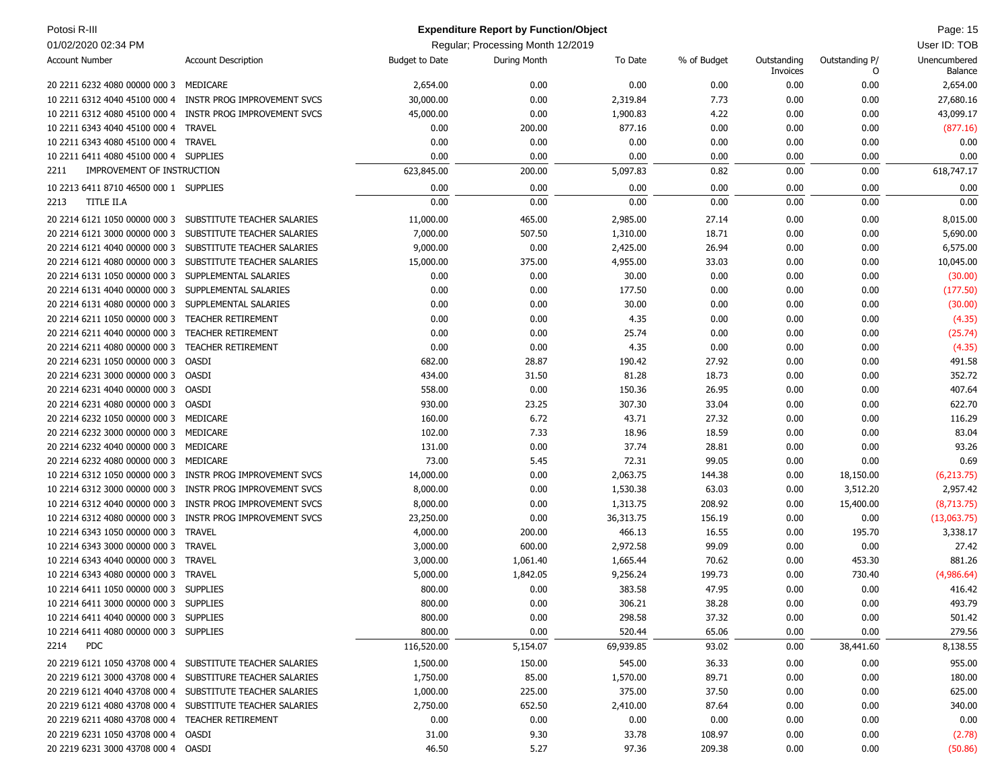| Potosi R-III                                     |                                                           |                | <b>Expenditure Report by Function/Object</b> |           |             |                         |                     | Page: 15                |
|--------------------------------------------------|-----------------------------------------------------------|----------------|----------------------------------------------|-----------|-------------|-------------------------|---------------------|-------------------------|
| 01/02/2020 02:34 PM                              |                                                           |                | Regular; Processing Month 12/2019            |           |             |                         |                     | User ID: TOB            |
| <b>Account Number</b>                            | <b>Account Description</b>                                | Budget to Date | During Month                                 | To Date   | % of Budget | Outstanding<br>Invoices | Outstanding P/<br>0 | Unencumbered<br>Balance |
| 20 2211 6232 4080 00000 000 3 MEDICARE           |                                                           | 2,654.00       | 0.00                                         | 0.00      | 0.00        | 0.00                    | 0.00                | 2,654.00                |
| 10 2211 6312 4040 45100 000 4                    | INSTR PROG IMPROVEMENT SVCS                               | 30,000.00      | 0.00                                         | 2,319.84  | 7.73        | 0.00                    | 0.00                | 27,680.16               |
| 10 2211 6312 4080 45100 000 4                    | INSTR PROG IMPROVEMENT SVCS                               | 45,000.00      | 0.00                                         | 1,900.83  | 4.22        | 0.00                    | 0.00                | 43,099.17               |
| 10 2211 6343 4040 45100 000 4                    | <b>TRAVEL</b>                                             | 0.00           | 200.00                                       | 877.16    | 0.00        | 0.00                    | 0.00                | (877.16)                |
| 10 2211 6343 4080 45100 000 4                    | <b>TRAVEL</b>                                             | 0.00           | 0.00                                         | 0.00      | 0.00        | 0.00                    | 0.00                | 0.00                    |
| 10 2211 6411 4080 45100 000 4 SUPPLIES           |                                                           | 0.00           | 0.00                                         | 0.00      | 0.00        | 0.00                    | 0.00                | 0.00                    |
| IMPROVEMENT OF INSTRUCTION<br>2211               |                                                           | 623,845.00     | 200.00                                       | 5,097.83  | 0.82        | 0.00                    | 0.00                | 618,747.17              |
| 10 2213 6411 8710 46500 000 1 SUPPLIES           |                                                           | 0.00           | 0.00                                         | 0.00      | 0.00        | 0.00                    | 0.00                | 0.00                    |
| TITLE II.A<br>2213                               |                                                           | 0.00           | 0.00                                         | 0.00      | 0.00        | 0.00                    | 0.00                | 0.00                    |
|                                                  | 20 2214 6121 1050 00000 000 3 SUBSTITUTE TEACHER SALARIES | 11,000.00      | 465.00                                       | 2,985.00  | 27.14       | 0.00                    | 0.00                | 8,015.00                |
| 20 2214 6121 3000 00000 000 3                    | SUBSTITUTE TEACHER SALARIES                               | 7,000.00       | 507.50                                       | 1,310.00  | 18.71       | 0.00                    | 0.00                | 5,690.00                |
| 20 2214 6121 4040 00000 000 3                    | SUBSTITUTE TEACHER SALARIES                               | 9,000.00       | 0.00                                         | 2,425.00  | 26.94       | 0.00                    | 0.00                | 6,575.00                |
| 20 2214 6121 4080 00000 000 3                    | SUBSTITUTE TEACHER SALARIES                               | 15,000.00      | 375.00                                       | 4,955.00  | 33.03       | 0.00                    | 0.00                | 10,045.00               |
| 20 2214 6131 1050 00000 000 3                    | SUPPLEMENTAL SALARIES                                     | 0.00           | 0.00                                         | 30.00     | 0.00        | 0.00                    | 0.00                | (30.00)                 |
| 20 2214 6131 4040 00000 000 3                    | SUPPLEMENTAL SALARIES                                     | 0.00           | 0.00                                         | 177.50    | 0.00        | 0.00                    | 0.00                | (177.50)                |
| 20 2214 6131 4080 00000 000 3                    | SUPPLEMENTAL SALARIES                                     | 0.00           | 0.00                                         | 30.00     | 0.00        | 0.00                    | 0.00                | (30.00)                 |
| 20 2214 6211 1050 00000 000 3                    | <b>TEACHER RETIREMENT</b>                                 | 0.00           | 0.00                                         | 4.35      | 0.00        | 0.00                    | 0.00                | (4.35)                  |
| 20 2214 6211 4040 00000 000 3                    | <b>TEACHER RETIREMENT</b>                                 | 0.00           | 0.00                                         | 25.74     | 0.00        | 0.00                    | 0.00                | (25.74)                 |
| 20 2214 6211 4080 00000 000 3                    | <b>TEACHER RETIREMENT</b>                                 | 0.00           | 0.00                                         | 4.35      | 0.00        | 0.00                    | 0.00                | (4.35)                  |
| 20 2214 6231 1050 00000 000 3                    | OASDI                                                     | 682.00         | 28.87                                        | 190.42    | 27.92       | 0.00                    | 0.00                | 491.58                  |
| 20 2214 6231 3000 00000 000 3                    | OASDI                                                     | 434.00         | 31.50                                        | 81.28     | 18.73       | 0.00                    | 0.00                | 352.72                  |
| 20 2214 6231 4040 00000 000 3                    | OASDI                                                     | 558.00         | 0.00                                         | 150.36    | 26.95       | 0.00                    | 0.00                | 407.64                  |
| 20 2214 6231 4080 00000 000 3                    | OASDI                                                     | 930.00         | 23.25                                        | 307.30    | 33.04       | 0.00                    | 0.00                | 622.70                  |
| 20 2214 6232 1050 00000 000 3 MEDICARE           |                                                           | 160.00         | 6.72                                         | 43.71     | 27.32       | 0.00                    | 0.00                | 116.29                  |
| 20 2214 6232 3000 00000 000 3                    | MEDICARE                                                  | 102.00         | 7.33                                         | 18.96     | 18.59       | 0.00                    | 0.00                | 83.04                   |
| 20 2214 6232 4040 00000 000 3                    | MEDICARE                                                  | 131.00         | 0.00                                         | 37.74     | 28.81       | 0.00                    | 0.00                | 93.26                   |
| 20 2214 6232 4080 00000 000 3                    | MEDICARE                                                  | 73.00          | 5.45                                         | 72.31     | 99.05       | 0.00                    | 0.00                | 0.69                    |
| 10 2214 6312 1050 00000 000 3                    | INSTR PROG IMPROVEMENT SVCS                               | 14,000.00      | 0.00                                         | 2,063.75  | 144.38      | 0.00                    | 18,150.00           | (6, 213.75)             |
| 10 2214 6312 3000 00000 000 3                    | INSTR PROG IMPROVEMENT SVCS                               | 8,000.00       | 0.00                                         | 1,530.38  | 63.03       | 0.00                    | 3,512.20            | 2,957.42                |
| 10 2214 6312 4040 00000 000 3                    | INSTR PROG IMPROVEMENT SVCS                               | 8,000.00       | 0.00                                         | 1,313.75  | 208.92      | 0.00                    | 15,400.00           | (8,713.75)              |
| 10 2214 6312 4080 00000 000 3                    | INSTR PROG IMPROVEMENT SVCS                               | 23,250.00      | 0.00                                         | 36,313.75 | 156.19      | 0.00                    | 0.00                | (13,063.75)             |
| 10 2214 6343 1050 00000 000 3                    | <b>TRAVEL</b>                                             | 4,000.00       | 200.00                                       | 466.13    | 16.55       | 0.00                    | 195.70              | 3,338.17                |
| 10 2214 6343 3000 00000 000 3                    | <b>TRAVEL</b>                                             | 3,000.00       | 600.00                                       | 2,972.58  | 99.09       | 0.00                    | 0.00                | 27.42                   |
| 10 2214 6343 4040 00000 000 3                    | <b>TRAVEL</b>                                             | 3,000.00       | 1,061.40                                     | 1,665.44  | 70.62       | 0.00                    | 453.30              | 881.26                  |
| 10 2214 6343 4080 00000 000 3 TRAVEL             |                                                           | 5,000.00       | 1,842.05                                     | 9,256.24  | 199.73      | 0.00                    | 730.40              | (4,986.64)              |
| 10 2214 6411 1050 00000 000 3 SUPPLIES           |                                                           | 800.00         | 0.00                                         | 383.58    | 47.95       | 0.00                    | 0.00                | 416.42                  |
| 10 2214 6411 3000 00000 000 3 SUPPLIES           |                                                           | 800.00         | 0.00                                         | 306.21    | 38.28       | 0.00                    | 0.00                | 493.79                  |
| 10 2214 6411 4040 00000 000 3 SUPPLIES           |                                                           | 800.00         | 0.00                                         | 298.58    | 37.32       | 0.00                    | 0.00                | 501.42                  |
| 10 2214 6411 4080 00000 000 3 SUPPLIES           |                                                           | 800.00         | 0.00                                         | 520.44    | 65.06       | 0.00                    | 0.00                | 279.56                  |
| <b>PDC</b><br>2214                               |                                                           | 116,520.00     | 5,154.07                                     | 69,939.85 | 93.02       | 0.00                    | 38,441.60           | 8,138.55                |
|                                                  | 20 2219 6121 1050 43708 000 4 SUBSTITUTE TEACHER SALARIES | 1,500.00       | 150.00                                       | 545.00    | 36.33       | 0.00                    | 0.00                | 955.00                  |
|                                                  | 20 2219 6121 3000 43708 000 4 SUBSTITURE TEACHER SALARIES | 1,750.00       | 85.00                                        | 1,570.00  | 89.71       | 0.00                    | 0.00                | 180.00                  |
|                                                  | 20 2219 6121 4040 43708 000 4 SUBSTITUTE TEACHER SALARIES | 1,000.00       | 225.00                                       | 375.00    | 37.50       | 0.00                    | 0.00                | 625.00                  |
|                                                  | 20 2219 6121 4080 43708 000 4 SUBSTITUTE TEACHER SALARIES | 2,750.00       | 652.50                                       | 2,410.00  | 87.64       | 0.00                    | 0.00                | 340.00                  |
| 20 2219 6211 4080 43708 000 4 TEACHER RETIREMENT |                                                           | 0.00           | 0.00                                         | 0.00      | 0.00        | 0.00                    | 0.00                | 0.00                    |
| 20 2219 6231 1050 43708 000 4 OASDI              |                                                           | 31.00          | 9.30                                         | 33.78     | 108.97      | 0.00                    | 0.00                | (2.78)                  |
| 20 2219 6231 3000 43708 000 4 OASDI              |                                                           | 46.50          | 5.27                                         | 97.36     | 209.38      | 0.00                    | 0.00                | (50.86)                 |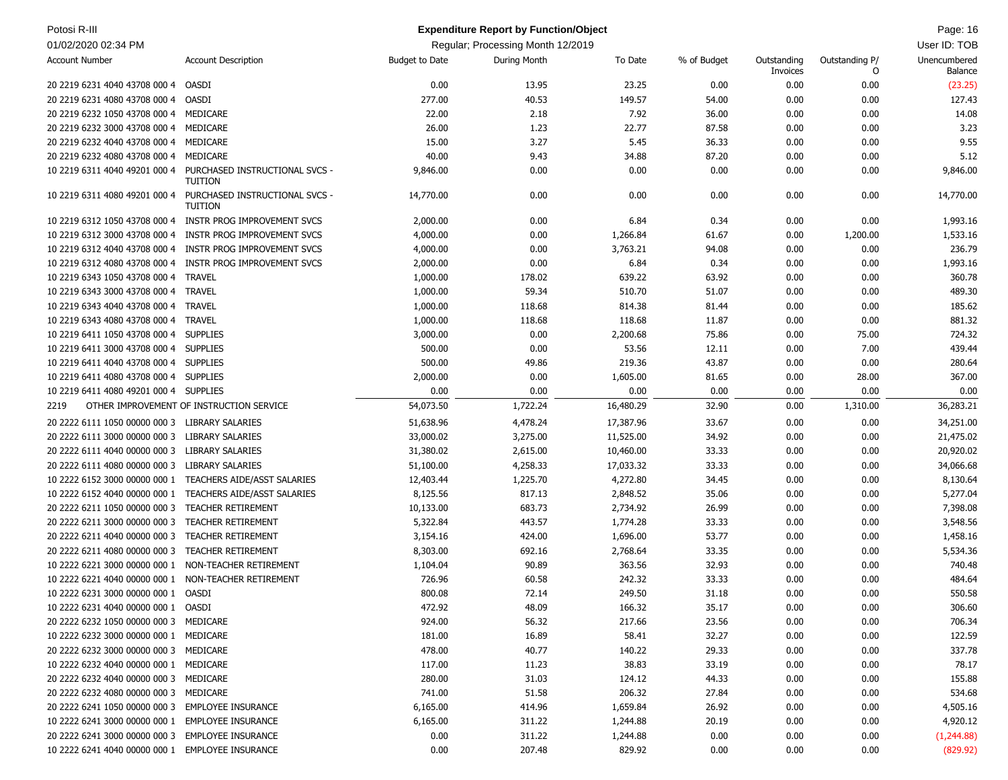| Potosi R-III                                         |                                                           |                       | <b>Expenditure Report by Function/Object</b> |           |             |                         |                     | Page: 16                       |
|------------------------------------------------------|-----------------------------------------------------------|-----------------------|----------------------------------------------|-----------|-------------|-------------------------|---------------------|--------------------------------|
| 01/02/2020 02:34 PM                                  |                                                           |                       | Regular; Processing Month 12/2019            |           |             |                         |                     | User ID: TOB                   |
| <b>Account Number</b>                                | <b>Account Description</b>                                | <b>Budget to Date</b> | During Month                                 | To Date   | % of Budget | Outstanding<br>Invoices | Outstanding P/<br>O | Unencumbered<br><b>Balance</b> |
| 20 2219 6231 4040 43708 000 4                        | <b>OASDI</b>                                              | 0.00                  | 13.95                                        | 23.25     | 0.00        | 0.00                    | 0.00                | (23.25)                        |
| 20 2219 6231 4080 43708 000 4                        | OASDI                                                     | 277.00                | 40.53                                        | 149.57    | 54.00       | 0.00                    | 0.00                | 127.43                         |
| 20 2219 6232 1050 43708 000 4                        | MEDICARE                                                  | 22.00                 | 2.18                                         | 7.92      | 36.00       | 0.00                    | 0.00                | 14.08                          |
| 20 2219 6232 3000 43708 000 4                        | MEDICARE                                                  | 26.00                 | 1.23                                         | 22.77     | 87.58       | 0.00                    | 0.00                | 3.23                           |
| 20 2219 6232 4040 43708 000 4                        | MEDICARE                                                  | 15.00                 | 3.27                                         | 5.45      | 36.33       | 0.00                    | 0.00                | 9.55                           |
| 20 2219 6232 4080 43708 000 4                        | MEDICARE                                                  | 40.00                 | 9.43                                         | 34.88     | 87.20       | 0.00                    | 0.00                | 5.12                           |
| 10 2219 6311 4040 49201 000 4                        | PURCHASED INSTRUCTIONAL SVCS -<br><b>TUITION</b>          | 9,846.00              | 0.00                                         | 0.00      | 0.00        | 0.00                    | 0.00                | 9,846.00                       |
| 10 2219 6311 4080 49201 000 4                        | PURCHASED INSTRUCTIONAL SVCS -<br><b>TUITION</b>          | 14,770.00             | 0.00                                         | 0.00      | 0.00        | 0.00                    | 0.00                | 14,770.00                      |
| 10 2219 6312 1050 43708 000 4                        | <b>INSTR PROG IMPROVEMENT SVCS</b>                        | 2,000.00              | 0.00                                         | 6.84      | 0.34        | 0.00                    | 0.00                | 1,993.16                       |
| 10 2219 6312 3000 43708 000 4                        | INSTR PROG IMPROVEMENT SVCS                               | 4,000.00              | 0.00                                         | 1,266.84  | 61.67       | 0.00                    | 1,200.00            | 1,533.16                       |
| 10 2219 6312 4040 43708 000 4                        | INSTR PROG IMPROVEMENT SVCS                               | 4,000.00              | 0.00                                         | 3,763.21  | 94.08       | 0.00                    | 0.00                | 236.79                         |
| 10 2219 6312 4080 43708 000 4                        | INSTR PROG IMPROVEMENT SVCS                               | 2,000.00              | 0.00                                         | 6.84      | 0.34        | 0.00                    | 0.00                | 1,993.16                       |
| 10 2219 6343 1050 43708 000 4                        | <b>TRAVEL</b>                                             | 1,000.00              | 178.02                                       | 639.22    | 63.92       | 0.00                    | 0.00                | 360.78                         |
| 10 2219 6343 3000 43708 000 4                        | <b>TRAVEL</b>                                             | 1,000.00              | 59.34                                        | 510.70    | 51.07       | 0.00                    | 0.00                | 489.30                         |
| 10 2219 6343 4040 43708 000 4                        | <b>TRAVEL</b>                                             | 1,000.00              | 118.68                                       | 814.38    | 81.44       | 0.00                    | 0.00                | 185.62                         |
| 10 2219 6343 4080 43708 000 4                        | <b>TRAVEL</b>                                             | 1,000.00              | 118.68                                       | 118.68    | 11.87       | 0.00                    | 0.00                | 881.32                         |
| 10 2219 6411 1050 43708 000 4                        | <b>SUPPLIES</b>                                           | 3,000.00              | 0.00                                         | 2,200.68  | 75.86       | 0.00                    | 75.00               | 724.32                         |
| 10 2219 6411 3000 43708 000 4                        | <b>SUPPLIES</b>                                           | 500.00                | 0.00                                         | 53.56     | 12.11       | 0.00                    | 7.00                | 439.44                         |
| 10 2219 6411 4040 43708 000 4                        | <b>SUPPLIES</b>                                           | 500.00                | 49.86                                        | 219.36    | 43.87       | 0.00                    | 0.00                | 280.64                         |
| 10 2219 6411 4080 43708 000 4                        | <b>SUPPLIES</b>                                           | 2,000.00              | 0.00                                         | 1,605.00  | 81.65       | 0.00                    | 28.00               | 367.00                         |
| 10 2219 6411 4080 49201 000 4                        | <b>SUPPLIES</b>                                           | 0.00                  | 0.00                                         | 0.00      | 0.00        | 0.00                    | 0.00                | 0.00                           |
| 2219                                                 | OTHER IMPROVEMENT OF INSTRUCTION SERVICE                  | 54,073.50             | 1,722.24                                     | 16,480.29 | 32.90       | 0.00                    | 1,310.00            | 36,283.21                      |
| 20 2222 6111 1050 00000 000 3 LIBRARY SALARIES       |                                                           | 51,638.96             | 4,478.24                                     | 17,387.96 | 33.67       | 0.00                    | 0.00                | 34,251.00                      |
| 20 2222 6111 3000 00000 000 3                        | LIBRARY SALARIES                                          | 33,000.02             | 3,275.00                                     | 11,525.00 | 34.92       | 0.00                    | 0.00                | 21,475.02                      |
| 20 2222 6111 4040 00000 000 3                        | LIBRARY SALARIES                                          | 31,380.02             | 2,615.00                                     | 10,460.00 | 33.33       | 0.00                    | 0.00                | 20,920.02                      |
| 20 2222 6111 4080 00000 000 3                        | <b>LIBRARY SALARIES</b>                                   | 51,100.00             | 4,258.33                                     | 17,033.32 | 33.33       | 0.00                    | 0.00                | 34,066.68                      |
|                                                      | 10 2222 6152 3000 00000 000 1 TEACHERS AIDE/ASST SALARIES | 12,403.44             | 1,225.70                                     | 4,272.80  | 34.45       | 0.00                    | 0.00                | 8,130.64                       |
|                                                      | 10 2222 6152 4040 00000 000 1 TEACHERS AIDE/ASST SALARIES | 8,125.56              | 817.13                                       | 2,848.52  | 35.06       | 0.00                    | 0.00                | 5,277.04                       |
| 20 2222 6211 1050 00000 000 3                        | <b>TEACHER RETIREMENT</b>                                 | 10,133.00             | 683.73                                       | 2,734.92  | 26.99       | 0.00                    | 0.00                | 7,398.08                       |
| 20 2222 6211 3000 00000 000 3                        | <b>TEACHER RETIREMENT</b>                                 | 5,322.84              | 443.57                                       | 1,774.28  | 33.33       | 0.00                    | 0.00                | 3,548.56                       |
| 20 2222 6211 4040 00000 000 3                        | <b>TEACHER RETIREMENT</b>                                 | 3,154.16              | 424.00                                       | 1,696.00  | 53.77       | 0.00                    | 0.00                | 1,458.16                       |
| 20 2222 6211 4080 00000 000 3                        | <b>TEACHER RETIREMENT</b>                                 | 8,303.00              | 692.16                                       | 2,768.64  | 33.35       | 0.00                    | 0.00                | 5,534.36                       |
| 10 2222 6221 3000 00000 000 1                        | NON-TEACHER RETIREMENT                                    | 1,104.04              | 90.89                                        | 363.56    | 32.93       | 0.00                    | 0.00                | 740.48                         |
| 10 2222 6221 4040 00000 000 1 NON-TEACHER RETIREMENT |                                                           | 726.96                | 60.58                                        | 242.32    | 33.33       | 0.00                    | 0.00                | 484.64                         |
| 10 2222 6231 3000 00000 000 1 OASDI                  |                                                           | 800.08                | 72.14                                        | 249.50    | 31.18       | 0.00                    | 0.00                | 550.58                         |
| 10 2222 6231 4040 00000 000 1 OASDI                  |                                                           | 472.92                | 48.09                                        | 166.32    | 35.17       | 0.00                    | 0.00                | 306.60                         |
| 20 2222 6232 1050 00000 000 3 MEDICARE               |                                                           | 924.00                | 56.32                                        | 217.66    | 23.56       | 0.00                    | 0.00                | 706.34                         |
| 10 2222 6232 3000 00000 000 1 MEDICARE               |                                                           | 181.00                | 16.89                                        | 58.41     | 32.27       | 0.00                    | 0.00                | 122.59                         |
| 20 2222 6232 3000 00000 000 3 MEDICARE               |                                                           | 478.00                | 40.77                                        | 140.22    | 29.33       | 0.00                    | 0.00                | 337.78                         |
| 10 2222 6232 4040 00000 000 1 MEDICARE               |                                                           | 117.00                | 11.23                                        | 38.83     | 33.19       | 0.00                    | 0.00                | 78.17                          |
| 20 2222 6232 4040 00000 000 3 MEDICARE               |                                                           | 280.00                | 31.03                                        | 124.12    | 44.33       | 0.00                    | 0.00                | 155.88                         |
| 20 2222 6232 4080 00000 000 3 MEDICARE               |                                                           | 741.00                | 51.58                                        | 206.32    | 27.84       | 0.00                    | 0.00                | 534.68                         |
| 20 2222 6241 1050 00000 000 3 EMPLOYEE INSURANCE     |                                                           | 6,165.00              | 414.96                                       | 1,659.84  | 26.92       | 0.00                    | 0.00                | 4,505.16                       |
| 10 2222 6241 3000 00000 000 1 EMPLOYEE INSURANCE     |                                                           | 6,165.00              | 311.22                                       | 1,244.88  | 20.19       | 0.00                    | 0.00                | 4,920.12                       |
| 20 2222 6241 3000 00000 000 3 EMPLOYEE INSURANCE     |                                                           | 0.00                  | 311.22                                       | 1,244.88  | 0.00        | 0.00                    | 0.00                | (1,244.88)                     |
| 10 2222 6241 4040 00000 000 1 EMPLOYEE INSURANCE     |                                                           | 0.00                  | 207.48                                       | 829.92    | 0.00        | 0.00                    | 0.00                | (829.92)                       |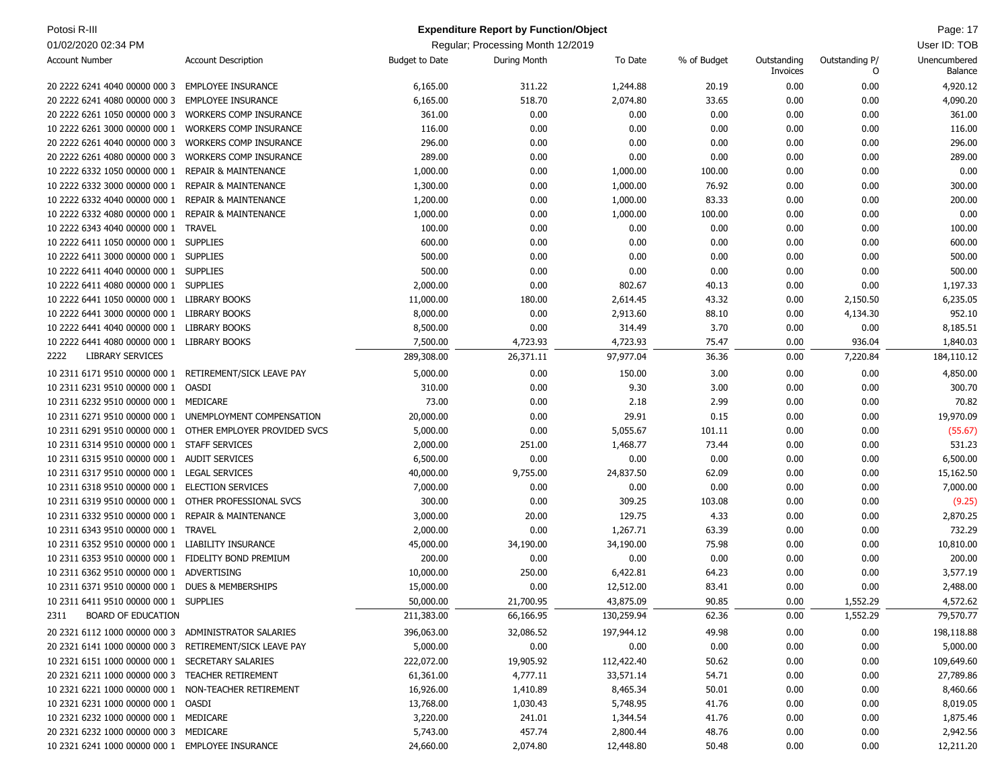| Potosi R-III                                                                                     |                                                            |                       | <b>Expenditure Report by Function/Object</b> |                    |             |                         |                     | Page: 17                |
|--------------------------------------------------------------------------------------------------|------------------------------------------------------------|-----------------------|----------------------------------------------|--------------------|-------------|-------------------------|---------------------|-------------------------|
| 01/02/2020 02:34 PM                                                                              |                                                            |                       | Regular; Processing Month 12/2019            |                    |             |                         |                     | User ID: TOB            |
| <b>Account Number</b>                                                                            | <b>Account Description</b>                                 | <b>Budget to Date</b> | During Month                                 | To Date            | % of Budget | Outstanding<br>Invoices | Outstanding P/<br>0 | Unencumbered<br>Balance |
| 20 2222 6241 4040 00000 000 3                                                                    | EMPLOYEE INSURANCE                                         | 6,165.00              | 311.22                                       | 1,244.88           | 20.19       | 0.00                    | 0.00                | 4,920.12                |
| 20 2222 6241 4080 00000 000 3                                                                    | <b>EMPLOYEE INSURANCE</b>                                  | 6,165.00              | 518.70                                       | 2,074.80           | 33.65       | 0.00                    | 0.00                | 4,090.20                |
| 20 2222 6261 1050 00000 000 3                                                                    | <b>WORKERS COMP INSURANCE</b>                              | 361.00                | 0.00                                         | 0.00               | 0.00        | 0.00                    | 0.00                | 361.00                  |
| 10 2222 6261 3000 00000 000 1                                                                    | <b>WORKERS COMP INSURANCE</b>                              | 116.00                | 0.00                                         | 0.00               | 0.00        | 0.00                    | 0.00                | 116.00                  |
| 20 2222 6261 4040 00000 000 3                                                                    | <b>WORKERS COMP INSURANCE</b>                              | 296.00                | 0.00                                         | 0.00               | 0.00        | 0.00                    | 0.00                | 296.00                  |
| 20 2222 6261 4080 00000 000 3                                                                    | <b>WORKERS COMP INSURANCE</b>                              | 289.00                | 0.00                                         | 0.00               | 0.00        | 0.00                    | 0.00                | 289.00                  |
| 10 2222 6332 1050 00000 000 1                                                                    | <b>REPAIR &amp; MAINTENANCE</b>                            | 1,000.00              | 0.00                                         | 1,000.00           | 100.00      | 0.00                    | 0.00                | 0.00                    |
| 10 2222 6332 3000 00000 000 1                                                                    | <b>REPAIR &amp; MAINTENANCE</b>                            | 1,300.00              | 0.00                                         | 1,000.00           | 76.92       | 0.00                    | 0.00                | 300.00                  |
| 10 2222 6332 4040 00000 000 1                                                                    | <b>REPAIR &amp; MAINTENANCE</b>                            | 1,200.00              | 0.00                                         | 1,000.00           | 83.33       | 0.00                    | 0.00                | 200.00                  |
| 10 2222 6332 4080 00000 000 1                                                                    | <b>REPAIR &amp; MAINTENANCE</b>                            | 1,000.00              | 0.00                                         | 1,000.00           | 100.00      | 0.00                    | 0.00                | 0.00                    |
| 10 2222 6343 4040 00000 000 1                                                                    | <b>TRAVEL</b>                                              | 100.00                | 0.00                                         | 0.00               | 0.00        | 0.00                    | 0.00                | 100.00                  |
| 10 2222 6411 1050 00000 000 1 SUPPLIES                                                           |                                                            | 600.00                | 0.00                                         | 0.00               | 0.00        | 0.00                    | 0.00                | 600.00                  |
| 10 2222 6411 3000 00000 000 1 SUPPLIES                                                           |                                                            | 500.00                | 0.00                                         | 0.00               | 0.00        | 0.00                    | 0.00                | 500.00                  |
| 10 2222 6411 4040 00000 000 1 SUPPLIES                                                           |                                                            | 500.00                | 0.00                                         | 0.00               | 0.00        | 0.00                    | 0.00                | 500.00                  |
| 10 2222 6411 4080 00000 000 1 SUPPLIES                                                           |                                                            | 2,000.00              | 0.00                                         | 802.67             | 40.13       | 0.00                    | 0.00                | 1,197.33                |
| 10 2222 6441 1050 00000 000 1 LIBRARY BOOKS                                                      |                                                            | 11,000.00             | 180.00                                       | 2,614.45           | 43.32       | 0.00                    | 2,150.50            | 6,235.05                |
| 10 2222 6441 3000 00000 000 1 LIBRARY BOOKS                                                      |                                                            | 8,000.00              | 0.00                                         | 2,913.60           | 88.10       | 0.00                    | 4,134.30            | 952.10                  |
| 10 2222 6441 4040 00000 000 1                                                                    | <b>LIBRARY BOOKS</b>                                       | 8,500.00              | 0.00                                         | 314.49             | 3.70        | 0.00                    | 0.00                | 8,185.51                |
| 10 2222 6441 4080 00000 000 1 LIBRARY BOOKS                                                      |                                                            | 7,500.00              | 4,723.93                                     | 4,723.93           | 75.47       | 0.00                    | 936.04              | 1,840.03                |
| <b>LIBRARY SERVICES</b><br>2222                                                                  |                                                            | 289,308.00            | 26,371.11                                    | 97,977.04          | 36.36       | 0.00                    | 7,220.84            | 184,110.12              |
| 10 2311 6171 9510 00000 000 1                                                                    | RETIREMENT/SICK LEAVE PAY                                  | 5,000.00              | 0.00                                         | 150.00             | 3.00        | 0.00                    | 0.00                | 4,850.00                |
| 10 2311 6231 9510 00000 000 1                                                                    | OASDI                                                      | 310.00                | 0.00                                         | 9.30               | 3.00        | 0.00                    | 0.00                | 300.70                  |
| 10 2311 6232 9510 00000 000 1 MEDICARE                                                           |                                                            | 73.00                 | 0.00                                         | 2.18               | 2.99        | 0.00                    | 0.00                | 70.82                   |
|                                                                                                  | 10 2311 6271 9510 00000 000 1 UNEMPLOYMENT COMPENSATION    | 20,000.00             | 0.00                                         | 29.91              | 0.15        | 0.00                    | 0.00                | 19,970.09               |
|                                                                                                  | 10 2311 6291 9510 00000 000 1 OTHER EMPLOYER PROVIDED SVCS | 5,000.00              | 0.00                                         | 5,055.67           | 101.11      | 0.00                    | 0.00                | (55.67)                 |
| 10 2311 6314 9510 00000 000 1 STAFF SERVICES                                                     |                                                            | 2,000.00              | 251.00                                       | 1,468.77           | 73.44       | 0.00                    | 0.00                | 531.23                  |
| 10 2311 6315 9510 00000 000 1 AUDIT SERVICES                                                     |                                                            | 6,500.00              | 0.00                                         | 0.00               | 0.00        | 0.00                    | 0.00                | 6,500.00                |
|                                                                                                  | <b>LEGAL SERVICES</b>                                      |                       | 9,755.00                                     | 24,837.50          | 62.09       | 0.00                    | 0.00                |                         |
| 10 2311 6317 9510 00000 000 1<br>10 2311 6318 9510 00000 000 1                                   | <b>ELECTION SERVICES</b>                                   | 40,000.00             |                                              |                    | 0.00        |                         |                     | 15,162.50               |
| 10 2311 6319 9510 00000 000 1                                                                    | OTHER PROFESSIONAL SVCS                                    | 7,000.00<br>300.00    | 0.00<br>0.00                                 | 0.00<br>309.25     | 103.08      | 0.00<br>0.00            | 0.00<br>0.00        | 7,000.00<br>(9.25)      |
| 10 2311 6332 9510 00000 000 1                                                                    |                                                            |                       |                                              |                    |             |                         |                     |                         |
| 10 2311 6343 9510 00000 000 1                                                                    | <b>REPAIR &amp; MAINTENANCE</b>                            | 3,000.00              | 20.00<br>0.00                                | 129.75<br>1,267.71 | 4.33        | 0.00                    | 0.00<br>0.00        | 2,870.25<br>732.29      |
|                                                                                                  | <b>TRAVEL</b>                                              | 2,000.00              |                                              |                    | 63.39       | 0.00                    |                     |                         |
| 10 2311 6352 9510 00000 000 1 LIABILITY INSURANCE                                                |                                                            | 45,000.00             | 34,190.00<br>0.00                            | 34,190.00          | 75.98       | 0.00                    | 0.00                | 10,810.00               |
| 10 2311 6353 9510 00000 000 1 FIDELITY BOND PREMIUM<br>10 2311 6362 9510 00000 000 1 ADVERTISING |                                                            | 200.00                |                                              | 0.00               | 0.00        | 0.00                    | 0.00                | 200.00                  |
|                                                                                                  |                                                            | 10,000.00             | 250.00                                       | 6,422.81           | 64.23       | 0.00                    | 0.00                | 3,577.19                |
| 10 2311 6371 9510 00000 000 1 DUES & MEMBERSHIPS                                                 |                                                            | 15,000.00             | 0.00                                         | 12,512.00          | 83.41       | 0.00                    | 0.00                | 2,488.00                |
| 10 2311 6411 9510 00000 000 1 SUPPLIES                                                           |                                                            | 50,000.00             | 21,700.95                                    | 43,875.09          | 90.85       | 0.00                    | 1,552.29            | 4,572.62                |
| <b>BOARD OF EDUCATION</b><br>2311                                                                |                                                            | 211,383.00            | 66,166.95                                    | 130,259.94         | 62.36       | 0.00                    | 1,552.29            | 79,570.77               |
| 20 2321 6112 1000 00000 000 3 ADMINISTRATOR SALARIES                                             |                                                            | 396,063.00            | 32,086.52                                    | 197,944.12         | 49.98       | 0.00                    | 0.00                | 198,118.88              |
| 20 2321 6141 1000 00000 000 3 RETIREMENT/SICK LEAVE PAY                                          |                                                            | 5,000.00              | 0.00                                         | 0.00               | 0.00        | 0.00                    | 0.00                | 5,000.00                |
| 10 2321 6151 1000 00000 000 1 SECRETARY SALARIES                                                 |                                                            | 222,072.00            | 19,905.92                                    | 112,422.40         | 50.62       | 0.00                    | 0.00                | 109,649.60              |
| 20 2321 6211 1000 00000 000 3 TEACHER RETIREMENT                                                 |                                                            | 61,361.00             | 4,777.11                                     | 33,571.14          | 54.71       | 0.00                    | 0.00                | 27,789.86               |
| 10 2321 6221 1000 00000 000 1 NON-TEACHER RETIREMENT                                             |                                                            | 16,926.00             | 1,410.89                                     | 8,465.34           | 50.01       | 0.00                    | 0.00                | 8,460.66                |
| 10 2321 6231 1000 00000 000 1 OASDI                                                              |                                                            | 13,768.00             | 1,030.43                                     | 5,748.95           | 41.76       | 0.00                    | 0.00                | 8,019.05                |
| 10 2321 6232 1000 00000 000 1 MEDICARE                                                           |                                                            | 3,220.00              | 241.01                                       | 1,344.54           | 41.76       | 0.00                    | 0.00                | 1,875.46                |
| 20 2321 6232 1000 00000 000 3 MEDICARE                                                           |                                                            | 5,743.00              | 457.74                                       | 2,800.44           | 48.76       | 0.00                    | 0.00                | 2,942.56                |
| 10 2321 6241 1000 00000 000 1 EMPLOYEE INSURANCE                                                 |                                                            | 24,660.00             | 2,074.80                                     | 12,448.80          | 50.48       | 0.00                    | 0.00                | 12,211.20               |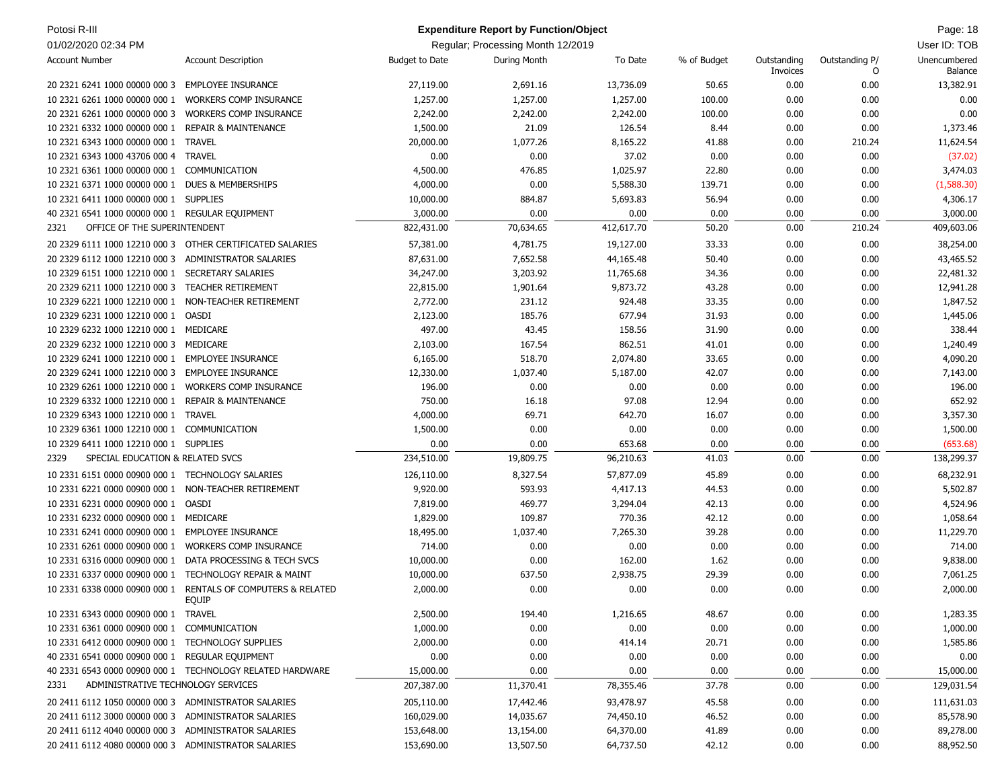| Potosi R-III                                            |                                                                              |                       | <b>Expenditure Report by Function/Object</b> |            |             |                         |                     | Page: 18                |
|---------------------------------------------------------|------------------------------------------------------------------------------|-----------------------|----------------------------------------------|------------|-------------|-------------------------|---------------------|-------------------------|
| 01/02/2020 02:34 PM                                     |                                                                              |                       | Regular; Processing Month 12/2019            |            |             |                         |                     | User ID: TOB            |
| <b>Account Number</b>                                   | <b>Account Description</b>                                                   | <b>Budget to Date</b> | During Month                                 | To Date    | % of Budget | Outstanding<br>Invoices | Outstanding P/<br>0 | Unencumbered<br>Balance |
| 20 2321 6241 1000 00000 000 3                           | <b>EMPLOYEE INSURANCE</b>                                                    | 27,119.00             | 2,691.16                                     | 13,736.09  | 50.65       | 0.00                    | 0.00                | 13,382.91               |
| 10 2321 6261 1000 00000 000 1                           | <b>WORKERS COMP INSURANCE</b>                                                | 1,257.00              | 1,257.00                                     | 1,257.00   | 100.00      | 0.00                    | 0.00                | 0.00                    |
| 20 2321 6261 1000 00000 000 3                           | <b>WORKERS COMP INSURANCE</b>                                                | 2,242.00              | 2,242.00                                     | 2,242.00   | 100.00      | 0.00                    | 0.00                | 0.00                    |
| 10 2321 6332 1000 00000 000 1 REPAIR & MAINTENANCE      |                                                                              | 1,500.00              | 21.09                                        | 126.54     | 8.44        | 0.00                    | 0.00                | 1,373.46                |
| 10 2321 6343 1000 00000 000 1                           | <b>TRAVEL</b>                                                                | 20,000.00             | 1,077.26                                     | 8,165.22   | 41.88       | 0.00                    | 210.24              | 11,624.54               |
| 10 2321 6343 1000 43706 000 4                           | <b>TRAVEL</b>                                                                | 0.00                  | 0.00                                         | 37.02      | 0.00        | 0.00                    | 0.00                | (37.02)                 |
| 10 2321 6361 1000 00000 000 1                           | COMMUNICATION                                                                | 4,500.00              | 476.85                                       | 1,025.97   | 22.80       | 0.00                    | 0.00                | 3,474.03                |
| 10 2321 6371 1000 00000 000 1                           | <b>DUES &amp; MEMBERSHIPS</b>                                                | 4,000.00              | 0.00                                         | 5,588.30   | 139.71      | 0.00                    | 0.00                | (1,588.30)              |
| 10 2321 6411 1000 00000 000 1 SUPPLIES                  |                                                                              | 10,000.00             | 884.87                                       | 5,693.83   | 56.94       | 0.00                    | 0.00                | 4,306.17                |
| 40 2321 6541 1000 00000 000 1 REGULAR EQUIPMENT         |                                                                              | 3,000.00              | 0.00                                         | 0.00       | 0.00        | 0.00                    | 0.00                | 3,000.00                |
| OFFICE OF THE SUPERINTENDENT<br>2321                    |                                                                              | 822,431.00            | 70,634.65                                    | 412,617.70 | 50.20       | 0.00                    | 210.24              | 409,603.06              |
|                                                         | 20 2329 6111 1000 12210 000 3 OTHER CERTIFICATED SALARIES                    | 57,381.00             | 4,781.75                                     | 19,127.00  | 33.33       | 0.00                    | 0.00                | 38,254.00               |
| 20 2329 6112 1000 12210 000 3                           | ADMINISTRATOR SALARIES                                                       | 87,631.00             | 7,652.58                                     | 44,165.48  | 50.40       | 0.00                    | 0.00                | 43,465.52               |
| 10 2329 6151 1000 12210 000 1                           | SECRETARY SALARIES                                                           | 34,247.00             | 3,203.92                                     | 11,765.68  | 34.36       | 0.00                    | 0.00                | 22,481.32               |
| 20 2329 6211 1000 12210 000 3                           | <b>TEACHER RETIREMENT</b>                                                    | 22,815.00             | 1,901.64                                     | 9,873.72   | 43.28       | 0.00                    | 0.00                | 12,941.28               |
| 10 2329 6221 1000 12210 000 1                           | NON-TEACHER RETIREMENT                                                       | 2,772.00              | 231.12                                       | 924.48     | 33.35       | 0.00                    | 0.00                | 1,847.52                |
| 10 2329 6231 1000 12210 000 1                           | <b>OASDI</b>                                                                 | 2,123.00              | 185.76                                       | 677.94     | 31.93       | 0.00                    | 0.00                | 1,445.06                |
| 10 2329 6232 1000 12210 000 1                           | MEDICARE                                                                     | 497.00                | 43.45                                        | 158.56     | 31.90       | 0.00                    | 0.00                | 338.44                  |
| 20 2329 6232 1000 12210 000 3                           | MEDICARE                                                                     | 2,103.00              | 167.54                                       | 862.51     | 41.01       | 0.00                    | 0.00                | 1,240.49                |
| 10 2329 6241 1000 12210 000 1                           | <b>EMPLOYEE INSURANCE</b>                                                    | 6,165.00              | 518.70                                       | 2,074.80   | 33.65       | 0.00                    | 0.00                | 4,090.20                |
| 20 2329 6241 1000 12210 000 3                           | <b>EMPLOYEE INSURANCE</b>                                                    | 12,330.00             | 1,037.40                                     | 5,187.00   | 42.07       | 0.00                    | 0.00                | 7,143.00                |
| 10 2329 6261 1000 12210 000 1                           | <b>WORKERS COMP INSURANCE</b>                                                | 196.00                | 0.00                                         | 0.00       | 0.00        | 0.00                    | 0.00                | 196.00                  |
| 10 2329 6332 1000 12210 000 1                           | <b>REPAIR &amp; MAINTENANCE</b>                                              | 750.00                | 16.18                                        | 97.08      | 12.94       | 0.00                    | 0.00                | 652.92                  |
| 10 2329 6343 1000 12210 000 1                           | <b>TRAVEL</b>                                                                | 4,000.00              | 69.71                                        | 642.70     | 16.07       | 0.00                    | 0.00                | 3,357.30                |
| 10 2329 6361 1000 12210 000 1                           | COMMUNICATION                                                                | 1,500.00              | 0.00                                         | 0.00       | 0.00        | 0.00                    | 0.00                | 1,500.00                |
| 10 2329 6411 1000 12210 000 1 SUPPLIES                  |                                                                              | 0.00                  | 0.00                                         | 653.68     | 0.00        | 0.00                    | 0.00                | (653.68)                |
| SPECIAL EDUCATION & RELATED SVCS<br>2329                |                                                                              | 234,510.00            | 19,809.75                                    | 96,210.63  | 41.03       | 0.00                    | 0.00                | 138,299.37              |
| 10 2331 6151 0000 00900 000 1 TECHNOLOGY SALARIES       |                                                                              | 126,110.00            | 8,327.54                                     | 57,877.09  | 45.89       | 0.00                    | 0.00                | 68,232.91               |
| 10 2331 6221 0000 00900 000 1 NON-TEACHER RETIREMENT    |                                                                              | 9,920.00              | 593.93                                       | 4,417.13   | 44.53       | 0.00                    | 0.00                | 5,502.87                |
| 10 2331 6231 0000 00900 000 1                           | OASDI                                                                        | 7,819.00              | 469.77                                       | 3,294.04   | 42.13       | 0.00                    | 0.00                | 4,524.96                |
| 10 2331 6232 0000 00900 000 1 MEDICARE                  |                                                                              | 1,829.00              | 109.87                                       | 770.36     | 42.12       | 0.00                    | 0.00                | 1,058.64                |
| 10 2331 6241 0000 00900 000 1 EMPLOYEE INSURANCE        |                                                                              | 18,495.00             | 1,037.40                                     | 7,265.30   | 39.28       | 0.00                    | 0.00                | 11,229.70               |
| 10 2331 6261 0000 00900 000 1 WORKERS COMP INSURANCE    |                                                                              | 714.00                | 0.00                                         | 0.00       | 0.00        | 0.00                    | 0.00                | 714.00                  |
|                                                         | 10 2331 6316 0000 00900 000 1 DATA PROCESSING & TECH SVCS                    | 10,000.00             | 0.00                                         | 162.00     | 1.62        | 0.00                    | 0.00                | 9,838.00                |
| 10 2331 6337 0000 00900 000 1 TECHNOLOGY REPAIR & MAINT |                                                                              | 10,000.00             | 637.50                                       | 2,938.75   | 29.39       | 0.00                    | 0.00                | 7,061.25                |
|                                                         | 10 2331 6338 0000 00900 000 1 RENTALS OF COMPUTERS & RELATED<br><b>EQUIP</b> | 2,000.00              | 0.00                                         | 0.00       | 0.00        | 0.00                    | 0.00                | 2,000.00                |
| 10 2331 6343 0000 00900 000 1 TRAVEL                    |                                                                              | 2,500.00              | 194.40                                       | 1,216.65   | 48.67       | 0.00                    | 0.00                | 1,283.35                |
| 10 2331 6361 0000 00900 000 1                           | COMMUNICATION                                                                | 1,000.00              | 0.00                                         | 0.00       | 0.00        | 0.00                    | 0.00                | 1,000.00                |
| 10 2331 6412 0000 00900 000 1 TECHNOLOGY SUPPLIES       |                                                                              | 2,000.00              | 0.00                                         | 414.14     | 20.71       | 0.00                    | 0.00                | 1,585.86                |
| 40 2331 6541 0000 00900 000 1 REGULAR EQUIPMENT         |                                                                              | 0.00                  | 0.00                                         | 0.00       | 0.00        | 0.00                    | 0.00                | 0.00                    |
|                                                         | 40 2331 6543 0000 00900 000 1 TECHNOLOGY RELATED HARDWARE                    | 15,000.00             | 0.00                                         | 0.00       | 0.00        | 0.00                    | 0.00                | 15,000.00               |
| ADMINISTRATIVE TECHNOLOGY SERVICES<br>2331              |                                                                              | 207,387.00            | 11,370.41                                    | 78,355.46  | 37.78       | 0.00                    | 0.00                | 129,031.54              |
| 20 2411 6112 1050 00000 000 3 ADMINISTRATOR SALARIES    |                                                                              | 205,110.00            | 17,442.46                                    | 93,478.97  | 45.58       | 0.00                    | 0.00                | 111,631.03              |
| 20 2411 6112 3000 00000 000 3 ADMINISTRATOR SALARIES    |                                                                              | 160,029.00            | 14,035.67                                    | 74,450.10  | 46.52       | 0.00                    | 0.00                | 85,578.90               |
| 20 2411 6112 4040 00000 000 3                           | ADMINISTRATOR SALARIES                                                       | 153,648.00            | 13,154.00                                    | 64,370.00  | 41.89       | 0.00                    | 0.00                | 89,278.00               |
| 20 2411 6112 4080 00000 000 3 ADMINISTRATOR SALARIES    |                                                                              | 153,690.00            | 13,507.50                                    | 64,737.50  | 42.12       | 0.00                    | 0.00                | 88,952.50               |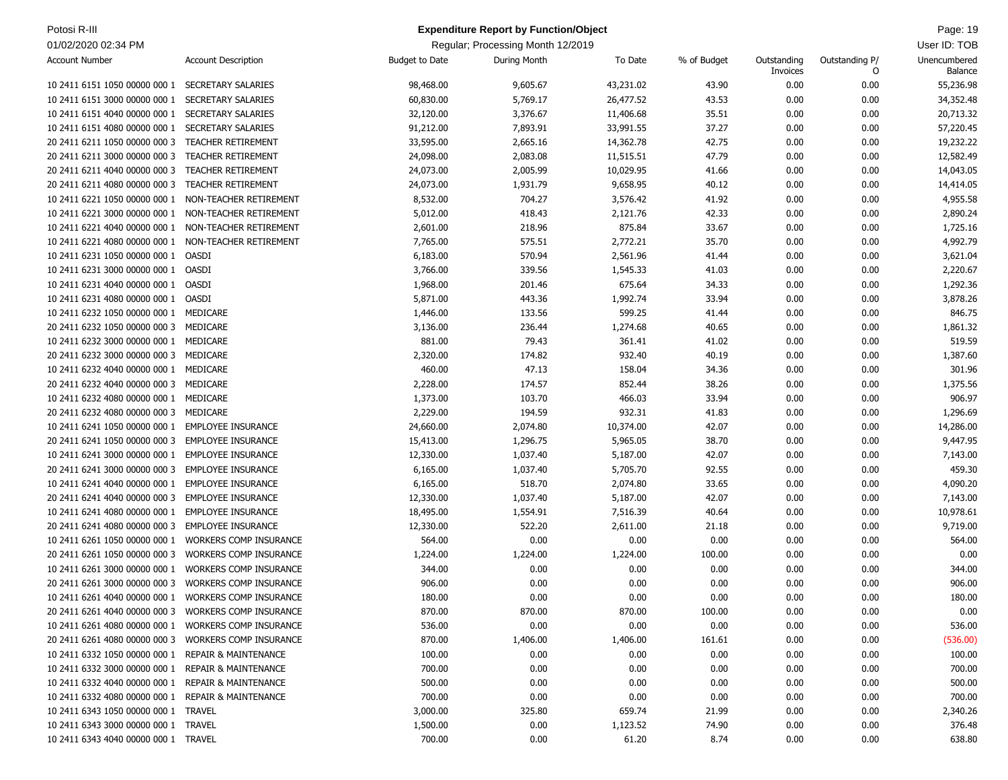| Potosi R-III                                          |                               |                       | <b>Expenditure Report by Function/Object</b> |                     |                |                         |                     | Page: 19                |
|-------------------------------------------------------|-------------------------------|-----------------------|----------------------------------------------|---------------------|----------------|-------------------------|---------------------|-------------------------|
| 01/02/2020 02:34 PM                                   |                               |                       | Regular; Processing Month 12/2019            |                     |                |                         |                     | User ID: TOB            |
| <b>Account Number</b>                                 | <b>Account Description</b>    | <b>Budget to Date</b> | During Month                                 | To Date             | % of Budget    | Outstanding<br>Invoices | Outstanding P/<br>0 | Unencumbered<br>Balance |
| 10 2411 6151 1050 00000 000 1                         | <b>SECRETARY SALARIES</b>     | 98,468.00             | 9,605.67                                     | 43,231.02           | 43.90          | 0.00                    | 0.00                | 55,236.98               |
| 10 2411 6151 3000 00000 000 1                         | SECRETARY SALARIES            | 60,830.00             | 5,769.17                                     | 26,477.52           | 43.53          | 0.00                    | 0.00                | 34,352.48               |
| 10 2411 6151 4040 00000 000 1                         | <b>SECRETARY SALARIES</b>     | 32,120.00             | 3,376.67                                     | 11,406.68           | 35.51          | 0.00                    | 0.00                | 20,713.32               |
| 10 2411 6151 4080 00000 000 1                         | SECRETARY SALARIES            | 91,212.00             | 7,893.91                                     | 33,991.55           | 37.27          | 0.00                    | 0.00                | 57,220.45               |
| 20 2411 6211 1050 00000 000 3                         | TEACHER RETIREMENT            | 33,595.00             | 2,665.16                                     | 14,362.78           | 42.75          | 0.00                    | 0.00                | 19,232.22               |
| 20 2411 6211 3000 00000 000 3                         | TEACHER RETIREMENT            | 24,098.00             | 2,083.08                                     | 11,515.51           | 47.79          | 0.00                    | 0.00                | 12,582.49               |
| 20 2411 6211 4040 00000 000 3                         | <b>TEACHER RETIREMENT</b>     | 24,073.00             | 2,005.99                                     | 10,029.95           | 41.66          | 0.00                    | 0.00                | 14,043.05               |
| 20 2411 6211 4080 00000 000 3                         | <b>TEACHER RETIREMENT</b>     | 24,073.00             | 1,931.79                                     | 9,658.95            | 40.12          | 0.00                    | 0.00                | 14,414.05               |
| 10 2411 6221 1050 00000 000 1                         | NON-TEACHER RETIREMENT        | 8,532.00              | 704.27                                       | 3,576.42            | 41.92          | 0.00                    | 0.00                | 4,955.58                |
| 10 2411 6221 3000 00000 000 1                         | NON-TEACHER RETIREMENT        | 5,012.00              | 418.43                                       | 2,121.76            | 42.33          | 0.00                    | 0.00                | 2,890.24                |
| 10 2411 6221 4040 00000 000 1                         | NON-TEACHER RETIREMENT        | 2,601.00              | 218.96                                       | 875.84              | 33.67          | 0.00                    | 0.00                | 1,725.16                |
| 10 2411 6221 4080 00000 000 1                         | NON-TEACHER RETIREMENT        | 7,765.00              | 575.51                                       | 2,772.21            | 35.70          | 0.00                    | 0.00                | 4,992.79                |
| 10 2411 6231 1050 00000 000 1                         | OASDI                         | 6,183.00              | 570.94                                       | 2,561.96            | 41.44          | 0.00                    | 0.00                | 3,621.04                |
| 10 2411 6231 3000 00000 000 1 OASDI                   |                               | 3,766.00              | 339.56                                       | 1,545.33            | 41.03          | 0.00                    | 0.00                | 2,220.67                |
| 10 2411 6231 4040 00000 000 1                         | OASDI                         | 1,968.00              | 201.46                                       | 675.64              | 34.33          | 0.00                    | 0.00                | 1,292.36                |
| 10 2411 6231 4080 00000 000 1 OASDI                   |                               | 5,871.00              | 443.36                                       | 1,992.74            | 33.94          | 0.00                    | 0.00                | 3,878.26                |
| 10 2411 6232 1050 00000 000 1 MEDICARE                |                               | 1,446.00              | 133.56                                       | 599.25              | 41.44          | 0.00                    | 0.00                | 846.75                  |
| 20 2411 6232 1050 00000 000 3                         | MEDICARE                      | 3,136.00              | 236.44                                       | 1,274.68            | 40.65          | 0.00                    | 0.00                | 1,861.32                |
| 10 2411 6232 3000 00000 000 1 MEDICARE                |                               | 881.00                | 79.43                                        | 361.41              | 41.02          | 0.00                    | 0.00                | 519.59                  |
| 20 2411 6232 3000 00000 000 3                         | MEDICARE                      | 2,320.00              | 174.82                                       | 932.40              | 40.19          | 0.00                    | 0.00                | 1,387.60                |
| 10 2411 6232 4040 00000 000 1 MEDICARE                |                               | 460.00                | 47.13                                        | 158.04              | 34.36          | 0.00                    | 0.00                | 301.96                  |
| 20 2411 6232 4040 00000 000 3                         | MEDICARE                      | 2,228.00              | 174.57                                       | 852.44              | 38.26          | 0.00                    | 0.00                | 1,375.56                |
| 10 2411 6232 4080 00000 000 1 MEDICARE                |                               | 1,373.00              | 103.70                                       | 466.03              | 33.94          | 0.00                    | 0.00                | 906.97                  |
| 20 2411 6232 4080 00000 000 3                         | MEDICARE                      |                       | 194.59                                       |                     |                |                         |                     |                         |
| 10 2411 6241 1050 00000 000 1                         | <b>EMPLOYEE INSURANCE</b>     | 2,229.00<br>24,660.00 | 2,074.80                                     | 932.31<br>10,374.00 | 41.83<br>42.07 | 0.00<br>0.00            | 0.00<br>0.00        | 1,296.69<br>14,286.00   |
|                                                       | <b>EMPLOYEE INSURANCE</b>     |                       |                                              |                     |                |                         |                     |                         |
| 20 2411 6241 1050 00000 000 3                         | <b>EMPLOYEE INSURANCE</b>     | 15,413.00             | 1,296.75                                     | 5,965.05            | 38.70<br>42.07 | 0.00<br>0.00            | 0.00                | 9,447.95                |
| 10 2411 6241 3000 00000 000 1                         |                               | 12,330.00             | 1,037.40                                     | 5,187.00            |                |                         | 0.00                | 7,143.00                |
| 20 2411 6241 3000 00000 000 3                         | <b>EMPLOYEE INSURANCE</b>     | 6,165.00              | 1,037.40                                     | 5,705.70            | 92.55          | 0.00                    | 0.00                | 459.30                  |
| 10 2411 6241 4040 00000 000 1                         | <b>EMPLOYEE INSURANCE</b>     | 6,165.00              | 518.70                                       | 2,074.80            | 33.65          | 0.00                    | 0.00                | 4,090.20                |
| 20 2411 6241 4040 00000 000 3                         | <b>EMPLOYEE INSURANCE</b>     | 12,330.00             | 1,037.40                                     | 5,187.00            | 42.07          | 0.00                    | 0.00                | 7,143.00                |
| 10 2411 6241 4080 00000 000 1                         | <b>EMPLOYEE INSURANCE</b>     | 18,495.00             | 1,554.91                                     | 7,516.39            | 40.64          | 0.00                    | 0.00                | 10,978.61               |
| 20 2411 6241 4080 00000 000 3                         | <b>EMPLOYEE INSURANCE</b>     | 12,330.00             | 522.20                                       | 2,611.00            | 21.18          | 0.00                    | 0.00                | 9,719.00                |
| 10 2411 6261 1050 00000 000 1                         | <b>WORKERS COMP INSURANCE</b> | 564.00                | 0.00                                         | 0.00                | 0.00           | 0.00                    | 0.00                | 564.00                  |
| 20 2411 6261 1050 00000 000 3                         | <b>WORKERS COMP INSURANCE</b> | 1,224.00              | 1,224.00                                     | 1,224.00            | 100.00         | 0.00                    | 0.00                | 0.00                    |
| 10 2411 6261 3000 00000 000 1                         | <b>WORKERS COMP INSURANCE</b> | 344.00                | 0.00                                         | 0.00                | 0.00           | 0.00                    | 0.00                | 344.00                  |
| 20 2411 6261 3000 00000 000 3  WORKERS COMP INSURANCE |                               | 906.00                | 0.00                                         | 0.00                | 0.00           | 0.00                    | 0.00                | 906.00                  |
| 10 2411 6261 4040 00000 000 1 WORKERS COMP INSURANCE  |                               | 180.00                | 0.00                                         | 0.00                | 0.00           | 0.00                    | 0.00                | 180.00                  |
| 20 2411 6261 4040 00000 000 3 WORKERS COMP INSURANCE  |                               | 870.00                | 870.00                                       | 870.00              | 100.00         | 0.00                    | 0.00                | 0.00                    |
| 10 2411 6261 4080 00000 000 1 WORKERS COMP INSURANCE  |                               | 536.00                | 0.00                                         | 0.00                | 0.00           | 0.00                    | 0.00                | 536.00                  |
| 20 2411 6261 4080 00000 000 3 WORKERS COMP INSURANCE  |                               | 870.00                | 1,406.00                                     | 1,406.00            | 161.61         | 0.00                    | 0.00                | (536.00)                |
| 10 2411 6332 1050 00000 000 1 REPAIR & MAINTENANCE    |                               | 100.00                | 0.00                                         | 0.00                | 0.00           | 0.00                    | 0.00                | 100.00                  |
| 10 2411 6332 3000 00000 000 1 REPAIR & MAINTENANCE    |                               | 700.00                | 0.00                                         | 0.00                | 0.00           | 0.00                    | 0.00                | 700.00                  |
| 10 2411 6332 4040 00000 000 1 REPAIR & MAINTENANCE    |                               | 500.00                | 0.00                                         | 0.00                | 0.00           | 0.00                    | 0.00                | 500.00                  |
| 10 2411 6332 4080 00000 000 1 REPAIR & MAINTENANCE    |                               | 700.00                | 0.00                                         | 0.00                | 0.00           | 0.00                    | 0.00                | 700.00                  |
| 10 2411 6343 1050 00000 000 1 TRAVEL                  |                               | 3,000.00              | 325.80                                       | 659.74              | 21.99          | 0.00                    | 0.00                | 2,340.26                |
| 10 2411 6343 3000 00000 000 1 TRAVEL                  |                               | 1,500.00              | 0.00                                         | 1,123.52            | 74.90          | 0.00                    | 0.00                | 376.48                  |
| 10 2411 6343 4040 00000 000 1 TRAVEL                  |                               | 700.00                | 0.00                                         | 61.20               | 8.74           | 0.00                    | 0.00                | 638.80                  |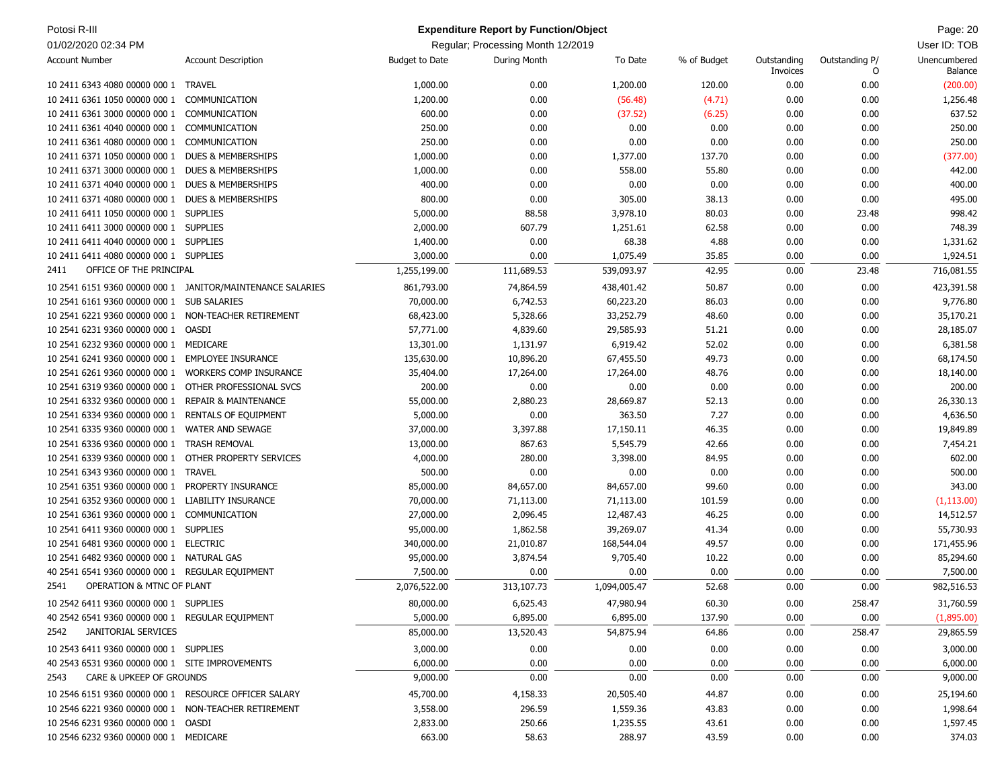| Potosi R-III                                          |                                                            |                       | <b>Expenditure Report by Function/Object</b> |              |             |                         |                     | Page: 20                |
|-------------------------------------------------------|------------------------------------------------------------|-----------------------|----------------------------------------------|--------------|-------------|-------------------------|---------------------|-------------------------|
| 01/02/2020 02:34 PM                                   |                                                            |                       | Regular; Processing Month 12/2019            |              |             |                         |                     | User ID: TOB            |
| <b>Account Number</b>                                 | <b>Account Description</b>                                 | <b>Budget to Date</b> | During Month                                 | To Date      | % of Budget | Outstanding<br>Invoices | Outstanding P/<br>0 | Unencumbered<br>Balance |
| 10 2411 6343 4080 00000 000 1                         | <b>TRAVEL</b>                                              | 1,000.00              | 0.00                                         | 1,200.00     | 120.00      | 0.00                    | 0.00                | (200.00)                |
| 10 2411 6361 1050 00000 000 1                         | COMMUNICATION                                              | 1,200.00              | 0.00                                         | (56.48)      | (4.71)      | 0.00                    | 0.00                | 1,256.48                |
| 10 2411 6361 3000 00000 000 1                         | COMMUNICATION                                              | 600.00                | 0.00                                         | (37.52)      | (6.25)      | 0.00                    | 0.00                | 637.52                  |
| 10 2411 6361 4040 00000 000 1                         | COMMUNICATION                                              | 250.00                | 0.00                                         | 0.00         | 0.00        | 0.00                    | 0.00                | 250.00                  |
| 10 2411 6361 4080 00000 000 1                         | COMMUNICATION                                              | 250.00                | 0.00                                         | 0.00         | 0.00        | 0.00                    | 0.00                | 250.00                  |
| 10 2411 6371 1050 00000 000 1                         | DUES & MEMBERSHIPS                                         | 1,000.00              | 0.00                                         | 1,377.00     | 137.70      | 0.00                    | 0.00                | (377.00)                |
| 10 2411 6371 3000 00000 000 1 DUES & MEMBERSHIPS      |                                                            | 1,000.00              | 0.00                                         | 558.00       | 55.80       | 0.00                    | 0.00                | 442.00                  |
| 10 2411 6371 4040 00000 000 1                         | DUES & MEMBERSHIPS                                         | 400.00                | 0.00                                         | 0.00         | 0.00        | 0.00                    | 0.00                | 400.00                  |
| 10 2411 6371 4080 00000 000 1                         | DUES & MEMBERSHIPS                                         | 800.00                | 0.00                                         | 305.00       | 38.13       | 0.00                    | 0.00                | 495.00                  |
| 10 2411 6411 1050 00000 000 1 SUPPLIES                |                                                            | 5,000.00              | 88.58                                        | 3,978.10     | 80.03       | 0.00                    | 23.48               | 998.42                  |
| 10 2411 6411 3000 00000 000 1 SUPPLIES                |                                                            | 2,000.00              | 607.79                                       | 1,251.61     | 62.58       | 0.00                    | 0.00                | 748.39                  |
| 10 2411 6411 4040 00000 000 1 SUPPLIES                |                                                            | 1,400.00              | 0.00                                         | 68.38        | 4.88        | 0.00                    | 0.00                | 1,331.62                |
| 10 2411 6411 4080 00000 000 1 SUPPLIES                |                                                            | 3,000.00              | 0.00                                         | 1,075.49     | 35.85       | 0.00                    | 0.00                | 1,924.51                |
| OFFICE OF THE PRINCIPAL<br>2411                       |                                                            | 1,255,199.00          | 111,689.53                                   | 539,093.97   | 42.95       | 0.00                    | 23.48               | 716,081.55              |
|                                                       | 10 2541 6151 9360 00000 000 1 JANITOR/MAINTENANCE SALARIES | 861,793.00            | 74,864.59                                    | 438,401.42   | 50.87       | 0.00                    | 0.00                | 423,391.58              |
| 10 2541 6161 9360 00000 000 1                         | <b>SUB SALARIES</b>                                        | 70,000.00             | 6,742.53                                     | 60,223.20    | 86.03       | 0.00                    | 0.00                | 9,776.80                |
| 10 2541 6221 9360 00000 000 1 NON-TEACHER RETIREMENT  |                                                            | 68,423.00             | 5,328.66                                     | 33,252.79    | 48.60       | 0.00                    | 0.00                | 35,170.21               |
| 10 2541 6231 9360 00000 000 1 OASDI                   |                                                            | 57,771.00             | 4,839.60                                     | 29,585.93    | 51.21       | 0.00                    | 0.00                | 28,185.07               |
| 10 2541 6232 9360 00000 000 1                         | MEDICARE                                                   | 13,301.00             | 1,131.97                                     | 6,919.42     | 52.02       | 0.00                    | 0.00                | 6,381.58                |
| 10 2541 6241 9360 00000 000 1                         | <b>EMPLOYEE INSURANCE</b>                                  | 135,630.00            | 10,896.20                                    | 67,455.50    | 49.73       | 0.00                    | 0.00                | 68,174.50               |
| 10 2541 6261 9360 00000 000 1                         | <b>WORKERS COMP INSURANCE</b>                              | 35,404.00             | 17,264.00                                    | 17,264.00    | 48.76       | 0.00                    | 0.00                | 18,140.00               |
| 10 2541 6319 9360 00000 000 1                         | OTHER PROFESSIONAL SVCS                                    | 200.00                | 0.00                                         | 0.00         | 0.00        | 0.00                    | 0.00                | 200.00                  |
| 10 2541 6332 9360 00000 000 1                         | <b>REPAIR &amp; MAINTENANCE</b>                            | 55,000.00             | 2,880.23                                     | 28,669.87    | 52.13       | 0.00                    | 0.00                | 26,330.13               |
| 10 2541 6334 9360 00000 000 1 RENTALS OF EQUIPMENT    |                                                            | 5,000.00              | 0.00                                         | 363.50       | 7.27        | 0.00                    | 0.00                | 4,636.50                |
| 10 2541 6335 9360 00000 000 1                         | <b>WATER AND SEWAGE</b>                                    | 37,000.00             | 3,397.88                                     | 17,150.11    | 46.35       | 0.00                    | 0.00                | 19,849.89               |
| 10 2541 6336 9360 00000 000 1                         | <b>TRASH REMOVAL</b>                                       | 13,000.00             | 867.63                                       | 5,545.79     | 42.66       | 0.00                    | 0.00                | 7,454.21                |
| 10 2541 6339 9360 00000 000 1                         | OTHER PROPERTY SERVICES                                    | 4,000.00              | 280.00                                       | 3,398.00     | 84.95       | 0.00                    | 0.00                | 602.00                  |
| 10 2541 6343 9360 00000 000 1 TRAVEL                  |                                                            | 500.00                | 0.00                                         | 0.00         | 0.00        | 0.00                    | 0.00                | 500.00                  |
| 10 2541 6351 9360 00000 000 1                         | PROPERTY INSURANCE                                         | 85,000.00             | 84,657.00                                    | 84,657.00    | 99.60       | 0.00                    | 0.00                | 343.00                  |
| 10 2541 6352 9360 00000 000 1                         | LIABILITY INSURANCE                                        | 70,000.00             | 71,113.00                                    | 71,113.00    | 101.59      | 0.00                    | 0.00                | (1, 113.00)             |
| 10 2541 6361 9360 00000 000 1 COMMUNICATION           |                                                            | 27,000.00             | 2,096.45                                     | 12,487.43    | 46.25       | 0.00                    | 0.00                | 14,512.57               |
| 10 2541 6411 9360 00000 000 1 SUPPLIES                |                                                            | 95,000.00             | 1,862.58                                     | 39,269.07    | 41.34       | 0.00                    | 0.00                | 55,730.93               |
| 10 2541 6481 9360 00000 000 1 ELECTRIC                |                                                            | 340,000.00            | 21,010.87                                    | 168,544.04   | 49.57       | 0.00                    | 0.00                | 171,455.96              |
| 10 2541 6482 9360 00000 000 1 NATURAL GAS             |                                                            | 95,000.00             | 3,874.54                                     | 9,705.40     | 10.22       | 0.00                    | 0.00                | 85,294.60               |
| 40 2541 6541 9360 00000 000 1 REGULAR EQUIPMENT       |                                                            | 7,500.00              | 0.00                                         | 0.00         | 0.00        | 0.00                    | 0.00                | 7,500.00                |
| 2541<br>OPERATION & MTNC OF PLANT                     |                                                            | 2,076,522.00          | 313,107.73                                   | 1,094,005.47 | 52.68       | 0.00                    | 0.00                | 982,516.53              |
| 10 2542 6411 9360 00000 000 1 SUPPLIES                |                                                            | 80,000.00             | 6,625.43                                     | 47,980.94    | 60.30       | 0.00                    | 258.47              | 31,760.59               |
| 40 2542 6541 9360 00000 000 1 REGULAR EQUIPMENT       |                                                            | 5,000.00              | 6,895.00                                     | 6,895.00     | 137.90      | 0.00                    | 0.00                | (1,895.00)              |
| 2542<br>JANITORIAL SERVICES                           |                                                            | 85,000.00             | 13,520.43                                    | 54,875.94    | 64.86       | 0.00                    | 258.47              | 29,865.59               |
| 10 2543 6411 9360 00000 000 1 SUPPLIES                |                                                            | 3,000.00              | 0.00                                         | 0.00         | 0.00        | 0.00                    | 0.00                | 3,000.00                |
| 40 2543 6531 9360 00000 000 1 SITE IMPROVEMENTS       |                                                            | 6,000.00              | 0.00                                         | 0.00         | 0.00        | 0.00                    | 0.00                | 6,000.00                |
| CARE & UPKEEP OF GROUNDS<br>2543                      |                                                            | 9,000.00              | 0.00                                         | 0.00         | 0.00        | 0.00                    | 0.00                | 9,000.00                |
| 10 2546 6151 9360 00000 000 1 RESOURCE OFFICER SALARY |                                                            | 45,700.00             | 4,158.33                                     | 20,505.40    | 44.87       | 0.00                    | 0.00                | 25,194.60               |
| 10 2546 6221 9360 00000 000 1 NON-TEACHER RETIREMENT  |                                                            | 3,558.00              | 296.59                                       | 1,559.36     | 43.83       | 0.00                    | 0.00                | 1,998.64                |
| 10 2546 6231 9360 00000 000 1 OASDI                   |                                                            | 2,833.00              | 250.66                                       | 1,235.55     | 43.61       | 0.00                    | 0.00                | 1,597.45                |
| 10 2546 6232 9360 00000 000 1 MEDICARE                |                                                            | 663.00                | 58.63                                        | 288.97       | 43.59       | 0.00                    | 0.00                | 374.03                  |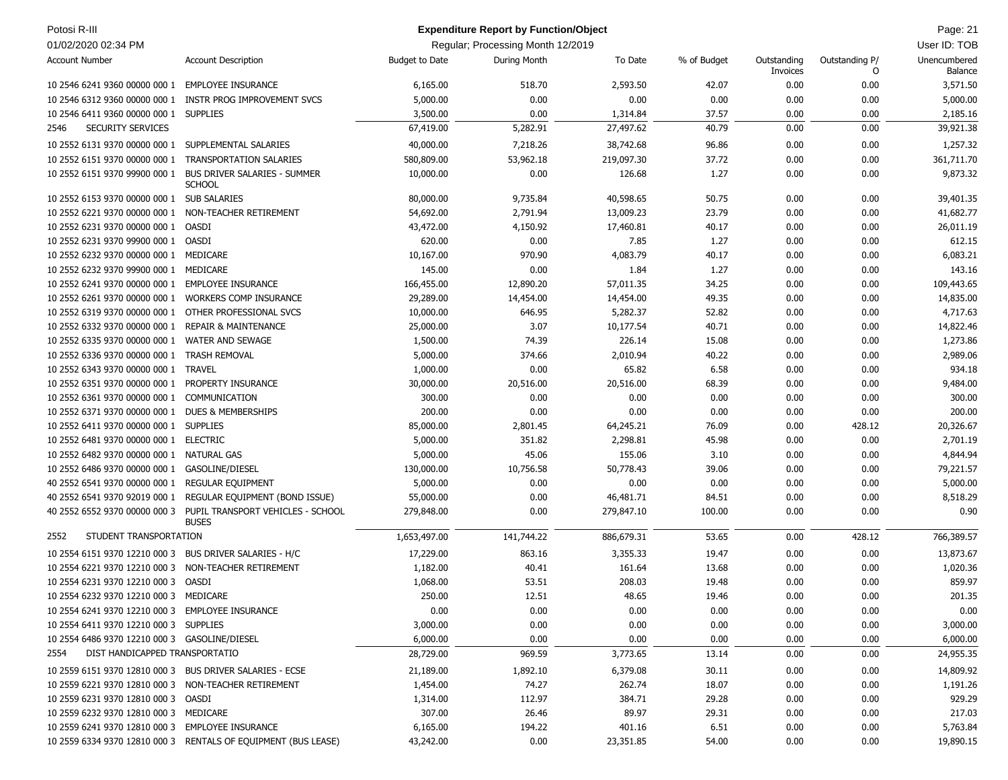| Potosi R-III                                             |                                                                |                       | <b>Expenditure Report by Function/Object</b> |            |             |                         |                     | Page: 21                       |
|----------------------------------------------------------|----------------------------------------------------------------|-----------------------|----------------------------------------------|------------|-------------|-------------------------|---------------------|--------------------------------|
| 01/02/2020 02:34 PM                                      |                                                                |                       | Regular; Processing Month 12/2019            |            |             |                         |                     | User ID: TOB                   |
| <b>Account Number</b>                                    | <b>Account Description</b>                                     | <b>Budget to Date</b> | During Month                                 | To Date    | % of Budget | Outstanding<br>Invoices | Outstanding P/<br>O | Unencumbered<br><b>Balance</b> |
| 10 2546 6241 9360 00000 000 1 EMPLOYEE INSURANCE         |                                                                | 6,165.00              | 518.70                                       | 2,593.50   | 42.07       | 0.00                    | 0.00                | 3,571.50                       |
| 10 2546 6312 9360 00000 000 1                            | INSTR PROG IMPROVEMENT SVCS                                    | 5,000.00              | 0.00                                         | 0.00       | 0.00        | 0.00                    | 0.00                | 5,000.00                       |
| 10 2546 6411 9360 00000 000 1 SUPPLIES                   |                                                                | 3,500.00              | 0.00                                         | 1,314.84   | 37.57       | 0.00                    | 0.00                | 2,185.16                       |
| SECURITY SERVICES<br>2546                                |                                                                | 67,419.00             | 5,282.91                                     | 27,497.62  | 40.79       | 0.00                    | 0.00                | 39,921.38                      |
| 10 2552 6131 9370 00000 000 1                            | SUPPLEMENTAL SALARIES                                          | 40,000.00             | 7,218.26                                     | 38,742.68  | 96.86       | 0.00                    | 0.00                | 1,257.32                       |
| 10 2552 6151 9370 00000 000 1                            | TRANSPORTATION SALARIES                                        | 580,809.00            | 53,962.18                                    | 219,097.30 | 37.72       | 0.00                    | 0.00                | 361,711.70                     |
| 10 2552 6151 9370 99900 000 1                            | <b>BUS DRIVER SALARIES - SUMMER</b><br><b>SCHOOL</b>           | 10,000.00             | 0.00                                         | 126.68     | 1.27        | 0.00                    | 0.00                | 9,873.32                       |
| 10 2552 6153 9370 00000 000 1 SUB SALARIES               |                                                                | 80,000.00             | 9,735.84                                     | 40,598.65  | 50.75       | 0.00                    | 0.00                | 39,401.35                      |
| 10 2552 6221 9370 00000 000 1                            | NON-TEACHER RETIREMENT                                         | 54,692.00             | 2,791.94                                     | 13,009.23  | 23.79       | 0.00                    | 0.00                | 41,682.77                      |
| 10 2552 6231 9370 00000 000 1                            | OASDI                                                          | 43,472.00             | 4,150.92                                     | 17,460.81  | 40.17       | 0.00                    | 0.00                | 26,011.19                      |
| 10 2552 6231 9370 99900 000 1                            | OASDI                                                          | 620.00                | 0.00                                         | 7.85       | 1.27        | 0.00                    | 0.00                | 612.15                         |
| 10 2552 6232 9370 00000 000 1                            | MEDICARE                                                       | 10,167.00             | 970.90                                       | 4,083.79   | 40.17       | 0.00                    | 0.00                | 6,083.21                       |
| 10 2552 6232 9370 99900 000 1                            | MEDICARE                                                       | 145.00                | 0.00                                         | 1.84       | 1.27        | 0.00                    | 0.00                | 143.16                         |
| 10 2552 6241 9370 00000 000 1                            | <b>EMPLOYEE INSURANCE</b>                                      | 166,455.00            | 12,890.20                                    | 57,011.35  | 34.25       | 0.00                    | 0.00                | 109,443.65                     |
| 10 2552 6261 9370 00000 000 1                            | <b>WORKERS COMP INSURANCE</b>                                  | 29,289.00             | 14,454.00                                    | 14,454.00  | 49.35       | 0.00                    | 0.00                | 14,835.00                      |
| 10 2552 6319 9370 00000 000 1                            | OTHER PROFESSIONAL SVCS                                        | 10,000.00             | 646.95                                       | 5,282.37   | 52.82       | 0.00                    | 0.00                | 4,717.63                       |
| 10 2552 6332 9370 00000 000 1                            | <b>REPAIR &amp; MAINTENANCE</b>                                | 25,000.00             | 3.07                                         | 10,177.54  | 40.71       | 0.00                    | 0.00                | 14,822.46                      |
| 10 2552 6335 9370 00000 000 1                            | <b>WATER AND SEWAGE</b>                                        | 1,500.00              | 74.39                                        | 226.14     | 15.08       | 0.00                    | 0.00                | 1,273.86                       |
| 10 2552 6336 9370 00000 000 1                            | <b>TRASH REMOVAL</b>                                           | 5,000.00              | 374.66                                       | 2,010.94   | 40.22       | 0.00                    | 0.00                | 2,989.06                       |
| 10 2552 6343 9370 00000 000 1                            | <b>TRAVEL</b>                                                  | 1,000.00              | 0.00                                         | 65.82      | 6.58        | 0.00                    | 0.00                | 934.18                         |
| 10 2552 6351 9370 00000 000 1                            | PROPERTY INSURANCE                                             | 30,000.00             | 20,516.00                                    | 20,516.00  | 68.39       | 0.00                    | 0.00                | 9,484.00                       |
| 10 2552 6361 9370 00000 000 1                            | COMMUNICATION                                                  | 300.00                | 0.00                                         | 0.00       | 0.00        | 0.00                    | 0.00                | 300.00                         |
| 10 2552 6371 9370 00000 000 1                            | <b>DUES &amp; MEMBERSHIPS</b>                                  | 200.00                | 0.00                                         | 0.00       | 0.00        | 0.00                    | 0.00                | 200.00                         |
| 10 2552 6411 9370 00000 000 1 SUPPLIES                   |                                                                | 85,000.00             | 2,801.45                                     | 64,245.21  | 76.09       | 0.00                    | 428.12              | 20,326.67                      |
| 10 2552 6481 9370 00000 000 1 ELECTRIC                   |                                                                | 5,000.00              | 351.82                                       | 2,298.81   | 45.98       | 0.00                    | 0.00                | 2,701.19                       |
| 10 2552 6482 9370 00000 000 1                            | <b>NATURAL GAS</b>                                             | 5,000.00              | 45.06                                        | 155.06     | 3.10        | 0.00                    | 0.00                | 4,844.94                       |
| 10 2552 6486 9370 00000 000 1                            | GASOLINE/DIESEL                                                | 130,000.00            | 10,756.58                                    | 50,778.43  | 39.06       | 0.00                    | 0.00                | 79,221.57                      |
| 40 2552 6541 9370 00000 000 1                            | <b>REGULAR EQUIPMENT</b>                                       | 5,000.00              | 0.00                                         | 0.00       | 0.00        | 0.00                    | 0.00                | 5,000.00                       |
| 40 2552 6541 9370 92019 000 1                            | REGULAR EQUIPMENT (BOND ISSUE)                                 | 55,000.00             | 0.00                                         | 46,481.71  | 84.51       | 0.00                    | 0.00                | 8,518.29                       |
| 40 2552 6552 9370 00000 000 3                            | PUPIL TRANSPORT VEHICLES - SCHOOL<br><b>BUSES</b>              | 279,848.00            | 0.00                                         | 279,847.10 | 100.00      | 0.00                    | 0.00                | 0.90                           |
| STUDENT TRANSPORTATION<br>2552                           |                                                                | 1,653,497.00          | 141,744.22                                   | 886,679.31 | 53.65       | 0.00                    | 428.12              | 766,389.57                     |
| 10 2554 6151 9370 12210 000 3                            | BUS DRIVER SALARIES - H/C                                      | 17,229.00             | 863.16                                       | 3,355.33   | 19.47       | 0.00                    | 0.00                | 13,873.67                      |
| 10 2554 6221 9370 12210 000 3                            | NON-TEACHER RETIREMENT                                         | 1,182.00              | 40.41                                        | 161.64     | 13.68       | 0.00                    | 0.00                | 1,020.36                       |
| 10 2554 6231 9370 12210 000 3                            | OASDI                                                          | 1,068.00              | 53.51                                        | 208.03     | 19.48       | 0.00                    | 0.00                | 859.97                         |
| 10 2554 6232 9370 12210 000 3 MEDICARE                   |                                                                | 250.00                | 12.51                                        | 48.65      | 19.46       | 0.00                    | 0.00                | 201.35                         |
| 10 2554 6241 9370 12210 000 3 EMPLOYEE INSURANCE         |                                                                | 0.00                  | 0.00                                         | 0.00       | 0.00        | 0.00                    | 0.00                | 0.00                           |
| 10 2554 6411 9370 12210 000 3 SUPPLIES                   |                                                                | 3,000.00              | 0.00                                         | 0.00       | 0.00        | 0.00                    | 0.00                | 3,000.00                       |
| 10 2554 6486 9370 12210 000 3 GASOLINE/DIESEL            |                                                                | 6,000.00              | 0.00                                         | 0.00       | 0.00        | 0.00                    | 0.00                | 6,000.00                       |
| DIST HANDICAPPED TRANSPORTATIO<br>2554                   |                                                                | 28,729.00             | 969.59                                       | 3,773.65   | 13.14       | 0.00                    | 0.00                | 24,955.35                      |
| 10 2559 6151 9370 12810 000 3 BUS DRIVER SALARIES - ECSE |                                                                | 21,189.00             | 1,892.10                                     | 6,379.08   | 30.11       | 0.00                    | 0.00                | 14,809.92                      |
| 10 2559 6221 9370 12810 000 3 NON-TEACHER RETIREMENT     |                                                                | 1,454.00              | 74.27                                        | 262.74     | 18.07       | 0.00                    | 0.00                | 1,191.26                       |
| 10 2559 6231 9370 12810 000 3 OASDI                      |                                                                | 1,314.00              | 112.97                                       | 384.71     | 29.28       | 0.00                    | 0.00                | 929.29                         |
| 10 2559 6232 9370 12810 000 3 MEDICARE                   |                                                                | 307.00                | 26.46                                        | 89.97      | 29.31       | 0.00                    | 0.00                | 217.03                         |
| 10 2559 6241 9370 12810 000 3 EMPLOYEE INSURANCE         |                                                                | 6,165.00              | 194.22                                       | 401.16     | 6.51        | 0.00                    | 0.00                | 5,763.84                       |
|                                                          | 10 2559 6334 9370 12810 000 3 RENTALS OF EQUIPMENT (BUS LEASE) | 43,242.00             | 0.00                                         | 23,351.85  | 54.00       | 0.00                    | 0.00                | 19,890.15                      |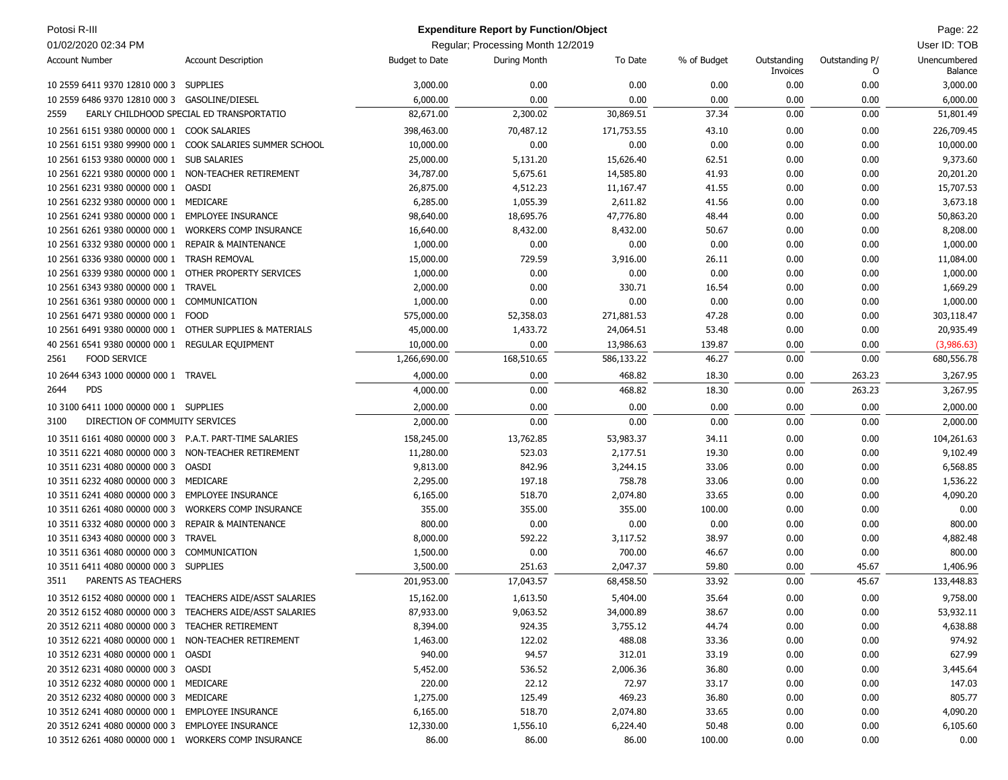| Potosi R-III                                             |                                                           |                       | <b>Expenditure Report by Function/Object</b> |            |             |                         |                     | Page: 22                |
|----------------------------------------------------------|-----------------------------------------------------------|-----------------------|----------------------------------------------|------------|-------------|-------------------------|---------------------|-------------------------|
| 01/02/2020 02:34 PM                                      |                                                           |                       | Regular: Processing Month 12/2019            |            |             |                         |                     | User ID: TOB            |
| <b>Account Number</b>                                    | <b>Account Description</b>                                | <b>Budget to Date</b> | During Month                                 | To Date    | % of Budget | Outstanding<br>Invoices | Outstanding P/<br>0 | Unencumbered<br>Balance |
| 10 2559 6411 9370 12810 000 3 SUPPLIES                   |                                                           | 3,000.00              | 0.00                                         | 0.00       | 0.00        | 0.00                    | 0.00                | 3,000.00                |
| 10 2559 6486 9370 12810 000 3 GASOLINE/DIESEL            |                                                           | 6,000.00              | 0.00                                         | 0.00       | 0.00        | 0.00                    | 0.00                | 6,000.00                |
| 2559                                                     | EARLY CHILDHOOD SPECIAL ED TRANSPORTATIO                  | 82,671.00             | 2,300.02                                     | 30,869.51  | 37.34       | 0.00                    | 0.00                | 51,801.49               |
| 10 2561 6151 9380 00000 000 1 COOK SALARIES              |                                                           | 398,463.00            | 70,487.12                                    | 171,753.55 | 43.10       | 0.00                    | 0.00                | 226,709.45              |
|                                                          | 10 2561 6151 9380 99900 000 1 COOK SALARIES SUMMER SCHOOL | 10,000.00             | 0.00                                         | 0.00       | 0.00        | 0.00                    | 0.00                | 10,000.00               |
| 10 2561 6153 9380 00000 000 1 SUB SALARIES               |                                                           | 25,000.00             | 5,131.20                                     | 15,626.40  | 62.51       | 0.00                    | 0.00                | 9,373.60                |
| 10 2561 6221 9380 00000 000 1 NON-TEACHER RETIREMENT     |                                                           | 34,787.00             | 5,675.61                                     | 14,585.80  | 41.93       | 0.00                    | 0.00                | 20,201.20               |
| 10 2561 6231 9380 00000 000 1 OASDI                      |                                                           | 26,875.00             | 4,512.23                                     | 11,167.47  | 41.55       | 0.00                    | 0.00                | 15,707.53               |
| 10 2561 6232 9380 00000 000 1 MEDICARE                   |                                                           | 6,285.00              | 1,055.39                                     | 2,611.82   | 41.56       | 0.00                    | 0.00                | 3,673.18                |
| 10 2561 6241 9380 00000 000 1                            | <b>EMPLOYEE INSURANCE</b>                                 | 98,640.00             | 18,695.76                                    | 47,776.80  | 48.44       | 0.00                    | 0.00                | 50,863.20               |
| 10 2561 6261 9380 00000 000 1                            | <b>WORKERS COMP INSURANCE</b>                             | 16,640.00             | 8,432.00                                     | 8,432.00   | 50.67       | 0.00                    | 0.00                | 8,208.00                |
| 10 2561 6332 9380 00000 000 1                            | <b>REPAIR &amp; MAINTENANCE</b>                           | 1,000.00              | 0.00                                         | 0.00       | 0.00        | 0.00                    | 0.00                | 1,000.00                |
| 10 2561 6336 9380 00000 000 1                            | <b>TRASH REMOVAL</b>                                      | 15,000.00             | 729.59                                       | 3,916.00   | 26.11       | 0.00                    | 0.00                | 11,084.00               |
| 10 2561 6339 9380 00000 000 1 OTHER PROPERTY SERVICES    |                                                           | 1,000.00              | 0.00                                         | 0.00       | 0.00        | 0.00                    | 0.00                | 1,000.00                |
| 10 2561 6343 9380 00000 000 1 TRAVEL                     |                                                           | 2,000.00              | 0.00                                         | 330.71     | 16.54       | 0.00                    | 0.00                | 1,669.29                |
| 10 2561 6361 9380 00000 000 1                            | COMMUNICATION                                             | 1,000.00              | 0.00                                         | 0.00       | 0.00        | 0.00                    | 0.00                | 1,000.00                |
| 10 2561 6471 9380 00000 000 1                            | <b>FOOD</b>                                               | 575,000.00            | 52,358.03                                    | 271,881.53 | 47.28       | 0.00                    | 0.00                | 303,118.47              |
| 10 2561 6491 9380 00000 000 1 OTHER SUPPLIES & MATERIALS |                                                           | 45,000.00             | 1,433.72                                     | 24,064.51  | 53.48       | 0.00                    | 0.00                | 20,935.49               |
| 40 2561 6541 9380 00000 000 1                            | <b>REGULAR EQUIPMENT</b>                                  | 10,000.00             | 0.00                                         | 13,986.63  | 139.87      | 0.00                    | 0.00                | (3,986.63)              |
| <b>FOOD SERVICE</b><br>2561                              |                                                           | 1,266,690.00          | 168,510.65                                   | 586,133.22 | 46.27       | 0.00                    | 0.00                | 680,556.78              |
| 10 2644 6343 1000 00000 000 1 TRAVEL                     |                                                           | 4,000.00              | 0.00                                         | 468.82     | 18.30       | 0.00                    | 263.23              | 3,267.95                |
| 2644<br><b>PDS</b>                                       |                                                           | 4,000.00              | 0.00                                         | 468.82     | 18.30       | 0.00                    | 263.23              | 3,267.95                |
| 10 3100 6411 1000 00000 000 1 SUPPLIES                   |                                                           | 2,000.00              | 0.00                                         | 0.00       | 0.00        | 0.00                    | 0.00                | 2,000.00                |
| DIRECTION OF COMMUITY SERVICES<br>3100                   |                                                           | 2,000.00              | 0.00                                         | 0.00       | 0.00        | 0.00                    | 0.00                | 2,000.00                |
| 10 3511 6161 4080 00000 000 3 P.A.T. PART-TIME SALARIES  |                                                           | 158,245.00            | 13,762.85                                    | 53,983.37  | 34.11       | 0.00                    | 0.00                | 104,261.63              |
| 10 3511 6221 4080 00000 000 3 NON-TEACHER RETIREMENT     |                                                           | 11,280.00             | 523.03                                       | 2,177.51   | 19.30       | 0.00                    | 0.00                | 9,102.49                |
| 10 3511 6231 4080 00000 000 3 OASDI                      |                                                           | 9,813.00              | 842.96                                       | 3,244.15   | 33.06       | 0.00                    | 0.00                | 6,568.85                |
| 10 3511 6232 4080 00000 000 3 MEDICARE                   |                                                           | 2,295.00              | 197.18                                       | 758.78     | 33.06       | 0.00                    | 0.00                | 1,536.22                |
| 10 3511 6241 4080 00000 000 3                            | <b>EMPLOYEE INSURANCE</b>                                 | 6,165.00              | 518.70                                       | 2,074.80   | 33.65       | 0.00                    | 0.00                | 4,090.20                |
| 10 3511 6261 4080 00000 000 3                            | <b>WORKERS COMP INSURANCE</b>                             | 355.00                | 355.00                                       | 355.00     | 100.00      | 0.00                    | 0.00                | 0.00                    |
| 10 3511 6332 4080 00000 000 3                            | <b>REPAIR &amp; MAINTENANCE</b>                           | 800.00                | 0.00                                         | 0.00       | 0.00        | 0.00                    | 0.00                | 800.00                  |
| 10 3511 6343 4080 00000 000 3                            | <b>TRAVEL</b>                                             | 8,000.00              | 592.22                                       | 3,117.52   | 38.97       | 0.00                    | 0.00                | 4,882.48                |
| 10 3511 6361 4080 00000 000 3                            | COMMUNICATION                                             | 1,500.00              | 0.00                                         | 700.00     | 46.67       | 0.00                    | 0.00                | 800.00                  |
| 10 3511 6411 4080 00000 000 3 SUPPLIES                   |                                                           | 3,500.00              | 251.63                                       | 2,047.37   | 59.80       | 0.00                    | 45.67               | 1,406.96                |
| PARENTS AS TEACHERS<br>3511                              |                                                           | 201,953.00            | 17,043.57                                    | 68,458.50  | 33.92       | 0.00                    | 45.67               | 133,448.83              |
|                                                          | 10 3512 6152 4080 00000 000 1 TEACHERS AIDE/ASST SALARIES | 15,162.00             | 1,613.50                                     | 5,404.00   | 35.64       | 0.00                    | 0.00                | 9,758.00                |
|                                                          | 20 3512 6152 4080 00000 000 3 TEACHERS AIDE/ASST SALARIES | 87,933.00             | 9,063.52                                     | 34,000.89  | 38.67       | 0.00                    | 0.00                | 53,932.11               |
| 20 3512 6211 4080 00000 000 3 TEACHER RETIREMENT         |                                                           | 8,394.00              | 924.35                                       | 3,755.12   | 44.74       | 0.00                    | 0.00                | 4,638.88                |
| 10 3512 6221 4080 00000 000 1 NON-TEACHER RETIREMENT     |                                                           | 1,463.00              | 122.02                                       | 488.08     | 33.36       | 0.00                    | 0.00                | 974.92                  |
| 10 3512 6231 4080 00000 000 1 OASDI                      |                                                           | 940.00                | 94.57                                        | 312.01     | 33.19       | 0.00                    | 0.00                | 627.99                  |
| 20 3512 6231 4080 00000 000 3 OASDI                      |                                                           | 5,452.00              | 536.52                                       | 2,006.36   | 36.80       | 0.00                    | 0.00                | 3,445.64                |
| 10 3512 6232 4080 00000 000 1 MEDICARE                   |                                                           | 220.00                | 22.12                                        | 72.97      | 33.17       | 0.00                    | 0.00                | 147.03                  |
| 20 3512 6232 4080 00000 000 3 MEDICARE                   |                                                           | 1,275.00              | 125.49                                       | 469.23     | 36.80       | 0.00                    | 0.00                | 805.77                  |
| 10 3512 6241 4080 00000 000 1 EMPLOYEE INSURANCE         |                                                           | 6,165.00              | 518.70                                       | 2,074.80   | 33.65       | 0.00                    | 0.00                | 4,090.20                |
| 20 3512 6241 4080 00000 000 3 EMPLOYEE INSURANCE         |                                                           | 12,330.00             | 1,556.10                                     | 6,224.40   | 50.48       | 0.00                    | 0.00                | 6,105.60                |
| 10 3512 6261 4080 00000 000 1 WORKERS COMP INSURANCE     |                                                           | 86.00                 | 86.00                                        | 86.00      | 100.00      | 0.00                    | 0.00                | 0.00                    |